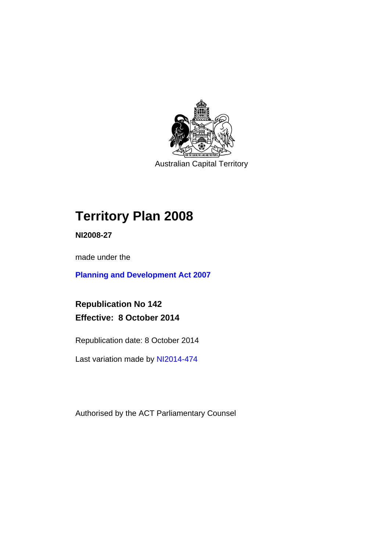

Australian Capital Territory

# **Territory Plan 2008**

**NI2008-27** 

made under the

**[Planning and Development Act 2007](http://www.legislation.act.gov.au/a/2007-24/default.asp)**

**Republication No 142 Effective: 8 October 2014** 

Republication date: 8 October 2014

Last variation made by [NI2014-474](http://www.legislation.act.gov.au/ni/2014-474/default.asp)

Authorised by the ACT Parliamentary Counsel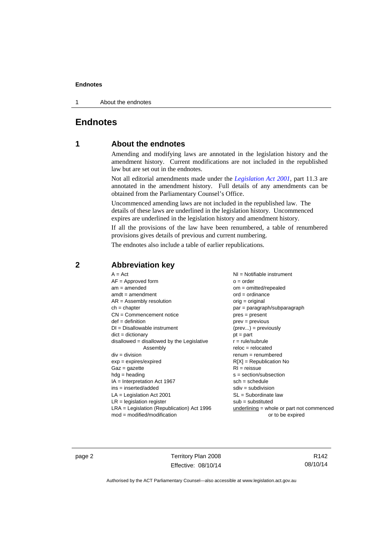1 About the endnotes

### **Endnotes**

### **1 About the endnotes**

Amending and modifying laws are annotated in the legislation history and the amendment history. Current modifications are not included in the republished law but are set out in the endnotes.

Not all editorial amendments made under the *[Legislation Act 2001](http://www.legislation.act.gov.au/a/2001-14/default.asp)*, part 11.3 are annotated in the amendment history. Full details of any amendments can be obtained from the Parliamentary Counsel's Office.

Uncommenced amending laws are not included in the republished law. The details of these laws are underlined in the legislation history. Uncommenced expires are underlined in the legislation history and amendment history.

If all the provisions of the law have been renumbered, a table of renumbered provisions gives details of previous and current numbering.

The endnotes also include a table of earlier republications.

| $A = Act$                                    | $NI =$ Notifiable instrument              |
|----------------------------------------------|-------------------------------------------|
| $AF =$ Approved form                         | $o = order$                               |
| $am = amended$                               | $om = omitted/repealed$                   |
| $amdt = amendment$                           | $ord = ordinance$                         |
| $AR = Assembly resolution$                   | $orig = original$                         |
| $ch = chapter$                               | par = paragraph/subparagraph              |
| $CN =$ Commencement notice                   | $pres = present$                          |
| $def = definition$                           | prev = previous                           |
| $DI = Disallowable instrument$               | $(\text{prev}) = \text{previously}$       |
| $dict = dictionary$                          | $pt = part$                               |
| disallowed = disallowed by the Legislative   | $r = rule/subrule$                        |
| Assembly                                     | $reloc = relocated$                       |
| $div = division$                             | $remum = renumbered$                      |
| $exp = expires/expired$                      | $R[X]$ = Republication No                 |
| $Gaz = gazette$                              | $RI =$ reissue                            |
| $h dq =$ heading                             | $s = section/subsection$                  |
| $IA = Interpretation Act 1967$               | $sch = schedule$                          |
| $ins = inserted/added$                       | $sdiv = subdivision$                      |
| $LA =$ Legislation Act 2001                  | $SL = Subordinate$ law                    |
| $LR =$ legislation register                  | $sub =$ substituted                       |
| $LRA =$ Legislation (Republication) Act 1996 | underlining = whole or part not commenced |
| $mod = modified/modification$                | or to be expired                          |
|                                              |                                           |

### **2 Abbreviation key**

page 2 Territory Plan 2008 Effective: 08/10/14

R142 08/10/14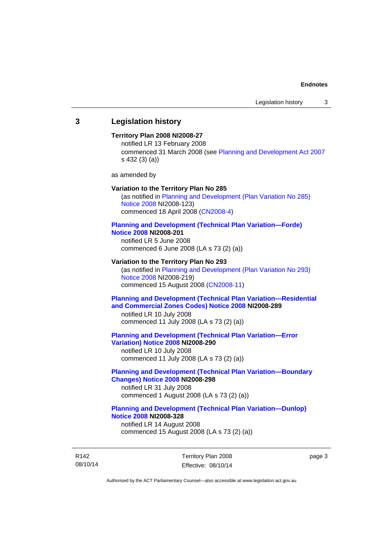### **3 Legislation history**

#### **Territory Plan 2008 NI2008-27**

notified LR 13 February 2008 commenced 31 March 2008 (see [Planning and Development Act 2007](http://www.legislation.act.gov.au/a/2007-24/default.asp) s 432 (3) (a))

as amended by

#### **Variation to the Territory Plan No 285**

(as notified in [Planning and Development \(Plan Variation No 285\)](http://www.legislation.act.gov.au/ni/2008-123/)  [Notice 2008](http://www.legislation.act.gov.au/ni/2008-123/) NI2008-123) commenced 18 April 2008 [\(CN2008-4\)](http://www.legislation.act.gov.au/cn/2008-4/)

#### **[Planning and Development \(Technical Plan Variation—Forde\)](http://www.legislation.act.gov.au/ni/2008-201/)  [Notice 2008](http://www.legislation.act.gov.au/ni/2008-201/) NI2008-201**

notified LR 5 June 2008 commenced 6 June 2008 (LA s 73 (2) (a))

#### **Variation to the Territory Plan No 293**

(as notified in [Planning and Development \(Plan Variation No 293\)](http://www.legislation.act.gov.au/ni/2008-219/)  [Notice 2008](http://www.legislation.act.gov.au/ni/2008-219/) NI2008-219) commenced 15 August 2008 [\(CN2008-11\)](http://www.legislation.act.gov.au/cn/2008-11/)

### **[Planning and Development \(Technical Plan Variation—Residential](http://www.legislation.act.gov.au/ni/2008-289/)  [and Commercial Zones Codes\) Notice 2008](http://www.legislation.act.gov.au/ni/2008-289/) NI2008-289**

notified LR 10 July 2008 commenced 11 July 2008 (LA s 73 (2) (a))

#### **[Planning and Development \(Technical Plan Variation—Error](http://www.legislation.act.gov.au/ni/2008-290/)  [Variation\) Notice 2008](http://www.legislation.act.gov.au/ni/2008-290/) NI2008-290**

notified LR 10 July 2008 commenced 11 July 2008 (LA s 73 (2) (a))

### **[Planning and Development \(Technical Plan Variation—Boundary](http://www.legislation.act.gov.au/ni/2008-298/)  [Changes\) Notice 2008](http://www.legislation.act.gov.au/ni/2008-298/) NI2008-298**  notified LR 31 July 2008

commenced 1 August 2008 (LA s 73 (2) (a))

### **[Planning and Development \(Technical Plan Variation—Dunlop\)](http://www.legislation.act.gov.au/ni/2008-328/)  [Notice 2008](http://www.legislation.act.gov.au/ni/2008-328/) NI2008-328**

notified LR 14 August 2008 commenced 15 August 2008 (LA s 73 (2) (a))

R142 08/10/14 Territory Plan 2008 Effective: 08/10/14 page 3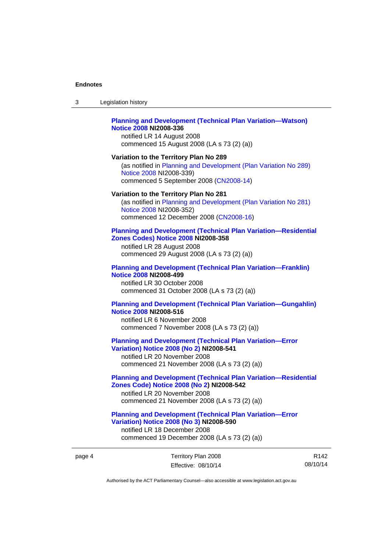| <b>Planning and Development (Technical Plan Variation-Watson)</b><br>Notice 2008 NI2008-336<br>notified LR 14 August 2008<br>commenced 15 August 2008 (LA s 73 (2) (a)) |
|-------------------------------------------------------------------------------------------------------------------------------------------------------------------------|
| Variation to the Territory Plan No 289                                                                                                                                  |
| (as notified in Planning and Development (Plan Variation No 289)                                                                                                        |
| Notice 2008 NI2008-339)                                                                                                                                                 |
| commenced 5 September 2008 (CN2008-14)                                                                                                                                  |

3 Legislation history

#### **Variation to the Territory Plan No 281**

(as notified in [Planning and Development \(Plan Variation No 281\)](http://www.legislation.act.gov.au/ni/2008-352/)  [Notice 2008](http://www.legislation.act.gov.au/ni/2008-352/) NI2008-352) commenced 12 December 2008 [\(CN2008-16\)](http://www.legislation.act.gov.au/cn/2008-16/)

#### **[Planning and Development \(Technical Plan Variation—Residential](http://www.legislation.act.gov.au/ni/2008-358/)  [Zones Codes\) Notice 2008](http://www.legislation.act.gov.au/ni/2008-358/) NI2008-358**

notified LR 28 August 2008 commenced 29 August 2008 (LA s 73 (2) (a))

#### **[Planning and Development \(Technical Plan Variation—Franklin\)](http://www.legislation.act.gov.au/ni/2008-499/)  [Notice 2008](http://www.legislation.act.gov.au/ni/2008-499/) NI2008-499**

notified LR 30 October 2008 commenced 31 October 2008 (LA s 73 (2) (a))

#### **[Planning and Development \(Technical Plan Variation—Gungahlin\)](http://www.legislation.act.gov.au/ni/2008-516/)  [Notice 2008](http://www.legislation.act.gov.au/ni/2008-516/) NI2008-516**

notified LR 6 November 2008 commenced 7 November 2008 (LA s 73 (2) (a))

### **[Planning and Development \(Technical Plan Variation—Error](http://www.legislation.act.gov.au/ni/2008-541/)  [Variation\) Notice 2008 \(No 2\)](http://www.legislation.act.gov.au/ni/2008-541/) NI2008-541**

notified LR 20 November 2008 commenced 21 November 2008 (LA s 73 (2) (a))

### **[Planning and Development \(Technical Plan Variation—Residential](http://www.legislation.act.gov.au/ni/2008-542/)  [Zones Code\) Notice 2008 \(No 2\)](http://www.legislation.act.gov.au/ni/2008-542/) NI2008-542**

notified LR 20 November 2008 commenced 21 November 2008 (LA s 73 (2) (a))

#### **[Planning and Development \(Technical Plan Variation—Error](http://www.legislation.act.gov.au/ni/2008-590/)  [Variation\) Notice 2008 \(No 3\)](http://www.legislation.act.gov.au/ni/2008-590/) NI2008-590**

notified LR 18 December 2008 commenced 19 December 2008 (LA s 73 (2) (a))

R142 08/10/14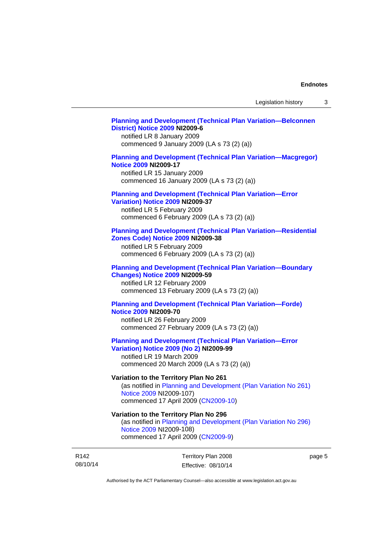#### **[Planning and Development \(Technical Plan Variation—Belconnen](http://www.legislation.act.gov.au/ni/2009-6/)  [District\) Notice 2009](http://www.legislation.act.gov.au/ni/2009-6/) NI2009-6**

notified LR 8 January 2009 commenced 9 January 2009 (LA s 73 (2) (a))

### **[Planning and Development \(Technical Plan Variation—Macgregor\)](http://www.legislation.act.gov.au/ni/2009-17/)  [Notice 2009](http://www.legislation.act.gov.au/ni/2009-17/) NI2009-17**

notified LR 15 January 2009 commenced 16 January 2009 (LA s 73 (2) (a))

## **[Planning and Development \(Technical Plan Variation—Error](http://www.legislation.act.gov.au/ni/2009-37/)**

**[Variation\) Notice 2009](http://www.legislation.act.gov.au/ni/2009-37/) NI2009-37** 

notified LR 5 February 2009 commenced 6 February 2009 (LA s 73 (2) (a))

#### **[Planning and Development \(Technical Plan Variation—Residential](http://www.legislation.act.gov.au/ni/2009-38/)  [Zones Code\) Notice 2009](http://www.legislation.act.gov.au/ni/2009-38/) NI2009-38**

notified LR 5 February 2009 commenced 6 February 2009 (LA s 73 (2) (a))

#### **[Planning and Development \(Technical Plan Variation—Boundary](http://www.legislation.act.gov.au/ni/2009-59/)  [Changes\) Notice 2009](http://www.legislation.act.gov.au/ni/2009-59/) NI2009-59**

notified LR 12 February 2009 commenced 13 February 2009 (LA s 73 (2) (a))

### **[Planning and Development \(Technical Plan Variation—Forde\)](http://www.legislation.act.gov.au/ni/2009-70/)  [Notice 2009](http://www.legislation.act.gov.au/ni/2009-70/) NI2009-70**

notified LR 26 February 2009 commenced 27 February 2009 (LA s 73 (2) (a))

### **[Planning and Development \(Technical Plan Variation—Error](http://www.legislation.act.gov.au/ni/2009-99/)  [Variation\) Notice 2009 \(No 2\)](http://www.legislation.act.gov.au/ni/2009-99/) NI2009-99**

notified LR 19 March 2009 commenced 20 March 2009 (LA s 73 (2) (a))

### **Variation to the Territory Plan No 261**

(as notified in [Planning and Development \(Plan Variation No 261\)](http://www.legislation.act.gov.au/ni/2009-107/)  [Notice 2009](http://www.legislation.act.gov.au/ni/2009-107/) NI2009-107) commenced 17 April 2009 [\(CN2009-10\)](http://www.legislation.act.gov.au/cn/2009-10/)

### **Variation to the Territory Plan No 296**

(as notified in [Planning and Development \(Plan Variation No 296\)](http://www.legislation.act.gov.au/ni/2009-108/)  [Notice 2009](http://www.legislation.act.gov.au/ni/2009-108/) NI2009-108) commenced 17 April 2009 [\(CN2009-9\)](http://www.legislation.act.gov.au/cn/2009-9/)

R142 08/10/14 Territory Plan 2008 Effective: 08/10/14 page 5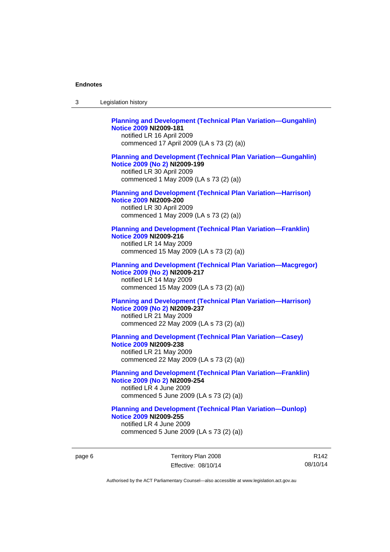| 3 | Legislation history                                                                                                                                                             |
|---|---------------------------------------------------------------------------------------------------------------------------------------------------------------------------------|
|   | <b>Planning and Development (Technical Plan Variation-Gungahlin)</b><br><b>Notice 2009 NI2009-181</b><br>notified LR 16 April 2009<br>commenced 17 April 2009 (LA s 73 (2) (a)) |
|   | <b>Planning and Development (Technical Plan Variation-Gungahlin)</b><br>Notice 2009 (No 2) NI2009-199<br>notified LR 30 April 2009<br>commenced 1 May 2009 (LA s 73 (2) (a))    |
|   | <b>Planning and Development (Technical Plan Variation-Harrison)</b><br><b>Notice 2009 NI2009-200</b><br>notified LR 30 April 2009<br>commenced 1 May 2009 (LA s 73 (2) (a))     |
|   | <b>Planning and Development (Technical Plan Variation-Franklin)</b><br><b>Notice 2009 NI2009-216</b><br>notified LR 14 May 2009<br>commenced 15 May 2009 (LA s 73 (2) (a))      |
|   | <b>Planning and Development (Technical Plan Variation-Macgregor)</b><br>Notice 2009 (No 2) NI2009-217<br>notified LR 14 May 2009<br>commenced 15 May 2009 (LA s 73 (2) (a))     |
|   | <b>Planning and Development (Technical Plan Variation-Harrison)</b><br>Notice 2009 (No 2) NI2009-237<br>notified LR 21 May 2009<br>commenced 22 May 2009 (LA s 73 (2) (a))      |
|   | <b>Planning and Development (Technical Plan Variation-Casey)</b><br><b>Notice 2009 NI2009-238</b><br>notified LR 21 May 2009<br>commenced 22 May 2009 (LA s 73 (2) (a))         |
|   | <b>Planning and Development (Technical Plan Variation-Franklin)</b><br>Notice 2009 (No 2) NI2009-254<br>notified LR 4 June 2009<br>commenced 5 June 2009 (LA s 73 (2) (a))      |
|   | <b>Planning and Development (Technical Plan Variation-Dunlop)</b><br><b>Notice 2009 NI2009-255</b><br>notified LR 4 June 2009<br>commenced 5 June 2009 (LA s 73 (2) (a))        |

page 6 Territory Plan 2008 Effective: 08/10/14

R142 08/10/14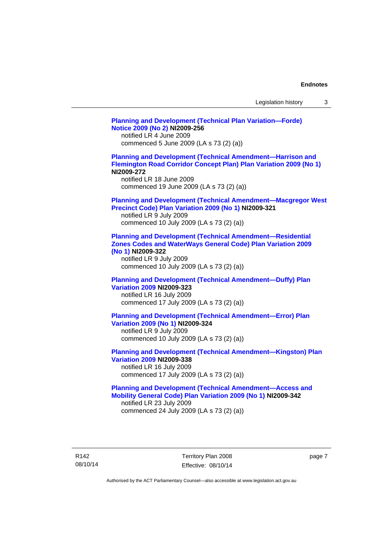| Legislation history |  |  |
|---------------------|--|--|
|---------------------|--|--|

**[Planning and Development \(Technical Plan Variation—Forde\)](http://www.legislation.act.gov.au/ni/2009-256/)  [Notice 2009 \(No 2\)](http://www.legislation.act.gov.au/ni/2009-256/) NI2009-256**  notified LR 4 June 2009 commenced 5 June 2009 (LA s 73 (2) (a)) **[Planning and Development \(Technical Amendment—Harrison and](http://www.legislation.act.gov.au/ni/2009-272/)  [Flemington Road Corridor Concept Plan\) Plan Variation 2009 \(No 1\)](http://www.legislation.act.gov.au/ni/2009-272/) NI2009-272**  notified LR 18 June 2009 commenced 19 June 2009 (LA s 73 (2) (a)) **[Planning and Development \(Technical Amendment—Macgregor West](http://www.legislation.act.gov.au/ni/2009-321/)  [Precinct Code\) Plan Variation 2009 \(No 1\)](http://www.legislation.act.gov.au/ni/2009-321/) NI2009-321**  notified LR 9 July 2009 commenced 10 July 2009 (LA s 73 (2) (a)) **[Planning and Development \(Technical Amendment—Residential](http://www.legislation.act.gov.au/ni/2009-322/)  [Zones Codes and WaterWays General Code\) Plan Variation 2009](http://www.legislation.act.gov.au/ni/2009-322/)  [\(No 1\)](http://www.legislation.act.gov.au/ni/2009-322/) NI2009-322**  notified LR 9 July 2009 commenced 10 July 2009 (LA s 73 (2) (a)) **[Planning and Development \(Technical Amendment—Duffy\) Plan](http://www.legislation.act.gov.au/ni/2009-323/)  [Variation 2009](http://www.legislation.act.gov.au/ni/2009-323/) NI2009-323**  notified LR 16 July 2009 commenced 17 July 2009 (LA s 73 (2) (a)) **[Planning and Development \(Technical Amendment—Error\) Plan](http://www.legislation.act.gov.au/ni/2009-324/)  [Variation 2009 \(No 1\)](http://www.legislation.act.gov.au/ni/2009-324/) NI2009-324**  notified LR 9 July 2009 commenced 10 July 2009 (LA s 73 (2) (a)) **[Planning and Development \(Technical Amendment—Kingston\) Plan](http://www.legislation.act.gov.au/ni/2009-338/)  [Variation 2009](http://www.legislation.act.gov.au/ni/2009-338/) NI2009-338**  notified LR 16 July 2009 commenced 17 July 2009 (LA s 73 (2) (a)) **[Planning and Development \(Technical Amendment—Access and](http://www.legislation.act.gov.au/ni/2009-342/)  [Mobility General Code\) Plan Variation 2009 \(No 1\)](http://www.legislation.act.gov.au/ni/2009-342/) NI2009-342**  notified LR 23 July 2009 commenced 24 July 2009 (LA s 73 (2) (a))

R142 08/10/14 Territory Plan 2008 Effective: 08/10/14 page 7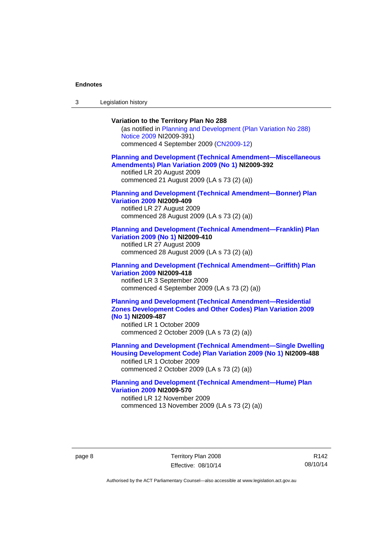3 Legislation history

### **Variation to the Territory Plan No 288**

(as notified in [Planning and Development \(Plan Variation No 288\)](http://www.legislation.act.gov.au/ni/2009-391/)  [Notice 2009](http://www.legislation.act.gov.au/ni/2009-391/) NI2009-391) commenced 4 September 2009 ([CN2009-12\)](http://www.legislation.act.gov.au/cn/2009-12/)

#### **[Planning and Development \(Technical Amendment—Miscellaneous](http://www.legislation.act.gov.au/ni/2009-392/)  [Amendments\) Plan Variation 2009 \(No 1\)](http://www.legislation.act.gov.au/ni/2009-392/) NI2009-392**  notified LR 20 August 2009

commenced 21 August 2009 (LA s 73 (2) (a))

### **[Planning and Development \(Technical Amendment—Bonner\) Plan](http://www.legislation.act.gov.au/ni/2009-409/)  [Variation 2009](http://www.legislation.act.gov.au/ni/2009-409/) NI2009-409**

notified LR 27 August 2009 commenced 28 August 2009 (LA s 73 (2) (a))

#### **[Planning and Development \(Technical Amendment—Franklin\) Plan](http://www.legislation.act.gov.au/ni/2009-410/)  [Variation 2009 \(No 1\)](http://www.legislation.act.gov.au/ni/2009-410/) NI2009-410**

notified LR 27 August 2009 commenced 28 August 2009 (LA s 73 (2) (a))

#### **[Planning and Development \(Technical Amendment—Griffith\) Plan](http://www.legislation.act.gov.au/ni/2009-418/)  [Variation 2009](http://www.legislation.act.gov.au/ni/2009-418/) NI2009-418**  notified LR 3 September 2009

commenced 4 September 2009 (LA s 73 (2) (a))

### **[Planning and Development \(Technical Amendment—Residential](http://www.legislation.act.gov.au/ni/2009-487/)  [Zones Development Codes and Other Codes\) Plan Variation 2009](http://www.legislation.act.gov.au/ni/2009-487/)  [\(No 1\)](http://www.legislation.act.gov.au/ni/2009-487/) NI2009-487**

notified LR 1 October 2009 commenced 2 October 2009 (LA s 73 (2) (a))

**[Planning and Development \(Technical Amendment—Single Dwelling](http://www.legislation.act.gov.au/ni/2009-488/)  [Housing Development Code\) Plan Variation 2009 \(No 1\)](http://www.legislation.act.gov.au/ni/2009-488/) NI2009-488** 

notified LR 1 October 2009 commenced 2 October 2009 (LA s 73 (2) (a))

### **[Planning and Development \(Technical Amendment—Hume\) Plan](http://www.legislation.act.gov.au/ni/2009-570/)  [Variation 2009](http://www.legislation.act.gov.au/ni/2009-570/) NI2009-570**

notified LR 12 November 2009 commenced 13 November 2009 (LA s 73 (2) (a))

R142 08/10/14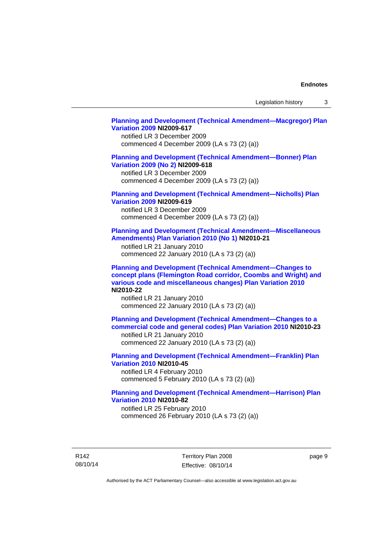Legislation history 3

#### **[Planning and Development \(Technical Amendment—Macgregor\) Plan](http://www.legislation.act.gov.au/ni/2009-617/)  [Variation 2009](http://www.legislation.act.gov.au/ni/2009-617/) NI2009-617**

notified LR 3 December 2009 commenced 4 December 2009 (LA s 73 (2) (a))

### **[Planning and Development \(Technical Amendment—Bonner\) Plan](http://www.legislation.act.gov.au/ni/2009-618/)  [Variation 2009 \(No 2\)](http://www.legislation.act.gov.au/ni/2009-618/) NI2009-618**

notified LR 3 December 2009 commenced 4 December 2009 (LA s 73 (2) (a))

### **[Planning and Development \(Technical Amendment—Nicholls\) Plan](http://www.legislation.act.gov.au/ni/2009-619/)  [Variation 2009](http://www.legislation.act.gov.au/ni/2009-619/) NI2009-619**

notified LR 3 December 2009 commenced 4 December 2009 (LA s 73 (2) (a))

#### **[Planning and Development \(Technical Amendment—Miscellaneous](http://www.legislation.act.gov.au/ni/2010-21/)  [Amendments\) Plan Variation 2010 \(No 1\)](http://www.legislation.act.gov.au/ni/2010-21/) NI2010-21**

notified LR 21 January 2010 commenced 22 January 2010 (LA s 73 (2) (a))

**[Planning and Development \(Technical Amendment—Changes to](http://www.legislation.act.gov.au/ni/2010-22/)  [concept plans \(Flemington Road corridor, Coombs and Wright\) and](http://www.legislation.act.gov.au/ni/2010-22/)  [various code and miscellaneous changes\) Plan Variation 2010](http://www.legislation.act.gov.au/ni/2010-22/) NI2010-22** 

notified LR 21 January 2010 commenced 22 January 2010 (LA s 73 (2) (a))

**[Planning and Development \(Technical Amendment—Changes to a](http://www.legislation.act.gov.au/ni/2010-23/)  [commercial code and general codes\) Plan Variation 2010](http://www.legislation.act.gov.au/ni/2010-23/) NI2010-23**  notified LR 21 January 2010

commenced 22 January 2010 (LA s 73 (2) (a))

**[Planning and Development \(Technical Amendment—Franklin\) Plan](http://www.legislation.act.gov.au/ni/2010-45/)  [Variation 2010](http://www.legislation.act.gov.au/ni/2010-45/) NI2010-45**  notified LR 4 February 2010 commenced 5 February 2010 (LA s 73 (2) (a))

### **[Planning and Development \(Technical Amendment—Harrison\) Plan](http://www.legislation.act.gov.au/ni/2010-82/)  [Variation 2010](http://www.legislation.act.gov.au/ni/2010-82/) NI2010-82**

notified LR 25 February 2010 commenced 26 February 2010 (LA s 73 (2) (a))

R142 08/10/14 Territory Plan 2008 Effective: 08/10/14 page 9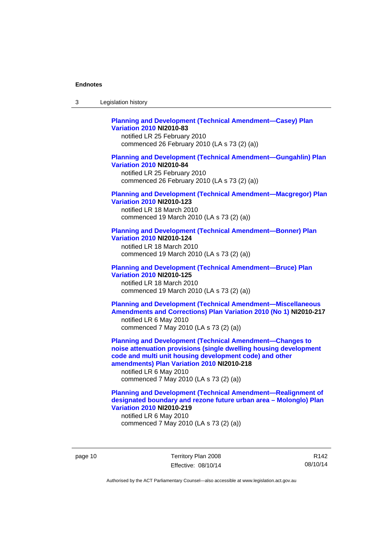| -3 | Legislation history |  |
|----|---------------------|--|
|----|---------------------|--|

### **[Planning and Development \(Technical Amendment—Casey\) Plan](http://www.legislation.act.gov.au/ni/2010-83/)  [Variation 2010](http://www.legislation.act.gov.au/ni/2010-83/) NI2010-83**

notified LR 25 February 2010 commenced 26 February 2010 (LA s 73 (2) (a))

### **[Planning and Development \(Technical Amendment—Gungahlin\) Plan](http://www.legislation.act.gov.au/ni/2010-84/)  [Variation 2010](http://www.legislation.act.gov.au/ni/2010-84/) NI2010-84**

notified LR 25 February 2010 commenced 26 February 2010 (LA s 73 (2) (a))

#### **[Planning and Development \(Technical Amendment—Macgregor\) Plan](http://www.legislation.act.gov.au/ni/2010-123/)  [Variation 2010](http://www.legislation.act.gov.au/ni/2010-123/) NI2010-123**

notified LR 18 March 2010 commenced 19 March 2010 (LA s 73 (2) (a))

### **[Planning and Development \(Technical Amendment—Bonner\) Plan](http://www.legislation.act.gov.au/ni/2010-124/)**

**[Variation 2010](http://www.legislation.act.gov.au/ni/2010-124/) NI2010-124**  notified LR 18 March 2010 commenced 19 March 2010 (LA s 73 (2) (a))

#### **[Planning and Development \(Technical Amendment—Bruce\) Plan](http://www.legislation.act.gov.au/ni/2010-125/)  [Variation 2010](http://www.legislation.act.gov.au/ni/2010-125/) NI2010-125**

notified LR 18 March 2010 commenced 19 March 2010 (LA s 73 (2) (a))

### **[Planning and Development \(Technical Amendment—Miscellaneous](http://www.legislation.act.gov.au/ni/2010-217/)  [Amendments and Corrections\) Plan Variation 2010 \(No 1\)](http://www.legislation.act.gov.au/ni/2010-217/) NI2010-217**  notified LR 6 May 2010 commenced 7 May 2010 (LA s 73 (2) (a))

**[Planning and Development \(Technical Amendment—Changes to](http://www.legislation.act.gov.au/ni/2010-218/)  [noise attenuation provisions \(single dwelling housing development](http://www.legislation.act.gov.au/ni/2010-218/)  [code and multi unit housing development code\) and other](http://www.legislation.act.gov.au/ni/2010-218/)  [amendments\) Plan Variation 2010](http://www.legislation.act.gov.au/ni/2010-218/) NI2010-218** 

notified LR 6 May 2010 commenced 7 May 2010 (LA s 73 (2) (a))

### **[Planning and Development \(Technical Amendment—Realignment of](http://www.legislation.act.gov.au/ni/2010-219/)  [designated boundary and rezone future urban area – Molonglo\) Plan](http://www.legislation.act.gov.au/ni/2010-219/)  [Variation 2010](http://www.legislation.act.gov.au/ni/2010-219/) NI2010-219**

notified LR 6 May 2010 commenced 7 May 2010 (LA s 73 (2) (a))

page 10 Territory Plan 2008 Effective: 08/10/14

R142 08/10/14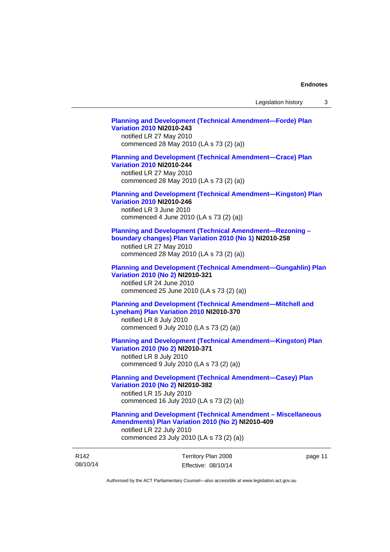### **[Planning and Development \(Technical Amendment—Forde\) Plan](http://www.legislation.act.gov.au/ni/2010-243/)  [Variation 2010](http://www.legislation.act.gov.au/ni/2010-243/) NI2010-243**  notified LR 27 May 2010 commenced 28 May 2010 (LA s 73 (2) (a)) **[Planning and Development \(Technical Amendment—Crace\) Plan](http://www.legislation.act.gov.au/ni/2010-244/)  [Variation 2010](http://www.legislation.act.gov.au/ni/2010-244/) NI2010-244**  notified LR 27 May 2010 commenced 28 May 2010 (LA s 73 (2) (a)) **[Planning and Development \(Technical Amendment—Kingston\) Plan](http://www.legislation.act.gov.au/ni/2010-246/)  [Variation 2010](http://www.legislation.act.gov.au/ni/2010-246/) NI2010-246**  notified LR 3 June 2010 commenced 4 June 2010 (LA s 73 (2) (a)) **[Planning and Development \(Technical Amendment—Rezoning –](http://www.legislation.act.gov.au/ni/2010-258/)  [boundary changes\) Plan Variation 2010 \(No 1\)](http://www.legislation.act.gov.au/ni/2010-258/) NI2010-258**  notified LR 27 May 2010 commenced 28 May 2010 (LA s 73 (2) (a)) **[Planning and Development \(Technical Amendment—Gungahlin\) Plan](http://www.legislation.act.gov.au/ni/2010-321/)  [Variation 2010 \(No 2\)](http://www.legislation.act.gov.au/ni/2010-321/) NI2010-321**  notified LR 24 June 2010 commenced 25 June 2010 (LA s 73 (2) (a)) **[Planning and Development \(Technical Amendment—Mitchell and](http://www.legislation.act.gov.au/ni/2010-370/)  [Lyneham\) Plan Variation 2010](http://www.legislation.act.gov.au/ni/2010-370/) NI2010-370**  notified LR 8 July 2010 commenced 9 July 2010 (LA s 73 (2) (a)) **[Planning and Development \(Technical Amendment—Kingston\) Plan](http://www.legislation.act.gov.au/ni/2010-371/)  [Variation 2010 \(No 2\)](http://www.legislation.act.gov.au/ni/2010-371/) NI2010-371**  notified LR 8 July 2010 commenced 9 July 2010 (LA s 73 (2) (a)) **[Planning and Development \(Technical Amendment—Casey\) Plan](http://www.legislation.act.gov.au/ni/2010-382/)  [Variation 2010 \(No 2\)](http://www.legislation.act.gov.au/ni/2010-382/) NI2010-382**

notified LR 15 July 2010 commenced 16 July 2010 (LA s 73 (2) (a))

#### **[Planning and Development \(Technical Amendment – Miscellaneous](http://www.legislation.act.gov.au/ni/2010-409/)  [Amendments\) Plan Variation 2010 \(No 2\)](http://www.legislation.act.gov.au/ni/2010-409/) NI2010-409**

notified LR 22 July 2010 commenced 23 July 2010 (LA s 73 (2) (a))

| R <sub>142</sub> | Territory Plan 2008 | page 11 |
|------------------|---------------------|---------|
| 08/10/14         | Effective: 08/10/14 |         |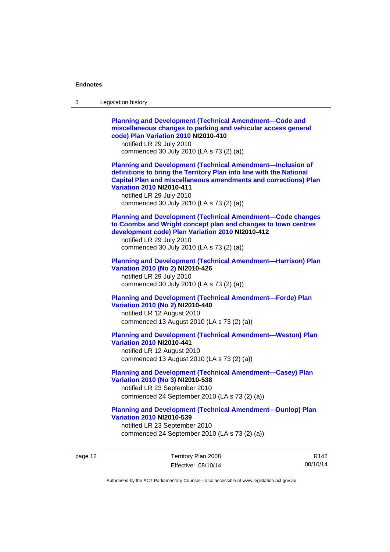| 3 | Legislation history                                                                                                                                                                                                                                                                                                            |
|---|--------------------------------------------------------------------------------------------------------------------------------------------------------------------------------------------------------------------------------------------------------------------------------------------------------------------------------|
|   | <b>Planning and Development (Technical Amendment-Code and</b><br>miscellaneous changes to parking and vehicular access general<br>code) Plan Variation 2010 NI2010-410<br>notified LR 29 July 2010<br>commenced 30 July 2010 (LA s 73 (2) (a))                                                                                 |
|   | <b>Planning and Development (Technical Amendment-Inclusion of</b><br>definitions to bring the Territory Plan into line with the National<br><b>Capital Plan and miscellaneous amendments and corrections) Plan</b><br><b>Variation 2010 NI2010-411</b><br>notified LR 29 July 2010<br>commenced 30 July 2010 (LA s 73 (2) (a)) |
|   | <b>Planning and Development (Technical Amendment-Code changes</b><br>to Coombs and Wright concept plan and changes to town centres<br>development code) Plan Variation 2010 NI2010-412<br>notified LR 29 July 2010<br>commenced 30 July 2010 (LA s 73 (2) (a))                                                                 |
|   | <b>Planning and Development (Technical Amendment-Harrison) Plan</b><br>Variation 2010 (No 2) NI2010-426<br>notified LR 29 July 2010<br>commenced 30 July 2010 (LA s 73 (2) (a))                                                                                                                                                |
|   | <b>Planning and Development (Technical Amendment-Forde) Plan</b><br>Variation 2010 (No 2) NI2010-440<br>notified LR 12 August 2010<br>commenced 13 August 2010 (LA s 73 (2) (a))                                                                                                                                               |
|   | <b>Planning and Development (Technical Amendment-Weston) Plan</b><br><b>Variation 2010 NI2010-441</b><br>notified LR 12 August 2010<br>commenced 13 August 2010 (LA s 73 (2) (a))                                                                                                                                              |
|   | <b>Planning and Development (Technical Amendment-Casey) Plan</b><br>Variation 2010 (No 3) NI2010-538<br>notified LR 23 September 2010<br>commenced 24 September 2010 (LA s 73 (2) (a))                                                                                                                                         |
|   | <b>Planning and Development (Technical Amendment-Dunlop) Plan</b><br><b>Variation 2010 NI2010-539</b><br>notified LR 23 September 2010<br>commenced 24 September 2010 (LA s 73 (2) (a))                                                                                                                                        |

page 12 Territory Plan 2008 Effective: 08/10/14

R142 08/10/14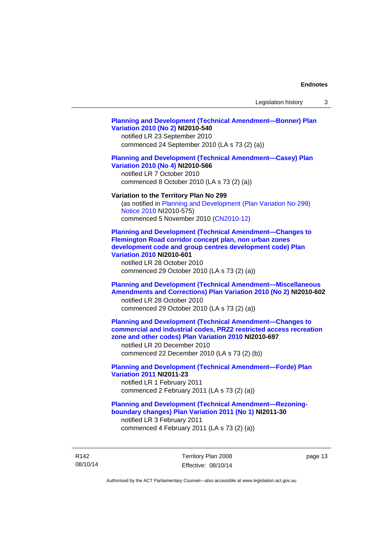#### **[Planning and Development \(Technical Amendment—Bonner\) Plan](http://www.legislation.act.gov.au/ni/2010-540/)  [Variation 2010 \(No 2\)](http://www.legislation.act.gov.au/ni/2010-540/) NI2010-540**

notified LR 23 September 2010 commenced 24 September 2010 (LA s 73 (2) (a))

#### **[Planning and Development \(Technical Amendment—Casey\) Plan](http://www.legislation.act.gov.au/ni/2010-566/)  [Variation 2010 \(No 4\)](http://www.legislation.act.gov.au/ni/2010-566/) NI2010-566**

notified LR 7 October 2010 commenced 8 October 2010 (LA s 73 (2) (a))

#### **Variation to the Territory Plan No 299**

(as notified in [Planning and Development \(Plan Variation No 299\)](http://www.legislation.act.gov.au/ni/2010-575/)  [Notice 2010](http://www.legislation.act.gov.au/ni/2010-575/) NI2010-575) commenced 5 November 2010 ([CN2010-12](http://www.legislation.act.gov.au/cn/2010-12/))

**[Planning and Development \(Technical Amendment—Changes to](http://www.legislation.act.gov.au/ni/2010-601/)  [Flemington Road corridor concept plan, non urban zones](http://www.legislation.act.gov.au/ni/2010-601/)  [development code and group centres development code\) Plan](http://www.legislation.act.gov.au/ni/2010-601/)  [Variation 2010](http://www.legislation.act.gov.au/ni/2010-601/) NI2010-601** 

notified LR 28 October 2010 commenced 29 October 2010 (LA s 73 (2) (a))

### **[Planning and Development \(Technical Amendment—Miscellaneous](http://www.legislation.act.gov.au/ni/2010-602/)  [Amendments and Corrections\) Plan Variation 2010 \(No 2\)](http://www.legislation.act.gov.au/ni/2010-602/) NI2010-602**

notified LR 28 October 2010 commenced 29 October 2010 (LA s 73 (2) (a))

### **[Planning and Development \(Technical Amendment—Changes to](http://www.legislation.act.gov.au/ni/2010-697/)  [commercial and industrial codes, PRZ2 restricted access recreation](http://www.legislation.act.gov.au/ni/2010-697/)  [zone and other codes\) Plan Variation 2010](http://www.legislation.act.gov.au/ni/2010-697/) NI2010-697**

notified LR 20 December 2010 commenced 22 December 2010 (LA s 73 (2) (b))

### **[Planning and Development \(Technical Amendment—Forde\) Plan](http://www.legislation.act.gov.au/ni/2011-23/)  [Variation 2011](http://www.legislation.act.gov.au/ni/2011-23/) NI2011-23**  notified LR 1 February 2011

commenced 2 February 2011 (LA s 73 (2) (a))

### **[Planning and Development \(Technical Amendment—Rezoning](http://www.legislation.act.gov.au/ni/2011-30/)[boundary changes\) Plan Variation 2011 \(No 1\)](http://www.legislation.act.gov.au/ni/2011-30/) NI2011-30**  notified LR 3 February 2011

commenced 4 February 2011 (LA s 73 (2) (a))

R142 08/10/14 Territory Plan 2008 Effective: 08/10/14 page 13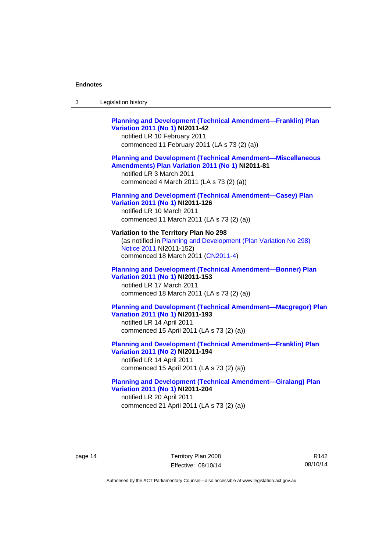### **[Planning and Development \(Technical Amendment—Franklin\) Plan](http://www.legislation.act.gov.au/ni/2011-42/)  [Variation 2011 \(No 1\)](http://www.legislation.act.gov.au/ni/2011-42/) NI2011-42**  notified LR 10 February 2011 commenced 11 February 2011 (LA s 73 (2) (a)) **[Planning and Development \(Technical Amendment—Miscellaneous](http://www.legislation.act.gov.au/ni/2011-81/)  [Amendments\) Plan Variation 2011 \(No 1\)](http://www.legislation.act.gov.au/ni/2011-81/) NI2011-81**

notified LR 3 March 2011 commenced 4 March 2011 (LA s 73 (2) (a))

### **[Planning and Development \(Technical Amendment—Casey\) Plan](http://www.legislation.act.gov.au/ni/2011-126/)  [Variation 2011 \(No 1\)](http://www.legislation.act.gov.au/ni/2011-126/) NI2011-126**

notified LR 10 March 2011 commenced 11 March 2011 (LA s 73 (2) (a))

### **Variation to the Territory Plan No 298**  (as notified in [Planning and Development \(Plan Variation No 298\)](http://www.legislation.act.gov.au/ni/2011-152/)  [Notice 2011](http://www.legislation.act.gov.au/ni/2011-152/) NI2011-152)

commenced 18 March 2011 [\(CN2011-4\)](http://www.legislation.act.gov.au/cn/2011-4/)

### **[Planning and Development \(Technical Amendment—Bonner\) Plan](http://www.legislation.act.gov.au/ni/2011-153/)  [Variation 2011 \(No 1\)](http://www.legislation.act.gov.au/ni/2011-153/) NI2011-153**  notified LR 17 March 2011

commenced 18 March 2011 (LA s 73 (2) (a))

### **[Planning and Development \(Technical Amendment—Macgregor\) Plan](http://www.legislation.act.gov.au/ni/2011-193/)  [Variation 2011 \(No 1\)](http://www.legislation.act.gov.au/ni/2011-193/) NI2011-193**

notified LR 14 April 2011 commenced 15 April 2011 (LA s 73 (2) (a))

### **[Planning and Development \(Technical Amendment—Franklin\) Plan](http://www.legislation.act.gov.au/ni/2011-194/)  [Variation 2011 \(No 2\)](http://www.legislation.act.gov.au/ni/2011-194/) NI2011-194**

notified LR 14 April 2011 commenced 15 April 2011 (LA s 73 (2) (a))

#### **[Planning and Development \(Technical Amendment—Giralang\) Plan](http://www.legislation.act.gov.au/ni/2011-204/)  [Variation 2011 \(No 1\)](http://www.legislation.act.gov.au/ni/2011-204/) NI2011-204**  notified LR 20 April 2011

commenced 21 April 2011 (LA s 73 (2) (a))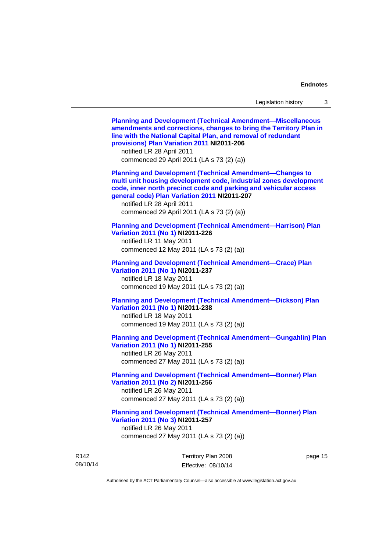08/10/14 Territory Plan 2008 Effective: 08/10/14 page 15 **[Planning and Development \(Technical Amendment—Miscellaneous](http://www.legislation.act.gov.au/ni/2011-206/)  [amendments and corrections, changes to bring the Territory Plan in](http://www.legislation.act.gov.au/ni/2011-206/)  [line with the National Capital Plan, and removal of redundant](http://www.legislation.act.gov.au/ni/2011-206/)  [provisions\) Plan Variation 2011](http://www.legislation.act.gov.au/ni/2011-206/) NI2011-206**  notified LR 28 April 2011 commenced 29 April 2011 (LA s 73 (2) (a)) **[Planning and Development \(Technical Amendment—Changes to](http://www.legislation.act.gov.au/ni/2011-207/)  [multi unit housing development code, industrial zones development](http://www.legislation.act.gov.au/ni/2011-207/)  [code, inner north precinct code and parking and vehicular access](http://www.legislation.act.gov.au/ni/2011-207/)  [general code\) Plan Variation 2011](http://www.legislation.act.gov.au/ni/2011-207/) NI2011-207**  notified LR 28 April 2011 commenced 29 April 2011 (LA s 73 (2) (a)) **[Planning and Development \(Technical Amendment—Harrison\) Plan](http://www.legislation.act.gov.au/ni/2011-226/)  [Variation 2011 \(No 1\)](http://www.legislation.act.gov.au/ni/2011-226/) NI2011-226**  notified LR 11 May 2011 commenced 12 May 2011 (LA s 73 (2) (a)) **[Planning and Development \(Technical Amendment—Crace\) Plan](http://www.legislation.act.gov.au/ni/2011-237/)  [Variation 2011 \(No 1\)](http://www.legislation.act.gov.au/ni/2011-237/) NI2011-237**  notified LR 18 May 2011 commenced 19 May 2011 (LA s 73 (2) (a)) **[Planning and Development \(Technical Amendment—Dickson\) Plan](http://www.legislation.act.gov.au/ni/2011-238/)  [Variation 2011 \(No 1\)](http://www.legislation.act.gov.au/ni/2011-238/) NI2011-238**  notified LR 18 May 2011 commenced 19 May 2011 (LA s 73 (2) (a)) **[Planning and Development \(Technical Amendment—Gungahlin\) Plan](http://www.legislation.act.gov.au/ni/2011-255/)  [Variation 2011 \(No 1\)](http://www.legislation.act.gov.au/ni/2011-255/) NI2011-255**  notified LR 26 May 2011 commenced 27 May 2011 (LA s 73 (2) (a)) **[Planning and Development \(Technical Amendment—Bonner\) Plan](http://www.legislation.act.gov.au/ni/2011-256/)  [Variation 2011 \(No 2\)](http://www.legislation.act.gov.au/ni/2011-256/) NI2011-256**  notified LR 26 May 2011 commenced 27 May 2011 (LA s 73 (2) (a)) **[Planning and Development \(Technical Amendment—Bonner\) Plan](http://www.legislation.act.gov.au/ni/2011-257/)  [Variation 2011 \(No 3\)](http://www.legislation.act.gov.au/ni/2011-257/) NI2011-257**  notified LR 26 May 2011 commenced 27 May 2011 (LA s 73 (2) (a))

Authorised by the ACT Parliamentary Counsel—also accessible at www.legislation.act.gov.au

R142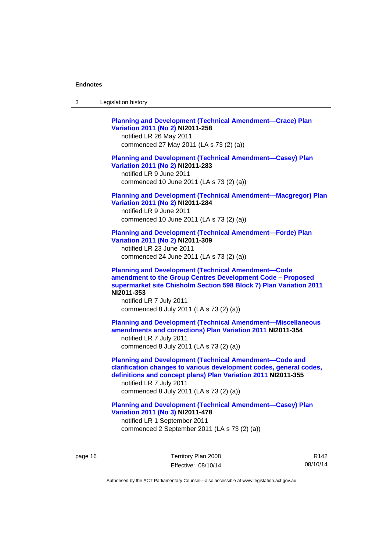| Legislation history<br>-3 |  |
|---------------------------|--|
|---------------------------|--|

**[Planning and Development \(Technical Amendment—Crace\) Plan](http://www.legislation.act.gov.au/ni/2011-258/)  [Variation 2011 \(No 2\)](http://www.legislation.act.gov.au/ni/2011-258/) NI2011-258**  notified LR 26 May 2011 commenced 27 May 2011 (LA s 73 (2) (a)) **[Planning and Development \(Technical Amendment—Casey\) Plan](http://www.legislation.act.gov.au/ni/2011-283/)  [Variation 2011 \(No 2\)](http://www.legislation.act.gov.au/ni/2011-283/) NI2011-283**  notified LR 9 June 2011 commenced 10 June 2011 (LA s 73 (2) (a)) **[Planning and Development \(Technical Amendment—Macgregor\) Plan](http://www.legislation.act.gov.au/ni/2011-284/)  [Variation 2011 \(No 2\)](http://www.legislation.act.gov.au/ni/2011-284/) NI2011-284**  notified LR 9 June 2011 commenced 10 June 2011 (LA s 73 (2) (a)) **[Planning and Development \(Technical Amendment—Forde\) Plan](http://www.legislation.act.gov.au/ni/2011-309/)  [Variation 2011 \(No 2\)](http://www.legislation.act.gov.au/ni/2011-309/) NI2011-309**  notified LR 23 June 2011 commenced 24 June 2011 (LA s 73 (2) (a)) **[Planning and Development \(Technical Amendment—Code](http://www.legislation.act.gov.au/ni/2011-353/)  [amendment to the Group Centres Development Code – Proposed](http://www.legislation.act.gov.au/ni/2011-353/)  [supermarket site Chisholm Section 598 Block 7\) Plan Variation 2011](http://www.legislation.act.gov.au/ni/2011-353/) NI2011-353**  notified LR 7 July 2011 commenced 8 July 2011 (LA s 73 (2) (a)) **[Planning and Development \(Technical Amendment—Miscellaneous](http://www.legislation.act.gov.au/ni/2011-354/)  [amendments and corrections\) Plan Variation 2011](http://www.legislation.act.gov.au/ni/2011-354/) NI2011-354**  notified LR 7 July 2011 commenced 8 July 2011 (LA s 73 (2) (a)) **[Planning and Development \(Technical Amendment—Code and](http://www.legislation.act.gov.au/ni/2011-355/)  [clarification changes to various development codes, general codes,](http://www.legislation.act.gov.au/ni/2011-355/)  [definitions and concept plans\) Plan Variation 2011](http://www.legislation.act.gov.au/ni/2011-355/) NI2011-355**  notified LR 7 July 2011 commenced 8 July 2011 (LA s 73 (2) (a)) **[Planning and Development \(Technical Amendment—Casey\) Plan](http://www.legislation.act.gov.au/ni/2011-478/)  [Variation 2011 \(No 3\)](http://www.legislation.act.gov.au/ni/2011-478/) NI2011-478** 

notified LR 1 September 2011 commenced 2 September 2011 (LA s 73 (2) (a))

page 16 Territory Plan 2008 Effective: 08/10/14

R142 08/10/14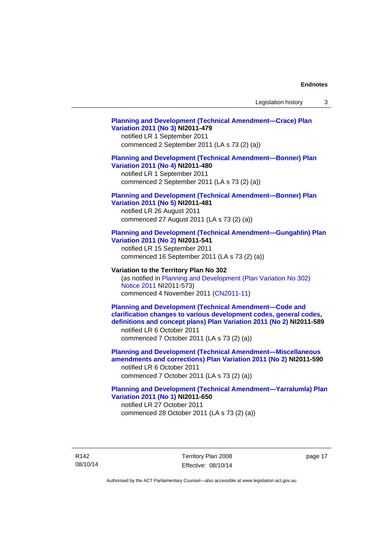### **[Planning and Development \(Technical Amendment—Crace\) Plan](http://www.legislation.act.gov.au/ni/2011-479/)  [Variation 2011 \(No 3\)](http://www.legislation.act.gov.au/ni/2011-479/) NI2011-479**  notified LR 1 September 2011 commenced 2 September 2011 (LA s 73 (2) (a)) **[Planning and Development \(Technical Amendment—Bonner\) Plan](http://www.legislation.act.gov.au/ni/2011-480/)  [Variation 2011 \(No 4\)](http://www.legislation.act.gov.au/ni/2011-480/) NI2011-480**  notified LR 1 September 2011 commenced 2 September 2011 (LA s 73 (2) (a)) **[Planning and Development \(Technical Amendment—Bonner\) Plan](http://www.legislation.act.gov.au/ni/2011-481/)  [Variation 2011 \(No 5\)](http://www.legislation.act.gov.au/ni/2011-481/) NI2011-481**  notified LR 26 August 2011 commenced 27 August 2011 (LA s 73 (2) (a)) **[Planning and Development \(Technical Amendment—Gungahlin\) Plan](http://www.legislation.act.gov.au/ni/2011-541/)  [Variation 2011 \(No 2\)](http://www.legislation.act.gov.au/ni/2011-541/) NI2011-541**  notified LR 15 September 2011 commenced 16 September 2011 (LA s 73 (2) (a)) **Variation to the Territory Plan No 302**  (as notified in [Planning and Development \(Plan Variation No 302\)](http://www.legislation.act.gov.au/ni/2011-573/)  [Notice 2011](http://www.legislation.act.gov.au/ni/2011-573/) NI2011-573) commenced 4 November 2011 ([CN2011-11](http://www.legislation.act.gov.au/cn/2011-11/)) **[Planning and Development \(Technical Amendment—Code and](http://www.legislation.act.gov.au/ni/2011-589/)  [clarification changes to various development codes, general codes,](http://www.legislation.act.gov.au/ni/2011-589/)  [definitions and concept plans\) Plan Variation 2011 \(No 2\)](http://www.legislation.act.gov.au/ni/2011-589/) NI2011-589**  notified LR 6 October 2011 commenced 7 October 2011 (LA s 73 (2) (a)) **[Planning and Development \(Technical Amendment—Miscellaneous](http://www.legislation.act.gov.au/ni/2011-590/)  [amendments and corrections\) Plan Variation 2011 \(No 2\)](http://www.legislation.act.gov.au/ni/2011-590/) NI2011-590**  notified LR 6 October 2011 commenced 7 October 2011 (LA s 73 (2) (a)) **[Planning and Development \(Technical Amendment—Yarralumla\) Plan](http://www.legislation.act.gov.au/ni/2011-650/)  [Variation 2011 \(No 1\)](http://www.legislation.act.gov.au/ni/2011-650/) NI2011-650**

notified LR 27 October 2011 commenced 28 October 2011 (LA s 73 (2) (a))

R142 08/10/14 Territory Plan 2008 Effective: 08/10/14 page 17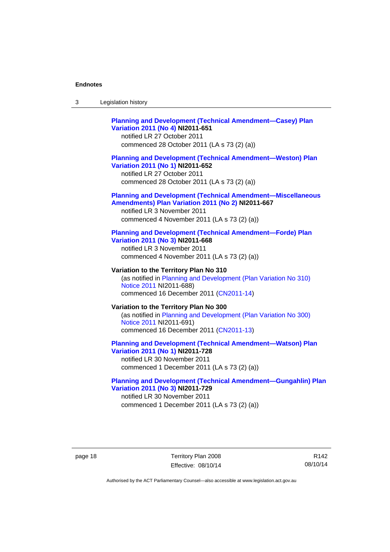| -3 | Legislation history |  |
|----|---------------------|--|
|----|---------------------|--|

### **[Planning and Development \(Technical Amendment—Casey\) Plan](http://www.legislation.act.gov.au/ni/2011-651/)  [Variation 2011 \(No 4\)](http://www.legislation.act.gov.au/ni/2011-651/) NI2011-651**

notified LR 27 October 2011 commenced 28 October 2011 (LA s 73 (2) (a))

#### **[Planning and Development \(Technical Amendment—Weston\) Plan](http://www.legislation.act.gov.au/ni/2011-652/)  [Variation 2011 \(No 1\)](http://www.legislation.act.gov.au/ni/2011-652/) NI2011-652**

notified LR 27 October 2011 commenced 28 October 2011 (LA s 73 (2) (a))

#### **[Planning and Development \(Technical Amendment—Miscellaneous](http://www.legislation.act.gov.au/ni/2011-667/)  [Amendments\) Plan Variation 2011 \(No 2\)](http://www.legislation.act.gov.au/ni/2011-667/) NI2011-667**

notified LR 3 November 2011 commenced 4 November 2011 (LA s 73 (2) (a))

#### **[Planning and Development \(Technical Amendment—Forde\) Plan](http://www.legislation.act.gov.au/ni/2011-668/)  [Variation 2011 \(No 3\)](http://www.legislation.act.gov.au/ni/2011-668/) NI2011-668**

notified LR 3 November 2011 commenced 4 November 2011 (LA s 73 (2) (a))

**Variation to the Territory Plan No 310**  (as notified in [Planning and Development \(Plan Variation No 310\)](http://www.legislation.act.gov.au/ni/2011-688/)  [Notice 2011](http://www.legislation.act.gov.au/ni/2011-688/) NI2011-688) commenced 16 December 2011 [\(CN2011-14\)](http://www.legislation.act.gov.au/cn/2011-14/)

#### **Variation to the Territory Plan No 300**  (as notified in [Planning and Development \(Plan Variation No 300\)](http://www.legislation.act.gov.au/ni/2011-691/)  [Notice 2011](http://www.legislation.act.gov.au/ni/2011-691/) NI2011-691) commenced 16 December 2011 [\(CN2011-13\)](http://www.legislation.act.gov.au/cn/2011-13/)

#### **[Planning and Development \(Technical Amendment—Watson\) Plan](http://www.legislation.act.gov.au/ni/2011-728/)  [Variation 2011 \(No 1\)](http://www.legislation.act.gov.au/ni/2011-728/) NI2011-728**

notified LR 30 November 2011 commenced 1 December 2011 (LA s 73 (2) (a))

### **[Planning and Development \(Technical Amendment—Gungahlin\) Plan](http://www.legislation.act.gov.au/ni/2011-729/)  [Variation 2011 \(No 3\)](http://www.legislation.act.gov.au/ni/2011-729/) NI2011-729**

notified LR 30 November 2011 commenced 1 December 2011 (LA s 73 (2) (a))

page 18 Territory Plan 2008 Effective: 08/10/14

R142 08/10/14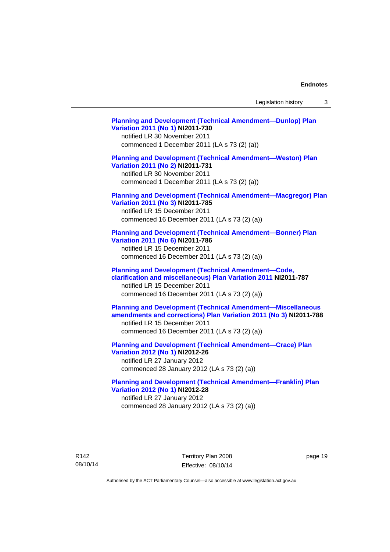Legislation history 3

**[Planning and Development \(Technical Amendment—Dunlop\) Plan](http://www.legislation.act.gov.au/ni/2011-730/)  [Variation 2011 \(No 1\)](http://www.legislation.act.gov.au/ni/2011-730/) NI2011-730**  notified LR 30 November 2011 commenced 1 December 2011 (LA s 73 (2) (a)) **[Planning and Development \(Technical Amendment—Weston\) Plan](http://www.legislation.act.gov.au/ni/2011-731/)  [Variation 2011 \(No 2\)](http://www.legislation.act.gov.au/ni/2011-731/) NI2011-731**  notified LR 30 November 2011 commenced 1 December 2011 (LA s 73 (2) (a)) **[Planning and Development \(Technical Amendment—Macgregor\) Plan](http://www.legislation.act.gov.au/ni/2011-785/)  [Variation 2011 \(No 3\)](http://www.legislation.act.gov.au/ni/2011-785/) NI2011-785**  notified LR 15 December 2011 commenced 16 December 2011 (LA s 73 (2) (a)) **[Planning and Development \(Technical Amendment—Bonner\) Plan](http://www.legislation.act.gov.au/ni/2011-786/)  [Variation 2011 \(No 6\)](http://www.legislation.act.gov.au/ni/2011-786/) NI2011-786**  notified LR 15 December 2011 commenced 16 December 2011 (LA s 73 (2) (a)) **[Planning and Development \(Technical Amendment—Code,](http://www.legislation.act.gov.au/ni/2011-787/)  [clarification and miscellaneous\) Plan Variation 2011](http://www.legislation.act.gov.au/ni/2011-787/) NI2011-787**  notified LR 15 December 2011 commenced 16 December 2011 (LA s 73 (2) (a)) **[Planning and Development \(Technical Amendment—Miscellaneous](http://www.legislation.act.gov.au/ni/2011-788/)  [amendments and corrections\) Plan Variation 2011 \(No 3\)](http://www.legislation.act.gov.au/ni/2011-788/) NI2011-788**  notified LR 15 December 2011 commenced 16 December 2011 (LA s 73 (2) (a)) **[Planning and Development \(Technical Amendment—Crace\) Plan](http://www.legislation.act.gov.au/ni/2012-26/)  [Variation 2012 \(No 1\)](http://www.legislation.act.gov.au/ni/2012-26/) NI2012-26**  notified LR 27 January 2012 commenced 28 January 2012 (LA s 73 (2) (a)) **[Planning and Development \(Technical Amendment—Franklin\) Plan](http://www.legislation.act.gov.au/ni/2012-28/)  [Variation 2012 \(No 1\)](http://www.legislation.act.gov.au/ni/2012-28/) NI2012-28**  notified LR 27 January 2012

commenced 28 January 2012 (LA s 73 (2) (a))

R142 08/10/14 Territory Plan 2008 Effective: 08/10/14 page 19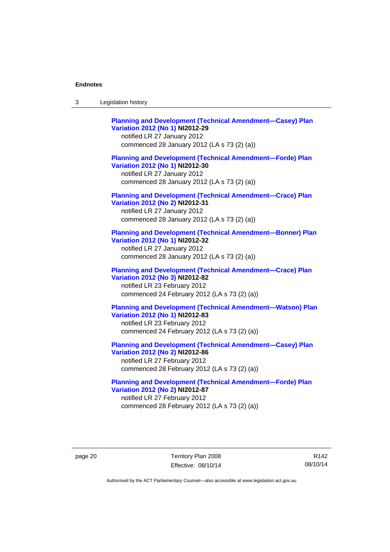| -3 | Legislation history |  |
|----|---------------------|--|
|----|---------------------|--|

**[Planning and Development \(Technical Amendment—Casey\) Plan](http://www.legislation.act.gov.au/ni/2012-29/)  [Variation 2012 \(No 1\)](http://www.legislation.act.gov.au/ni/2012-29/) NI2012-29**  notified LR 27 January 2012 commenced 28 January 2012 (LA s 73 (2) (a)) **[Planning and Development \(Technical Amendment—Forde\) Plan](http://www.legislation.act.gov.au/ni/2012-30/)  [Variation 2012 \(No 1\)](http://www.legislation.act.gov.au/ni/2012-30/) NI2012-30**  notified LR 27 January 2012 commenced 28 January 2012 (LA s 73 (2) (a)) **[Planning and Development \(Technical Amendment—Crace\) Plan](http://www.legislation.act.gov.au/ni/2012-31/)  [Variation 2012 \(No 2\)](http://www.legislation.act.gov.au/ni/2012-31/) NI2012-31**  notified LR 27 January 2012 commenced 28 January 2012 (LA s 73 (2) (a)) **[Planning and Development \(Technical Amendment—Bonner\) Plan](http://www.legislation.act.gov.au/ni/2012-32/)  [Variation 2012 \(No 1\)](http://www.legislation.act.gov.au/ni/2012-32/) NI2012-32**  notified LR 27 January 2012 commenced 28 January 2012 (LA s 73 (2) (a)) **[Planning and Development \(Technical Amendment—Crace\) Plan](http://www.legislation.act.gov.au/ni/2012-82/)  [Variation 2012 \(No 3\)](http://www.legislation.act.gov.au/ni/2012-82/) NI2012-82**  notified LR 23 February 2012 commenced 24 February 2012 (LA s 73 (2) (a)) **[Planning and Development \(Technical Amendment—Watson\) Plan](http://www.legislation.act.gov.au/ni/2012-83/)  [Variation 2012 \(No 1\)](http://www.legislation.act.gov.au/ni/2012-83/) NI2012-83**  notified LR 23 February 2012 commenced 24 February 2012 (LA s 73 (2) (a)) **[Planning and Development \(Technical Amendment—Casey\) Plan](http://www.legislation.act.gov.au/ni/2012-86/)  [Variation 2012 \(No 2\)](http://www.legislation.act.gov.au/ni/2012-86/) NI2012-86**  notified LR 27 February 2012

commenced 28 February 2012 (LA s 73 (2) (a))

**[Planning and Development \(Technical Amendment—Forde\) Plan](http://www.legislation.act.gov.au/ni/2012-87/)  [Variation 2012 \(No 2\)](http://www.legislation.act.gov.au/ni/2012-87/) NI2012-87**  notified LR 27 February 2012 commenced 28 February 2012 (LA s 73 (2) (a))

page 20 Territory Plan 2008 Effective: 08/10/14

R142 08/10/14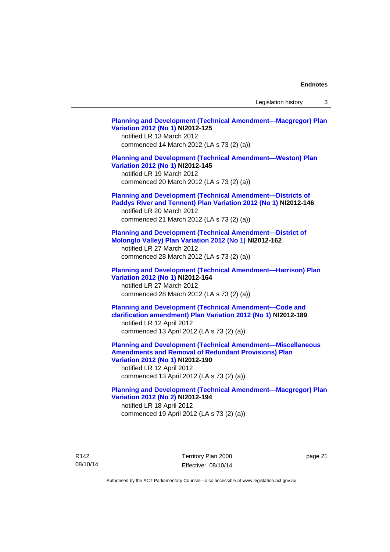Legislation history 3

**[Planning and Development \(Technical Amendment—Macgregor\) Plan](http://www.legislation.act.gov.au/ni/2012-125/)  [Variation 2012 \(No 1\)](http://www.legislation.act.gov.au/ni/2012-125/) NI2012-125**  notified LR 13 March 2012 commenced 14 March 2012 (LA s 73 (2) (a)) **[Planning and Development \(Technical Amendment—Weston\) Plan](http://www.legislation.act.gov.au/ni/2012-145/)  [Variation 2012 \(No 1\)](http://www.legislation.act.gov.au/ni/2012-145/) NI2012-145**  notified LR 19 March 2012 commenced 20 March 2012 (LA s 73 (2) (a)) **[Planning and Development \(Technical Amendment—Districts of](http://www.legislation.act.gov.au/ni/2012-146/)  [Paddys River and Tennent\) Plan Variation 2012 \(No 1\)](http://www.legislation.act.gov.au/ni/2012-146/) NI2012-146**  notified LR 20 March 2012 commenced 21 March 2012 (LA s 73 (2) (a)) **[Planning and Development \(Technical Amendment—District of](http://www.legislation.act.gov.au/ni/2012-162/)  [Molonglo Valley\) Plan Variation 2012 \(No 1\)](http://www.legislation.act.gov.au/ni/2012-162/) NI2012-162**  notified LR 27 March 2012 commenced 28 March 2012 (LA s 73 (2) (a)) **[Planning and Development \(Technical Amendment—Harrison\) Plan](http://www.legislation.act.gov.au/ni/2012-164/)  [Variation 2012 \(No 1\)](http://www.legislation.act.gov.au/ni/2012-164/) NI2012-164**  notified LR 27 March 2012 commenced 28 March 2012 (LA s 73 (2) (a)) **[Planning and Development \(Technical Amendment—Code and](http://www.legislation.act.gov.au/ni/2012-189/)  [clarification amendment\) Plan Variation 2012 \(No 1\)](http://www.legislation.act.gov.au/ni/2012-189/) NI2012-189**  notified LR 12 April 2012 commenced 13 April 2012 (LA s 73 (2) (a)) **[Planning and Development \(Technical Amendment—Miscellaneous](http://www.legislation.act.gov.au/ni/2012-190/)  [Amendments and Removal of Redundant Provisions\) Plan](http://www.legislation.act.gov.au/ni/2012-190/)  [Variation 2012 \(No 1\)](http://www.legislation.act.gov.au/ni/2012-190/) NI2012-190**  notified LR 12 April 2012 commenced 13 April 2012 (LA s 73 (2) (a)) **[Planning and Development \(Technical Amendment—Macgregor\) Plan](http://www.legislation.act.gov.au/ni/2012-194/)  [Variation 2012 \(No 2\)](http://www.legislation.act.gov.au/ni/2012-194/) NI2012-194**  notified LR 18 April 2012 commenced 19 April 2012 (LA s 73 (2) (a))

R142 08/10/14 Territory Plan 2008 Effective: 08/10/14 page 21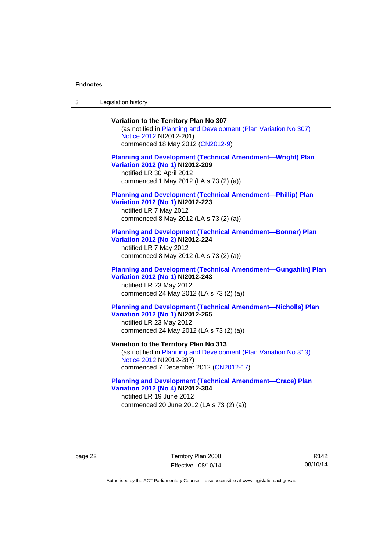3 Legislation history

## **Variation to the Territory Plan No 307**

(as notified in [Planning and Development \(Plan Variation No 307\)](http://www.legislation.act.gov.au/ni/2012-201/)  [Notice 2012](http://www.legislation.act.gov.au/ni/2012-201/) NI2012-201) commenced 18 May 2012 [\(CN2012-9\)](http://www.legislation.act.gov.au/cn/2012-9/)

### **[Planning and Development \(Technical Amendment—Wright\) Plan](http://www.legislation.act.gov.au/ni/2012-209/)  [Variation 2012 \(No 1\)](http://www.legislation.act.gov.au/ni/2012-209/) NI2012-209**

notified LR 30 April 2012 commenced 1 May 2012 (LA s 73 (2) (a))

#### **[Planning and Development \(Technical Amendment—Phillip\) Plan](http://www.legislation.act.gov.au/ni/2012-223/)  [Variation 2012 \(No 1\)](http://www.legislation.act.gov.au/ni/2012-223/) NI2012-223**

notified LR 7 May 2012 commenced 8 May 2012 (LA s 73 (2) (a))

#### **[Planning and Development \(Technical Amendment—Bonner\) Plan](http://www.legislation.act.gov.au/ni/2012-224/)  [Variation 2012 \(No 2\)](http://www.legislation.act.gov.au/ni/2012-224/) NI2012-224**

notified LR 7 May 2012 commenced 8 May 2012 (LA s 73 (2) (a))

### **[Planning and Development \(Technical Amendment—Gungahlin\) Plan](http://www.legislation.act.gov.au/ni/2012-243/)  [Variation 2012 \(No 1\)](http://www.legislation.act.gov.au/ni/2012-243/) NI2012-243**  notified LR 23 May 2012

commenced 24 May 2012 (LA s 73 (2) (a))

### **[Planning and Development \(Technical Amendment—Nicholls\) Plan](http://www.legislation.act.gov.au/ni/2012-265/)  [Variation 2012 \(No 1\)](http://www.legislation.act.gov.au/ni/2012-265/) NI2012-265**

notified LR 23 May 2012 commenced 24 May 2012 (LA s 73 (2) (a))

#### **Variation to the Territory Plan No 313**

(as notified in [Planning and Development \(Plan Variation No 313\)](http://www.legislation.act.gov.au/ni/2012-287/default.asp)  [Notice 2012](http://www.legislation.act.gov.au/ni/2012-287/default.asp) NI2012-287) commenced 7 December 2012 ([CN2012-17](http://www.legislation.act.gov.au/cn/2012-17/default.asp))

#### **[Planning and Development \(Technical Amendment—Crace\) Plan](http://www.legislation.act.gov.au/ni/2012-304/)  [Variation 2012 \(No 4\)](http://www.legislation.act.gov.au/ni/2012-304/) NI2012-304**

notified LR 19 June 2012 commenced 20 June 2012 (LA s 73 (2) (a))

page 22 Territory Plan 2008 Effective: 08/10/14

R142 08/10/14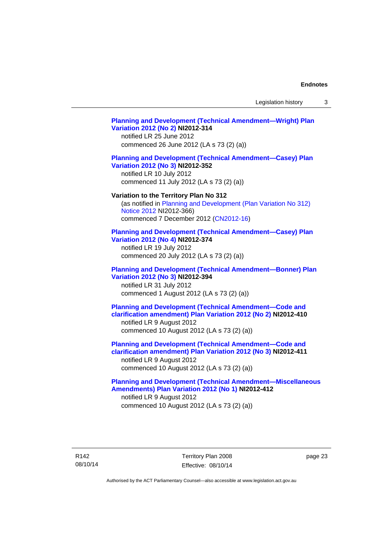Legislation history 3

## **[Planning and Development \(Technical Amendment—Wright\) Plan](http://www.legislation.act.gov.au/ni/2012-314/)  [Variation 2012 \(No 2\)](http://www.legislation.act.gov.au/ni/2012-314/) NI2012-314**  notified LR 25 June 2012 commenced 26 June 2012 (LA s 73 (2) (a)) **[Planning and Development \(Technical Amendment—Casey\) Plan](http://www.legislation.act.gov.au/ni/2012-352/)  [Variation 2012 \(No 3\)](http://www.legislation.act.gov.au/ni/2012-352/) NI2012-352**  notified LR 10 July 2012 commenced 11 July 2012 (LA s 73 (2) (a)) **Variation to the Territory Plan No 312**  (as notified in [Planning and Development \(Plan Variation No 312\)](http://www.legislation.act.gov.au/ni/2012-366/default.asp)  [Notice 2012](http://www.legislation.act.gov.au/ni/2012-366/default.asp) NI2012-366) commenced 7 December 2012 ([CN2012-16](http://www.legislation.act.gov.au/cn/2012-16/default.asp)) **[Planning and Development \(Technical Amendment—Casey\) Plan](http://www.legislation.act.gov.au/ni/2012-374/)  [Variation 2012 \(No 4\)](http://www.legislation.act.gov.au/ni/2012-374/) NI2012-374**  notified LR 19 July 2012 commenced 20 July 2012 (LA s 73 (2) (a)) **[Planning and Development \(Technical Amendment—Bonner\) Plan](http://www.legislation.act.gov.au/ni/2012-394/)  [Variation 2012 \(No 3\)](http://www.legislation.act.gov.au/ni/2012-394/) NI2012-394**  notified LR 31 July 2012 commenced 1 August 2012 (LA s 73 (2) (a)) **[Planning and Development \(Technical Amendment—Code and](http://www.legislation.act.gov.au/ni/2012-410/)  [clarification amendment\) Plan Variation 2012 \(No 2\)](http://www.legislation.act.gov.au/ni/2012-410/) NI2012-410**  notified LR 9 August 2012 commenced 10 August 2012 (LA s 73 (2) (a)) **[Planning and Development \(Technical Amendment—Code and](http://www.legislation.act.gov.au/ni/2012-411/)  [clarification amendment\) Plan Variation 2012 \(No 3\)](http://www.legislation.act.gov.au/ni/2012-411/) NI2012-411**  notified LR 9 August 2012 commenced 10 August 2012 (LA s 73 (2) (a)) **[Planning and Development \(Technical Amendment—Miscellaneous](http://www.legislation.act.gov.au/ni/2012-412/)  [Amendments\) Plan Variation 2012 \(No 1\)](http://www.legislation.act.gov.au/ni/2012-412/) NI2012-412**  notified LR 9 August 2012 commenced 10 August 2012 (LA s 73 (2) (a))

page 23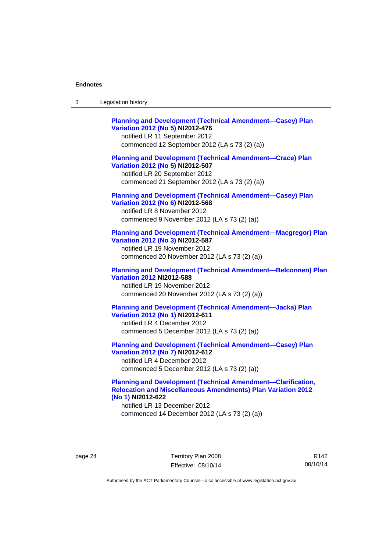| Legislation history<br>-3 |  |
|---------------------------|--|
|---------------------------|--|

| <b>Planning and Development (Technical Amendment-Casey) Plan</b><br>Variation 2012 (No 5) NI2012-476<br>notified LR 11 September 2012<br>commenced 12 September 2012 (LA s 73 (2) (a))   |
|------------------------------------------------------------------------------------------------------------------------------------------------------------------------------------------|
| <b>Planning and Development (Technical Amendment-Crace) Plan</b><br>Variation 2012 (No 5) NI2012-507<br>notified LR 20 September 2012<br>commenced 21 September 2012 (LA s 73 (2) (a))   |
| <b>Planning and Development (Technical Amendment-Casey) Plan</b><br>Variation 2012 (No 6) NI2012-568<br>notified LR 8 November 2012<br>commenced 9 November 2012 (LA s 73 (2) (a))       |
| <b>Planning and Development (Technical Amendment-Macgregor) Plan</b><br>Variation 2012 (No 3) NI2012-587<br>notified LR 19 November 2012<br>commenced 20 November 2012 (LA s 73 (2) (a)) |
| <b>Planning and Development (Technical Amendment-Belconnen) Plan</b><br><b>Variation 2012 NI2012-588</b><br>notified LR 19 November 2012<br>commenced 20 November 2012 (LA s 73 (2) (a)) |
| <b>Planning and Development (Technical Amendment-Jacka) Plan</b><br>Variation 2012 (No 1) NI2012-611<br>notified LR 4 December 2012<br>commenced 5 December 2012 (LA s 73 (2) (a))       |
| <b>Planning and Development (Technical Amendment-Casey) Plan</b><br>Variation 2012 (No 7) NI2012-612<br>notified LR 4 December 2012<br>commenced 5 December 2012 (LA s 73 (2) (a))       |

### **[Planning and Development \(Technical Amendment—Clarification,](http://www.legislation.act.gov.au/ni/2012-622/default.asp)  [Relocation and Miscellaneous Amendments\) Plan Variation 2012](http://www.legislation.act.gov.au/ni/2012-622/default.asp)  [\(No 1\)](http://www.legislation.act.gov.au/ni/2012-622/default.asp) NI2012-622**

notified LR 13 December 2012 commenced 14 December 2012 (LA s 73 (2) (a))

page 24 Territory Plan 2008 Effective: 08/10/14

R142 08/10/14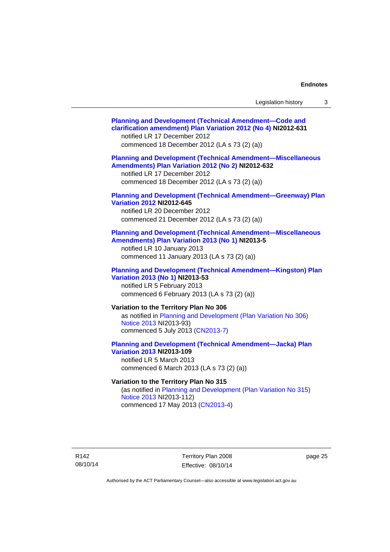| Legislation history |  |
|---------------------|--|
|---------------------|--|

| <b>Planning and Development (Technical Amendment-Code and</b><br>clarification amendment) Plan Variation 2012 (No 4) NI2012-631<br>notified LR 17 December 2012<br>commenced 18 December 2012 (LA s 73 (2) (a)) |
|-----------------------------------------------------------------------------------------------------------------------------------------------------------------------------------------------------------------|
| <b>Planning and Development (Technical Amendment-Miscellaneous</b><br>Amendments) Plan Variation 2012 (No 2) NI2012-632<br>notified LR 17 December 2012<br>commenced 18 December 2012 (LA s 73 (2) (a))         |
| <b>Planning and Development (Technical Amendment-Greenway) Plan</b><br><b>Variation 2012 NI2012-645</b><br>notified LR 20 December 2012<br>commenced 21 December 2012 (LA s 73 (2) (a))                         |
| <b>Planning and Development (Technical Amendment-Miscellaneous</b><br>Amendments) Plan Variation 2013 (No 1) NI2013-5<br>notified LR 10 January 2013<br>commenced 11 January 2013 (LA s 73 (2) (a))             |
| <b>Planning and Development (Technical Amendment-Kingston) Plan</b><br>Variation 2013 (No 1) NI2013-53<br>notified LR 5 February 2013<br>commenced 6 February 2013 (LA s 73 (2) (a))                            |
| Variation to the Territory Plan No 306<br>as notified in Planning and Development (Plan Variation No 306)<br>Notice 2013 NI2013-93)<br>commenced 5 July 2013 (CN2013-7)                                         |
| <b>Planning and Development (Technical Amendment-Jacka) Plan</b><br><b>Variation 2013 NI2013-109</b><br>notified LR 5 March 2013<br>commenced 6 March 2013 (LA s 73 (2) (a))                                    |
| Variation to the Territory Plan No 315<br>(as notified in Planning and Development (Plan Variation No 315)<br>Notice 2013 NI2013-112)                                                                           |

commenced 17 May 2013 [\(CN2013-4\)](http://www.legislation.act.gov.au/cn/2013-4/default.asp)

R142 08/10/14

Territory Plan 2008 Effective: 08/10/14 page 25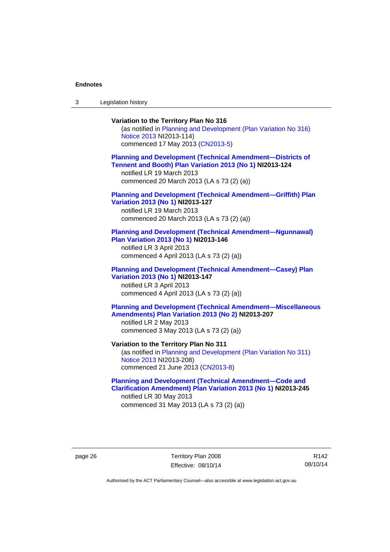3 Legislation history

### **Variation to the Territory Plan No 316**  (as notified in [Planning and Development \(Plan Variation No 316\)](http://www.legislation.act.gov.au/ni/2013-114/default.asp)  [Notice 2013](http://www.legislation.act.gov.au/ni/2013-114/default.asp) NI2013-114) commenced 17 May 2013 [\(CN2013-5\)](http://www.legislation.act.gov.au/cn/2013-5/default.asp) **[Planning and Development \(Technical Amendment—Districts of](http://www.legislation.act.gov.au/ni/2013-124/default.asp)  [Tennent and Booth\) Plan Variation 2013 \(No 1\)](http://www.legislation.act.gov.au/ni/2013-124/default.asp) NI2013-124**  notified LR 19 March 2013 commenced 20 March 2013 (LA s 73 (2) (a)) **[Planning and Development \(Technical Amendment—Griffith\) Plan](http://www.legislation.act.gov.au/ni/2013-127/default.asp)  [Variation 2013 \(No 1\)](http://www.legislation.act.gov.au/ni/2013-127/default.asp) NI2013-127**  notified LR 19 March 2013 commenced 20 March 2013 (LA s 73 (2) (a)) **[Planning and Development \(Technical Amendment—Ngunnawal\)](http://www.legislation.act.gov.au/ni/2013-146/default.asp)  [Plan Variation 2013 \(No 1\)](http://www.legislation.act.gov.au/ni/2013-146/default.asp) NI2013-146**  notified LR 3 April 2013 commenced 4 April 2013 (LA s 73 (2) (a)) **[Planning and Development \(Technical Amendment—Casey\) Plan](http://www.legislation.act.gov.au/ni/2013-147/default.asp)  [Variation 2013 \(No 1\)](http://www.legislation.act.gov.au/ni/2013-147/default.asp) NI2013-147**  notified LR 3 April 2013 commenced 4 April 2013 (LA s 73 (2) (a)) **[Planning and Development \(Technical Amendment—Miscellaneous](http://www.legislation.act.gov.au/ni/2013-207/default.asp)  [Amendments\) Plan Variation 2013 \(No 2\)](http://www.legislation.act.gov.au/ni/2013-207/default.asp) NI2013-207**  notified LR 2 May 2013 commenced 3 May 2013 (LA s 73 (2) (a)) **Variation to the Territory Plan No 311**  (as notified in [Planning and Development \(Plan Variation No 311\)](http://www.legislation.act.gov.au/ni/2013-208/default.asp)  [Notice 2013](http://www.legislation.act.gov.au/ni/2013-208/default.asp) NI2013-208) commenced 21 June 2013 ([CN2013-8\)](http://www.legislation.act.gov.au/cn/2013-8/default.asp) **[Planning and Development \(Technical Amendment—Code and](http://www.legislation.act.gov.au/ni/2013-245/default.asp)  [Clarification Amendment\) Plan Variation 2013 \(No 1\)](http://www.legislation.act.gov.au/ni/2013-245/default.asp) NI2013-245**

notified LR 30 May 2013 commenced 31 May 2013 (LA s 73 (2) (a))

page 26 Territory Plan 2008 Effective: 08/10/14

R142 08/10/14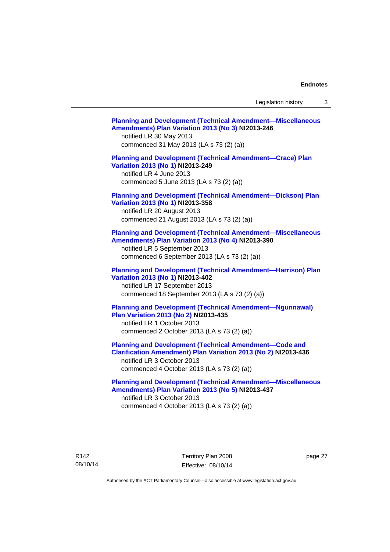Legislation history 3

| <b>Planning and Development (Technical Amendment-Miscellaneous</b><br>Amendments) Plan Variation 2013 (No 3) NI2013-246<br>notified LR 30 May 2013<br>commenced 31 May 2013 (LA s 73 (2) (a))                      |  |
|--------------------------------------------------------------------------------------------------------------------------------------------------------------------------------------------------------------------|--|
| <b>Planning and Development (Technical Amendment-Crace) Plan</b><br>Variation 2013 (No 1) NI2013-249<br>notified LR 4 June 2013<br>commenced 5 June 2013 (LA s 73 (2) (a))                                         |  |
| <b>Planning and Development (Technical Amendment-Dickson) Plan</b><br>Variation 2013 (No 1) NI2013-358<br>notified LR 20 August 2013<br>commenced 21 August 2013 (LA s 73 (2) (a))                                 |  |
| <b>Planning and Development (Technical Amendment-Miscellaneous</b><br>Amendments) Plan Variation 2013 (No 4) NI2013-390<br>notified LR 5 September 2013<br>commenced 6 September 2013 (LA s 73 (2) (a))            |  |
| <b>Planning and Development (Technical Amendment-Harrison) Plan</b><br>Variation 2013 (No 1) NI2013-402<br>notified LR 17 September 2013<br>commenced 18 September 2013 (LA s 73 (2) (a))                          |  |
| <b>Planning and Development (Technical Amendment-Ngunnawal)</b><br>Plan Variation 2013 (No 2) NI2013-435<br>notified LR 1 October 2013<br>commenced 2 October 2013 (LA s 73 (2) (a))                               |  |
| <b>Planning and Development (Technical Amendment-Code and</b><br><b>Clarification Amendment) Plan Variation 2013 (No 2) NI2013-436</b><br>notified LR 3 October 2013<br>commenced 4 October 2013 (LA s 73 (2) (a)) |  |
| <b>Planning and Development (Technical Amendment-Miscellaneous</b><br>Amendments) Plan Variation 2013 (No 5) NI2013-437<br>notified LR 3 October 2013<br>commenced 4 October 2013 (LA s 73 (2) (a))                |  |

R142 08/10/14 Territory Plan 2008 Effective: 08/10/14

page 27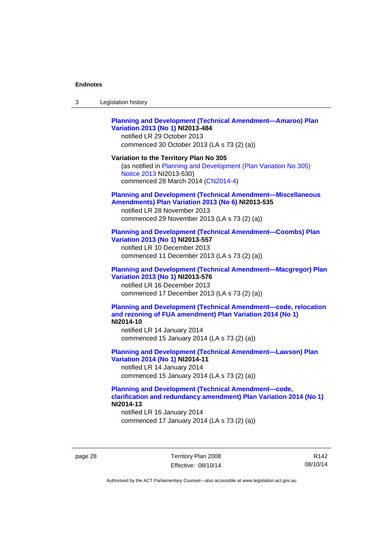| 3 | Legislation history |  |
|---|---------------------|--|
|---|---------------------|--|

### **[Planning and Development \(Technical Amendment—Amaroo\) Plan](http://www.legislation.act.gov.au/ni/2013-484/default.asp)  [Variation 2013 \(No 1\)](http://www.legislation.act.gov.au/ni/2013-484/default.asp) NI2013-484**

notified LR 29 October 2013 commenced 30 October 2013 (LA s 73 (2) (a))

#### **Variation to the Territory Plan No 305**

(as notified in [Planning and Development \(Plan Variation No 305\)](http://www.legislation.act.gov.au/ni/2013-530/default.asp)  [Notice 2013](http://www.legislation.act.gov.au/ni/2013-530/default.asp) NI2013-530) commenced 28 March 2014 [\(CN2014-4\)](http://www.legislation.act.gov.au/cn/2014-4/default.asp)

#### **[Planning and Development \(Technical Amendment—Miscellaneous](http://www.legislation.act.gov.au/ni/2013-535/default.asp)  [Amendments\) Plan Variation 2013 \(No 6\)](http://www.legislation.act.gov.au/ni/2013-535/default.asp) NI2013-535**

notified LR 28 November 2013 commenced 29 November 2013 (LA s 73 (2) (a))

#### **[Planning and Development \(Technical Amendment—Coombs\) Plan](http://www.legislation.act.gov.au/ni/2013-557/default.asp)  [Variation 2013 \(No 1\)](http://www.legislation.act.gov.au/ni/2013-557/default.asp) NI2013-557**

notified LR 10 December 2013 commenced 11 December 2013 (LA s 73 (2) (a))

### **[Planning and Development \(Technical Amendment—Macgregor\) Plan](http://www.legislation.act.gov.au/ni/2013-576/default.asp)  [Variation 2013 \(No 1\)](http://www.legislation.act.gov.au/ni/2013-576/default.asp) NI2013-576**  notified LR 16 December 2013

commenced 17 December 2013 (LA s 73 (2) (a))

#### **[Planning and Development \(Technical Amendment—code, relocation](http://www.legislation.act.gov.au/ni/2014-10/default.asp)  [and rezoning of FUA amendment\) Plan Variation 2014 \(No 1\)](http://www.legislation.act.gov.au/ni/2014-10/default.asp) NI2014-10**

notified LR 14 January 2014 commenced 15 January 2014 (LA s 73 (2) (a))

### **[Planning and Development \(Technical Amendment—Lawson\) Plan](http://www.legislation.act.gov.au/ni/2014-11/default.asp)  [Variation 2014 \(No 1\)](http://www.legislation.act.gov.au/ni/2014-11/default.asp) NI2014-11**

notified LR 14 January 2014 commenced 15 January 2014 (LA s 73 (2) (a))

### **[Planning and Development \(Technical Amendment—code,](http://www.legislation.act.gov.au/ni/2014-13/default.asp)  [clarification and redundancy amendment\) Plan Variation 2014 \(No 1\)](http://www.legislation.act.gov.au/ni/2014-13/default.asp) NI2014-13**

notified LR 16 January 2014 commenced 17 January 2014 (LA s 73 (2) (a))

page 28 Territory Plan 2008 Effective: 08/10/14

R142 08/10/14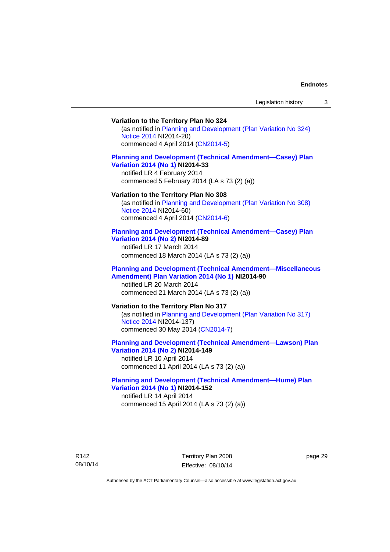### **Variation to the Territory Plan No 324**

(as notified in [Planning and Development \(Plan Variation No 324\)](http://www.legislation.act.gov.au/ni/2014-20/default.asp)  [Notice 2014](http://www.legislation.act.gov.au/ni/2014-20/default.asp) NI2014-20) commenced 4 April 2014 ([CN2014-5](http://www.legislation.act.gov.au/cn/2014-5/default.asp))

#### **[Planning and Development \(Technical Amendment—Casey\) Plan](http://www.legislation.act.gov.au/ni/2014-33/default.asp)  [Variation 2014 \(No 1\)](http://www.legislation.act.gov.au/ni/2014-33/default.asp) NI2014-33**

notified LR 4 February 2014 commenced 5 February 2014 (LA s 73 (2) (a))

#### **Variation to the Territory Plan No 308**

(as notified in [Planning and Development \(Plan Variation No 308\)](http://www.legislation.act.gov.au/ni/2014-60/default.asp)  [Notice 2014](http://www.legislation.act.gov.au/ni/2014-60/default.asp) NI2014-60) commenced 4 April 2014 ([CN2014-6](http://www.legislation.act.gov.au/cn/2014-6/default.asp))

#### **[Planning and Development \(Technical Amendment—Casey\) Plan](http://www.legislation.act.gov.au/ni/2014-89/default.asp)  [Variation 2014 \(No 2\)](http://www.legislation.act.gov.au/ni/2014-89/default.asp) NI2014-89**

notified LR 17 March 2014 commenced 18 March 2014 (LA s 73 (2) (a))

#### **[Planning and Development \(Technical Amendment—Miscellaneous](http://www.legislation.act.gov.au/ni/2014-90/default.asp)  [Amendment\) Plan Variation 2014 \(No 1\)](http://www.legislation.act.gov.au/ni/2014-90/default.asp) NI2014-90**  notified LR 20 March 2014

commenced 21 March 2014 (LA s 73 (2) (a))

### **Variation to the Territory Plan No 317**

(as notified in [Planning and Development \(Plan Variation No 317\)](http://www.legislation.act.gov.au/ni/2014-137/default.asp)  [Notice 2014](http://www.legislation.act.gov.au/ni/2014-137/default.asp) NI2014-137) commenced 30 May 2014 [\(CN2014-7\)](http://www.legislation.act.gov.au/cn/2014-7/default.asp)

### **[Planning and Development \(Technical Amendment—Lawson\) Plan](http://www.legislation.act.gov.au/ni/2014-149/default.asp)  [Variation 2014 \(No 2\)](http://www.legislation.act.gov.au/ni/2014-149/default.asp) NI2014-149**

notified LR 10 April 2014 commenced 11 April 2014 (LA s 73 (2) (a))

### **[Planning and Development \(Technical Amendment—Hume\) Plan](http://www.legislation.act.gov.au/ni/2014-152/default.asp)  [Variation 2014 \(No 1\)](http://www.legislation.act.gov.au/ni/2014-152/default.asp) NI2014-152**

notified LR 14 April 2014 commenced 15 April 2014 (LA s 73 (2) (a))

R142 08/10/14 page 29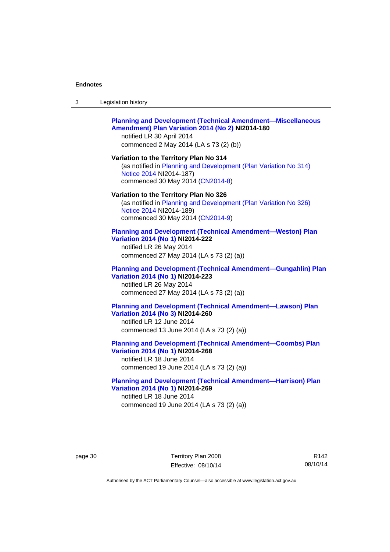| -3 | Legislation history |  |
|----|---------------------|--|
|----|---------------------|--|

#### **[Planning and Development \(Technical Amendment—Miscellaneous](http://www.legislation.act.gov.au/ni/2014-180/default.asp)  [Amendment\) Plan Variation 2014 \(No 2\)](http://www.legislation.act.gov.au/ni/2014-180/default.asp) NI2014-180**  notified LR 30 April 2014

commenced 2 May 2014 (LA s 73 (2) (b))

**Variation to the Territory Plan No 314**  (as notified in [Planning and Development \(Plan Variation No 314\)](http://www.legislation.act.gov.au/ni/2014-187/default.asp)  [Notice 2014](http://www.legislation.act.gov.au/ni/2014-187/default.asp) NI2014-187)

commenced 30 May 2014 [\(CN2014-8\)](http://www.legislation.act.gov.au/cn/2014-8/default.asp)

#### **Variation to the Territory Plan No 326**

(as notified in [Planning and Development \(Plan Variation No 326\)](http://www.legislation.act.gov.au/ni/2014-189/default.asp)  [Notice 2014](http://www.legislation.act.gov.au/ni/2014-189/default.asp) NI2014-189) commenced 30 May 2014 [\(CN2014-9\)](http://www.legislation.act.gov.au/cn/2014-9/default.asp)

#### **[Planning and Development \(Technical Amendment—Weston\) Plan](http://www.legislation.act.gov.au/ni/2014-222/default.asp)  [Variation 2014 \(No 1\)](http://www.legislation.act.gov.au/ni/2014-222/default.asp) NI2014-222**

notified LR 26 May 2014 commenced 27 May 2014 (LA s 73 (2) (a))

### **[Planning and Development \(Technical Amendment—Gungahlin\) Plan](http://www.legislation.act.gov.au/ni/2014-223/default.asp)  [Variation 2014 \(No 1\)](http://www.legislation.act.gov.au/ni/2014-223/default.asp) NI2014-223**  notified LR 26 May 2014

commenced 27 May 2014 (LA s 73 (2) (a))

### **[Planning and Development \(Technical Amendment—Lawson\) Plan](http://www.legislation.act.gov.au/ni/2014-260/default.asp)  [Variation 2014 \(No 3\)](http://www.legislation.act.gov.au/ni/2014-260/default.asp) NI2014-260**

notified LR 12 June 2014 commenced 13 June 2014 (LA s 73 (2) (a))

**[Planning and Development \(Technical Amendment—Coombs\) Plan](http://www.legislation.act.gov.au/ni/2014-268/default.asp)  [Variation 2014 \(No 1\)](http://www.legislation.act.gov.au/ni/2014-268/default.asp) NI2014-268** 

notified LR 18 June 2014 commenced 19 June 2014 (LA s 73 (2) (a))

#### **[Planning and Development \(Technical Amendment—Harrison\) Plan](http://www.legislation.act.gov.au/ni/2014-269/default.asp)  [Variation 2014 \(No 1\)](http://www.legislation.act.gov.au/ni/2014-269/default.asp) NI2014-269**  notified LR 18 June 2014

commenced 19 June 2014 (LA s 73 (2) (a))

page 30 Territory Plan 2008 Effective: 08/10/14

R142 08/10/14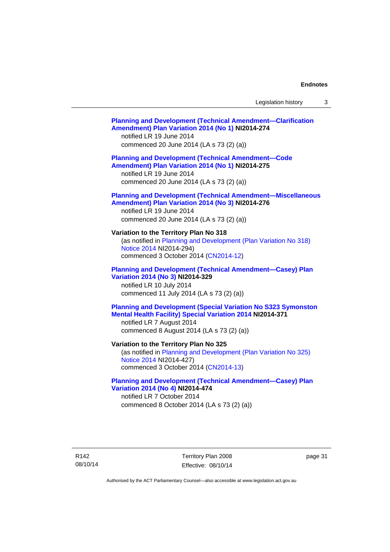## **[Planning and Development \(Technical Amendment—Clarification](http://www.legislation.act.gov.au/ni/2014-274/default.asp)  [Amendment\) Plan Variation 2014 \(No 1\)](http://www.legislation.act.gov.au/ni/2014-274/default.asp) NI2014-274**  notified LR 19 June 2014 commenced 20 June 2014 (LA s 73 (2) (a)) **[Planning and Development \(Technical Amendment—Code](http://www.legislation.act.gov.au/ni/2014-275/default.asp)  [Amendment\) Plan Variation 2014 \(No 1\)](http://www.legislation.act.gov.au/ni/2014-275/default.asp) NI2014-275**  notified LR 19 June 2014 commenced 20 June 2014 (LA s 73 (2) (a)) **[Planning and Development \(Technical Amendment—Miscellaneous](http://www.legislation.act.gov.au/ni/2014-276/default.asp)  [Amendment\) Plan Variation 2014 \(No 3\)](http://www.legislation.act.gov.au/ni/2014-276/default.asp) NI2014-276**  notified LR 19 June 2014 commenced 20 June 2014 (LA s 73 (2) (a)) **Variation to the Territory Plan No 318**  (as notified in [Planning and Development \(Plan Variation No 318\)](http://www.legislation.act.gov.au/ni/2014-294/default.asp)  [Notice 2014](http://www.legislation.act.gov.au/ni/2014-294/default.asp) NI2014-294) commenced 3 October 2014 [\(CN2014-12\)](http://www.legislation.act.gov.au/cn/2014-12/default.asp) **[Planning and Development \(Technical Amendment—Casey\) Plan](http://www.legislation.act.gov.au/ni/2014-329/default.asp)  [Variation 2014 \(No 3\)](http://www.legislation.act.gov.au/ni/2014-329/default.asp) NI2014-329**  notified LR 10 July 2014 commenced 11 July 2014 (LA s 73 (2) (a)) **[Planning and Development \(Special Variation No S323 Symonston](http://www.legislation.act.gov.au/ni/2014-371/default.asp)  [Mental Health Facility\) Special Variation 2014](http://www.legislation.act.gov.au/ni/2014-371/default.asp) NI2014-371**  notified LR 7 August 2014 commenced 8 August 2014 (LA s 73 (2) (a)) **Variation to the Territory Plan No 325**  (as notified in [Planning and Development \(Plan Variation No 325\)](http://www.legislation.act.gov.au/ni/2014-427/default.asp)  [Notice 2014](http://www.legislation.act.gov.au/ni/2014-427/default.asp) NI2014-427) commenced 3 October 2014 [\(CN2014-13\)](http://www.legislation.act.gov.au/cn/2014-13/default.asp) **[Planning and Development \(Technical Amendment—Casey\) Plan](http://www.legislation.act.gov.au/ni/2014-474/default.asp)  [Variation 2014 \(No 4\)](http://www.legislation.act.gov.au/ni/2014-474/default.asp) NI2014-474**  notified LR 7 October 2014 commenced 8 October 2014 (LA s 73 (2) (a))

R142 08/10/14 Territory Plan 2008 Effective: 08/10/14 page 31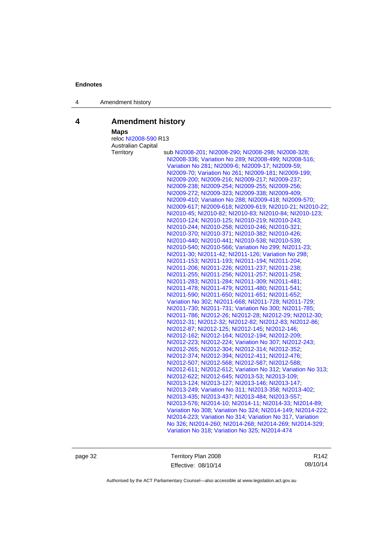4 Amendment history

## **4 Amendment history**

 **Maps** 

| <b>Maps</b>          |                                                                                                                |
|----------------------|----------------------------------------------------------------------------------------------------------------|
| reloc NI2008-590 R13 |                                                                                                                |
| Australian Capital   |                                                                                                                |
| Territory            | sub NI2008-201; NI2008-290; NI2008-298; NI2008-328;                                                            |
|                      | NI2008-336, Variation No 289, NI2008-499, NI2008-516,                                                          |
|                      | Variation No 281, NI2009-6, NI2009-17, NI2009-59,                                                              |
|                      | NI2009-70; Variation No 261; NI2009-181; NI2009-199;                                                           |
|                      | NI2009-200, NI2009-216, NI2009-217, NI2009-237,                                                                |
|                      | NI2009-238; NI2009-254; NI2009-255; NI2009-256;                                                                |
|                      | NI2009-272, NI2009-323, NI2009-338, NI2009-409,                                                                |
|                      | NI2009-410, Variation No 288, NI2009-418, NI2009-570,                                                          |
|                      | NI2009-617, NI2009-618, NI2009-619, NI2010-21, NI2010-22,                                                      |
|                      | NI2010-45; NI2010-82; NI2010-83; NI2010-84; NI2010-123;                                                        |
|                      | NI2010-124, NI2010-125, NI2010-219, NI2010-243,                                                                |
|                      | NI2010-244, NI2010-258, NI2010-246, NI2010-321,                                                                |
|                      | NI2010-370, NI2010-371, NI2010-382, NI2010-426,                                                                |
|                      | NI2010-440, NI2010-441, NI2010-538, NI2010-539,                                                                |
|                      | NI2010-540; NI2010-566; Variation No 299; NI2011-23;                                                           |
|                      | NI2011-30; NI2011-42; NI2011-126; Variation No 298;                                                            |
|                      | NI2011-153, NI2011-193, NI2011-194, NI2011-204,                                                                |
|                      | NI2011-206, NI2011-226, NI2011-237, NI2011-238,                                                                |
|                      | NI2011-255, NI2011-256, NI2011-257, NI2011-258,                                                                |
|                      | NI2011-283, NI2011-284, NI2011-309, NI2011-481,                                                                |
|                      | NI2011-478; NI2011-479; NI2011-480; NI2011-541;                                                                |
|                      | NI2011-590; NI2011-650; NI2011-651; NI2011-652;                                                                |
|                      | Variation No 302, NI2011-668, NI2011-728, NI2011-729,                                                          |
|                      | NI2011-730, NI2011-731, Variation No 300, NI2011-785,                                                          |
|                      | NI2011-786; NI2012-26; NI2012-28; NI2012-29; NI2012-30;                                                        |
|                      | NI2012-31, NI2012-32, NI2012-82, NI2012-83, NI2012-86,                                                         |
|                      | NI2012-87, NI2012-125, NI2012-145, NI2012-146,                                                                 |
|                      | NI2012-162; NI2012-164; NI2012-194; NI2012-209;                                                                |
|                      | NI2012-223; NI2012-224; Variation No 307; NI2012-243;                                                          |
|                      | NI2012-265, NI2012-304, NI2012-314, NI2012-352,                                                                |
|                      | NI2012-374, NI2012-394, NI2012-411, NI2012-476,                                                                |
|                      | NI2012-507, NI2012-568, NI2012-587, NI2012-588,<br>NI2012-611, NI2012-612; Variation No 312, Variation No 313; |
|                      | NI2012-622, NI2012-645, NI2013-53, NI2013-109,                                                                 |
|                      |                                                                                                                |
|                      | NI2013-124; NI2013-127; NI2013-146; NI2013-147;                                                                |
|                      | NI2013-249; Variation No 311; NI2013-358; NI2013-402;<br>NI2013-435, NI2013-437, NI2013-484, NI2013-557,       |
|                      | NI2013-576, NI2014-10, NI2014-11, NI2014-33, NI2014-89,                                                        |
|                      | Variation No 308; Variation No 324; NI2014-149; NI2014-222;                                                    |
|                      | NI2014-223; Variation No 314; Variation No 317, Variation                                                      |
|                      |                                                                                                                |
|                      | No 326; NI2014-260; NI2014-268; NI2014-269; NI2014-329;<br>Variation No 318, Variation No 325, NI2014-474      |
|                      |                                                                                                                |

page 32 Territory Plan 2008 Effective: 08/10/14

R142 08/10/14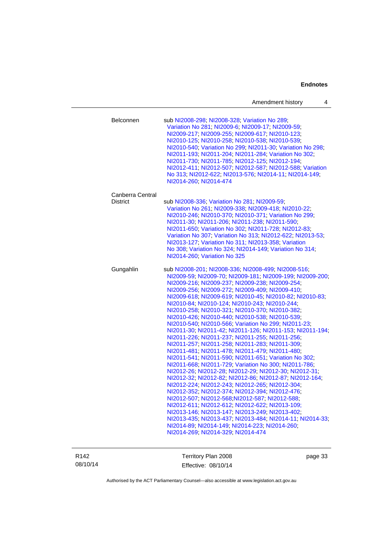|                                     | Amendment history<br>4                                                                                                                                                                                                                                                                                                                                                                                                                                                                                                                                                                                                                                                                                                                                                                                                                                                                                                                                                                                                                                                                                                                                                                                                                                                                                                                                                              |
|-------------------------------------|-------------------------------------------------------------------------------------------------------------------------------------------------------------------------------------------------------------------------------------------------------------------------------------------------------------------------------------------------------------------------------------------------------------------------------------------------------------------------------------------------------------------------------------------------------------------------------------------------------------------------------------------------------------------------------------------------------------------------------------------------------------------------------------------------------------------------------------------------------------------------------------------------------------------------------------------------------------------------------------------------------------------------------------------------------------------------------------------------------------------------------------------------------------------------------------------------------------------------------------------------------------------------------------------------------------------------------------------------------------------------------------|
| Belconnen                           | sub NI2008-298; NI2008-328; Variation No 289;<br>Variation No 281, NI2009-6, NI2009-17, NI2009-59,<br>NI2009-217; NI2009-255; NI2009-617; NI2010-123;<br>NI2010-125, NI2010-258, NI2010-538, NI2010-539,<br>NI2010-540; Variation No 299; NI2011-30; Variation No 298;<br>NI2011-193; NI2011-204; NI2011-284; Variation No 302;<br>NI2011-730; NI2011-785; NI2012-125; NI2012-194;<br>NI2012-411; NI2012-507; NI2012-587; NI2012-588; Variation<br>No 313; NI2012-622; NI2013-576; NI2014-11; NI2014-149;<br>NI2014-260; NI2014-474                                                                                                                                                                                                                                                                                                                                                                                                                                                                                                                                                                                                                                                                                                                                                                                                                                                 |
| Canberra Central<br><b>District</b> | sub NI2008-336; Variation No 281; NI2009-59;<br>Variation No 261, NI2009-338, NI2009-418, NI2010-22,<br>NI2010-246; NI2010-370; NI2010-371; Variation No 299;<br>NI2011-30, NI2011-206, NI2011-238, NI2011-590,<br>NI2011-650, Variation No 302, NI2011-728, NI2012-83,<br>Variation No 307, Variation No 313, NI2012-622, NI2013-53,<br>NI2013-127; Variation No 311; NI2013-358; Variation<br>No 308; Variation No 324; NI2014-149; Variation No 314;<br>NI2014-260; Variation No 325                                                                                                                                                                                                                                                                                                                                                                                                                                                                                                                                                                                                                                                                                                                                                                                                                                                                                             |
| Gungahlin                           | sub NI2008-201; NI2008-336; NI2008-499; NI2008-516;<br>NI2009-59, NI2009-70, NI2009-181, NI2009-199, NI2009-200,<br>NI2009-216, NI2009-237, NI2009-238, NI2009-254,<br>NI2009-256, NI2009-272, NI2009-409, NI2009-410,<br>NI2009-618; NI2009-619; NI2010-45; NI2010-82; NI2010-83;<br>NI2010-84, NI2010-124, NI2010-243, NI2010-244,<br>NI2010-258; NI2010-321; NI2010-370; NI2010-382;<br>NI2010-426, NI2010-440, NI2010-538, NI2010-539,<br>NI2010-540; NI2010-566; Variation No 299; NI2011-23;<br>NI2011-30; NI2011-42; NI2011-126; NI2011-153; NI2011-194;<br>NI2011-226, NI2011-237, NI2011-255, NI2011-256,<br>NI2011-257, NI2011-258, NI2011-283, NI2011-309,<br>NI2011-481, NI2011-478, NI2011-479, NI2011-480,<br>NI2011-541, NI2011-590, NI2011-651, Variation No 302,<br>NI2011-668, NI2011-729; Variation No 300, NI2011-786;<br>NI2012-26, NI2012-28, NI2012-29, NI2012-30, NI2012-31,<br>NI2012-32; NI2012-82; NI2012-86; NI2012-87; NI2012-164;<br>NI2012-224; NI2012-243; NI2012-265; NI2012-304;<br>NI2012-352, NI2012-374, NI2012-394, NI2012-476,<br>NI2012-507, NI2012-568, NI2012-587, NI2012-588,<br>NI2012-611, NI2012-612, NI2012-622, NI2013-109;<br>NI2013-146; NI2013-147; NI2013-249; NI2013-402;<br>NI2013-435; NI2013-437; NI2013-484; NI2014-11; NI2014-33;<br>NI2014-89, NI2014-149, NI2014-223, NI2014-260,<br>NI2014-269; NI2014-329; NI2014-474 |

R142 08/10/14

Territory Plan 2008 Effective: 08/10/14

page 33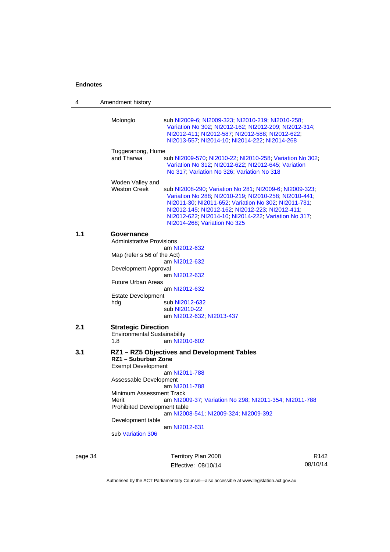| 4   | Amendment history                                                                                           |                                                                                                                                                                                                                                                                                                                     |
|-----|-------------------------------------------------------------------------------------------------------------|---------------------------------------------------------------------------------------------------------------------------------------------------------------------------------------------------------------------------------------------------------------------------------------------------------------------|
|     | Molonglo                                                                                                    | sub NI2009-6, NI2009-323, NI2010-219, NI2010-258,<br>Variation No 302; NI2012-162; NI2012-209; NI2012-314;<br>NI2012-411; NI2012-587; NI2012-588; NI2012-622;<br>NI2013-557; NI2014-10; NI2014-222; NI2014-268                                                                                                      |
|     | Tuggeranong, Hume<br>and Tharwa                                                                             | sub NI2009-570; NI2010-22; NI2010-258; Variation No 302;<br>Variation No 312; NI2012-622; NI2012-645; Variation<br>No 317; Variation No 326; Variation No 318                                                                                                                                                       |
|     | Woden Valley and<br><b>Weston Creek</b>                                                                     | sub NI2008-290, Variation No 281, NI2009-6, NI2009-323,<br>Variation No 288; NI2010-219; NI2010-258; NI2010-441;<br>NI2011-30, NI2011-652, Variation No 302, NI2011-731,<br>NI2012-145; NI2012-162; NI2012-223; NI2012-411;<br>NI2012-622; NI2014-10; NI2014-222; Variation No 317;<br>NI2014-268; Variation No 325 |
| 1.1 | Governance<br><b>Administrative Provisions</b>                                                              | am NI2012-632                                                                                                                                                                                                                                                                                                       |
|     | Map (refer s 56 of the Act)                                                                                 | am NI2012-632                                                                                                                                                                                                                                                                                                       |
|     | Development Approval                                                                                        | am NI2012-632                                                                                                                                                                                                                                                                                                       |
|     | <b>Future Urban Areas</b>                                                                                   | am NI2012-632                                                                                                                                                                                                                                                                                                       |
|     | <b>Estate Development</b><br>hdg                                                                            | sub NI2012-632<br>sub NI2010-22<br>am NI2012-632; NI2013-437                                                                                                                                                                                                                                                        |
| 2.1 | <b>Strategic Direction</b><br><b>Environmental Sustainability</b><br>1.8                                    | am NI2010-602                                                                                                                                                                                                                                                                                                       |
| 3.1 | RZ1 - Suburban Zone<br><b>Exempt Development</b>                                                            | RZ1 - RZ5 Objectives and Development Tables                                                                                                                                                                                                                                                                         |
|     | Assessable Development                                                                                      | am NI2011-788                                                                                                                                                                                                                                                                                                       |
|     | Minimum Assessment Track<br>Merit<br>Prohibited Development table<br>Development table<br>sub Variation 306 | am NI2011-788<br>am NI2009-37, Variation No 298, NI2011-354, NI2011-788<br>am NI2008-541; NI2009-324; NI2009-392<br>am NI2012-631                                                                                                                                                                                   |
|     |                                                                                                             |                                                                                                                                                                                                                                                                                                                     |

page 34 Territory Plan 2008 Effective: 08/10/14

R142 08/10/14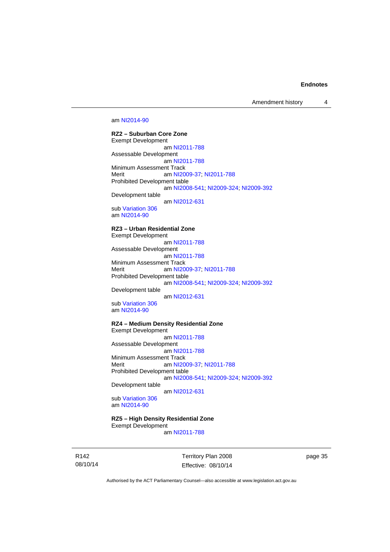Amendment history 4

#### am [NI2014-90](http://www.legislation.act.gov.au/ni/2014-90/default.asp)

**RZ2 – Suburban Core Zone**  Exempt Development am [NI2011-788](http://www.legislation.act.gov.au/ni/2011-788/) Assessable Development am [NI2011-788](http://www.legislation.act.gov.au/ni/2011-788/) Minimum Assessment Track Merit **am [NI2009-37](http://www.legislation.act.gov.au/ni/2009-37/); [NI2011-788](http://www.legislation.act.gov.au/ni/2011-788/)** Prohibited Development table am [NI2008-541](http://www.legislation.act.gov.au/ni/2008-541/); [NI2009-324](http://www.legislation.act.gov.au/ni/2009-324/); [NI2009-392](http://www.legislation.act.gov.au/ni/2009-392/) Development table am [NI2012-631](http://www.legislation.act.gov.au/ni/2012-631/default.asp)

sub [Variation 306](http://www.legislation.act.gov.au/ni/2013-93/default.asp) am [NI2014-90](http://www.legislation.act.gov.au/ni/2014-90/default.asp)

#### **RZ3 – Urban Residential Zone**

Exempt Development am [NI2011-788](http://www.legislation.act.gov.au/ni/2011-788/) Assessable Development am [NI2011-788](http://www.legislation.act.gov.au/ni/2011-788/) Minimum Assessment Track<br>Merit am NI20 am [NI2009-37](http://www.legislation.act.gov.au/ni/2009-37/); [NI2011-788](http://www.legislation.act.gov.au/ni/2011-788/) Prohibited Development table am [NI2008-541](http://www.legislation.act.gov.au/ni/2008-541/); [NI2009-324](http://www.legislation.act.gov.au/ni/2009-324/); [NI2009-392](http://www.legislation.act.gov.au/ni/2009-392/) Development table

 am [NI2012-631](http://www.legislation.act.gov.au/ni/2012-631/default.asp) sub [Variation 306](http://www.legislation.act.gov.au/ni/2013-93/default.asp)

am [NI2014-90](http://www.legislation.act.gov.au/ni/2014-90/default.asp)

### **RZ4 – Medium Density Residential Zone**

Exempt Development am [NI2011-788](http://www.legislation.act.gov.au/ni/2011-788/) Assessable Development am [NI2011-788](http://www.legislation.act.gov.au/ni/2011-788/) Minimum Assessment Track<br>Merit am NI20 am [NI2009-37](http://www.legislation.act.gov.au/ni/2009-37/); [NI2011-788](http://www.legislation.act.gov.au/ni/2011-788/) Prohibited Development table am [NI2008-541](http://www.legislation.act.gov.au/ni/2008-541/); [NI2009-324](http://www.legislation.act.gov.au/ni/2009-324/); [NI2009-392](http://www.legislation.act.gov.au/ni/2009-392/)

Development table

am [NI2012-631](http://www.legislation.act.gov.au/ni/2012-631/default.asp)

sub [Variation 306](http://www.legislation.act.gov.au/ni/2013-93/default.asp) am [NI2014-90](http://www.legislation.act.gov.au/ni/2014-90/default.asp)

#### **RZ5 – High Density Residential Zone**

Exempt Development am [NI2011-788](http://www.legislation.act.gov.au/ni/2011-788/)

R142 08/10/14 Territory Plan 2008 Effective: 08/10/14 page 35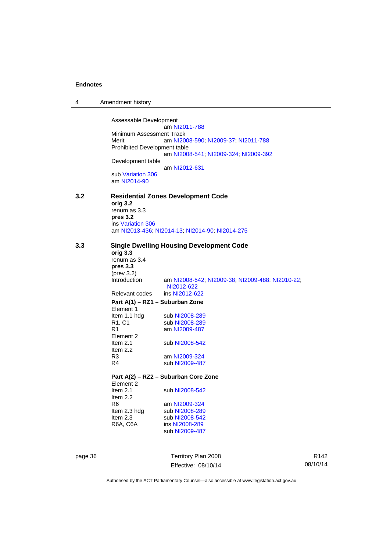| 4 | Amendment history |
|---|-------------------|
|---|-------------------|

Assessable Development am [NI2011-788](http://www.legislation.act.gov.au/ni/2011-788/) Minimum Assessment Track<br>Merit am NI20 am [NI2008-590](http://www.legislation.act.gov.au/ni/2008-590/default.asp); [NI2009-37](http://www.legislation.act.gov.au/ni/2009-37/); [NI2011-788](http://www.legislation.act.gov.au/ni/2011-788/) Prohibited Development table am [NI2008-541](http://www.legislation.act.gov.au/ni/2008-541/); [NI2009-324](http://www.legislation.act.gov.au/ni/2009-324/); [NI2009-392](http://www.legislation.act.gov.au/ni/2009-392/) Development table am [NI2012-631](http://www.legislation.act.gov.au/ni/2012-631/default.asp) sub [Variation 306](http://www.legislation.act.gov.au/ni/2013-93/default.asp) am [NI2014-90](http://www.legislation.act.gov.au/ni/2014-90/default.asp)

### **3.2 Residential Zones Development Code orig 3.2**  renum as 3.3

**pres 3.2**  ins [Variation 306](http://www.legislation.act.gov.au/ni/2013-93/default.asp) am [NI2013-436](http://www.legislation.act.gov.au/ni/2013-436/default.asp); [NI2014-13](http://www.legislation.act.gov.au/ni/2014-13/default.asp); [NI2014-90](http://www.legislation.act.gov.au/ni/2014-90/default.asp); [NI2014-275](http://www.legislation.act.gov.au/ni/2014-275/default.asp)

**3.3 Single Dwelling Housing Development Code** 

| orig 3.3                        |                                                                |
|---------------------------------|----------------------------------------------------------------|
| renum as 3.4                    |                                                                |
| pres <sub>3.3</sub>             |                                                                |
| $(\text{prev } 3.2)$            |                                                                |
| Introduction                    | am NI2008-542, NI2009-38; NI2009-488; NI2010-22;<br>NI2012-622 |
|                                 | Relevant codes ins NI2012-622                                  |
|                                 | Part A(1) – RZ1 – Suburban Zone                                |
| Element 1                       |                                                                |
| ltem 1.1 hdg                    | sub NI2008-289                                                 |
| R <sub>1</sub> , C <sub>1</sub> | sub NI2008-289                                                 |
| R1                              | am NI2009-487                                                  |
| Element 2                       |                                                                |
| Item $2.1$                      | sub NI2008-542                                                 |
| Item $2.2$                      |                                                                |
| R3                              | am NI2009-324                                                  |
| R4                              | sub NI2009-487                                                 |
|                                 |                                                                |
|                                 | Part A(2) - RZ2 - Suburban Core Zone                           |
| Element 2                       |                                                                |
| $H \sim 24$                     | $\sim$ $\mu$ MIOOOO E10                                        |

| Item $2.1$      | sub NI2008-542 |
|-----------------|----------------|
| Item $2.2$      |                |
| R6              | am NI2009-324  |
| Item 2.3 hdg    | sub NI2008-289 |
| Item $2.3$      | sub NI2008-542 |
| <b>R6A, C6A</b> | ins NI2008-289 |
|                 | sub NI2009-487 |
|                 |                |

page 36 Territory Plan 2008 Effective: 08/10/14

R142 08/10/14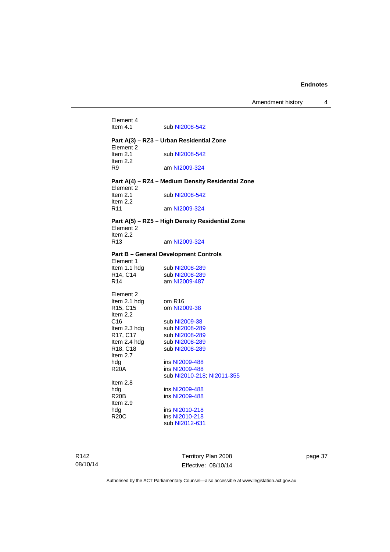| Element 4<br>Item $4.1$                         | sub NI2008-542                                    |
|-------------------------------------------------|---------------------------------------------------|
|                                                 | Part A(3) - RZ3 - Urban Residential Zone          |
| Element 2<br>Item $2.1$<br>Item 2.2             | sub NI2008-542                                    |
| R9                                              | am NI2009-324                                     |
| Element 2                                       | Part A(4) – RZ4 – Medium Density Residential Zone |
| Item $2.1$<br>Item $2.2$                        | sub NI2008-542                                    |
| R <sub>11</sub>                                 | am NI2009-324                                     |
| Element 2                                       | Part A(5) - RZ5 - High Density Residential Zone   |
| Item $2.2$<br>R <sub>13</sub>                   | am NI2009-324                                     |
|                                                 | <b>Part B – General Development Controls</b>      |
| Element 1                                       |                                                   |
| Item 1.1 hdg                                    | sub NI2008-289                                    |
| R14, C14                                        | sub NI2008-289                                    |
| R <sub>14</sub>                                 | am NI2009-487                                     |
| Element 2                                       |                                                   |
| Item 2.1 hdg                                    | om R <sub>16</sub>                                |
| R <sub>15</sub> , C <sub>15</sub><br>Item $2.2$ | om NI2009-38                                      |
| C <sub>16</sub>                                 | sub NI2009-38                                     |
| Item 2.3 hdg                                    | sub NI2008-289                                    |
| R17, C17                                        | sub NI2008-289                                    |
| Item 2.4 hdg                                    | sub NI2008-289                                    |
| R <sub>18</sub> , C <sub>18</sub><br>Item 2.7   | sub NI2008-289                                    |
| hdg                                             | ins NI2009-488                                    |
| <b>R20A</b>                                     | ins NI2009-488                                    |
|                                                 | sub NI2010-218, NI2011-355                        |
| Item 2.8                                        |                                                   |
| hda                                             | ins NI2009-488                                    |
| R <sub>20</sub> B<br>Item $2.9$                 | ins NI2009-488                                    |
| hdg                                             | ins NI2010-218                                    |
| R20C                                            | ins NI2010-218                                    |
|                                                 | sub NI2012-631                                    |
|                                                 |                                                   |

R142 08/10/14

Territory Plan 2008 Effective: 08/10/14 page 37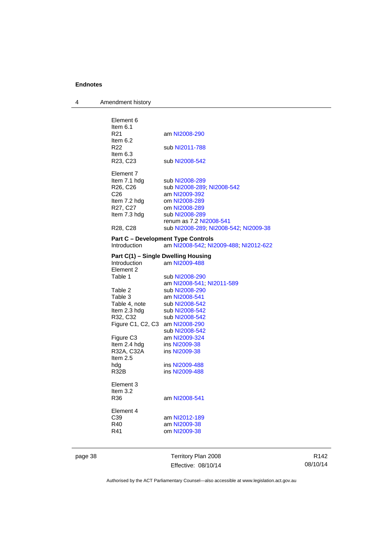4 Amendment history

| Element 6                           |                                           |
|-------------------------------------|-------------------------------------------|
| Item 6.1                            |                                           |
| R <sub>21</sub>                     | am NI2008-290                             |
| Item $6.2$                          |                                           |
| R <sub>22</sub>                     |                                           |
|                                     | sub NI2011-788                            |
| Item $6.3$                          |                                           |
| R23, C23                            | sub NI2008-542                            |
|                                     |                                           |
| Element 7                           |                                           |
| Item 7.1 hdg                        | sub NI2008-289                            |
| R26, C26                            | sub NI2008-289; NI2008-542                |
| C26                                 | am NI2009-392                             |
| Item 7.2 hdg                        | om NI2008-289                             |
| R27, C27                            | om NI2008-289                             |
| Item 7.3 hdg                        | sub NI2008-289                            |
|                                     | renum as 7.2 NI2008-541                   |
| R <sub>28</sub> , C <sub>28</sub>   | sub NI2008-289, NI2008-542, NI2009-38     |
|                                     |                                           |
| Introduction                        | <b>Part C - Development Type Controls</b> |
|                                     | am NI2008-542; NI2009-488; NI2012-622     |
| Part C(1) - Single Dwelling Housing |                                           |
| Introduction                        | am NI2009-488                             |
| Element 2                           |                                           |
| Table 1                             | sub NI2008-290                            |
|                                     | am NI2008-541; NI2011-589                 |
| Table 2                             | sub NI2008-290                            |
| Table 3                             | am NI2008-541                             |
| Table 4, note                       | sub NI2008-542                            |
|                                     | sub NI2008-542                            |
| Item 2.3 hdg                        |                                           |
| R32, C32                            | sub NI2008-542                            |
| Figure C1, C2, C3 am NI2008-290     |                                           |
|                                     | sub NI2008-542                            |
| Figure C <sub>3</sub>               | am NI2009-324                             |
| Item 2.4 hdg                        | ins NI2009-38                             |
| R32A, C32A                          | ins NI2009-38                             |
| Item 2.5                            |                                           |
| hdg                                 | ins NI2009-488                            |
| R32B                                | ins NI2009-488                            |
|                                     |                                           |
| Element 3                           |                                           |
| Item $3.2$                          |                                           |
| R36                                 | am NI2008-541                             |
|                                     |                                           |
| Element 4                           |                                           |
| C <sub>39</sub>                     | am NI2012-189                             |
| R40                                 | am NI2009-38                              |
| R41                                 | om NI2009-38                              |
|                                     |                                           |
|                                     |                                           |

page 38 Territory Plan 2008 Effective: 08/10/14

R142 08/10/14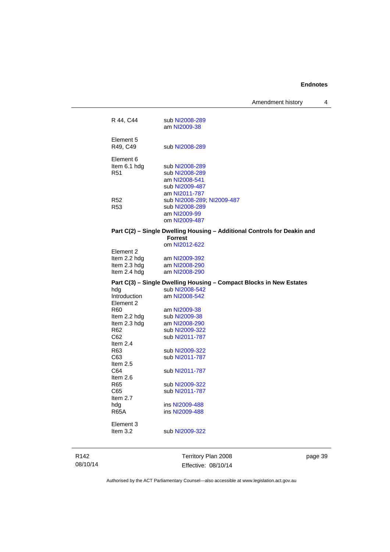Amendment history 4

| R 44, C44              | sub NI2008-289<br>am NI2009-38                                                             |
|------------------------|--------------------------------------------------------------------------------------------|
| Element 5<br>R49, C49  | sub NI2008-289                                                                             |
| Element 6              |                                                                                            |
| Item 6.1 hdg           | sub NI2008-289                                                                             |
| R51                    | sub NI2008-289                                                                             |
|                        | am NI2008-541                                                                              |
|                        | sub NI2009-487                                                                             |
|                        | am NI2011-787                                                                              |
| R52<br>R <sub>53</sub> | sub NI2008-289; NI2009-487                                                                 |
|                        | sub NI2008-289<br>am NI2009-99                                                             |
|                        | om NI2009-487                                                                              |
|                        |                                                                                            |
|                        | Part C(2) - Single Dwelling Housing - Additional Controls for Deakin and<br><b>Forrest</b> |
|                        | om NI2012-622                                                                              |
| Element 2              |                                                                                            |
| Item 2.2 hdg           | am NI2009-392                                                                              |
| Item 2.3 hdg           | am NI2008-290                                                                              |
| Item 2.4 hdg           | am NI2008-290                                                                              |
|                        | Part C(3) - Single Dwelling Housing - Compact Blocks in New Estates                        |
| hdg                    | sub NI2008-542                                                                             |
| Introduction           | am NI2008-542                                                                              |
| Element 2              |                                                                                            |
| R60                    | am NI2009-38                                                                               |
| Item 2.2 hdg           | sub NI2009-38                                                                              |
| Item 2.3 hdg           | am NI2008-290                                                                              |
| R62                    | sub NI2009-322                                                                             |
| C62<br>Item $2.4$      | sub NI2011-787                                                                             |
| R63                    | sub NI2009-322                                                                             |
| C63                    | sub NI2011-787                                                                             |
| Item $2.5$             |                                                                                            |
| C64                    | sub NI2011-787                                                                             |
| Item 2.6               |                                                                                            |
| R65                    | sub NI2009-322                                                                             |
| C65                    | sub NI2011-787                                                                             |
| Item 2.7               |                                                                                            |
| hdg                    | ins NI2009-488                                                                             |
| <b>R65A</b>            | ins NI2009-488                                                                             |
| Element 3              |                                                                                            |
| Item 3.2               | sub NI2009-322                                                                             |
|                        |                                                                                            |
|                        |                                                                                            |
|                        |                                                                                            |

R142 08/10/14

Territory Plan 2008 Effective: 08/10/14 page 39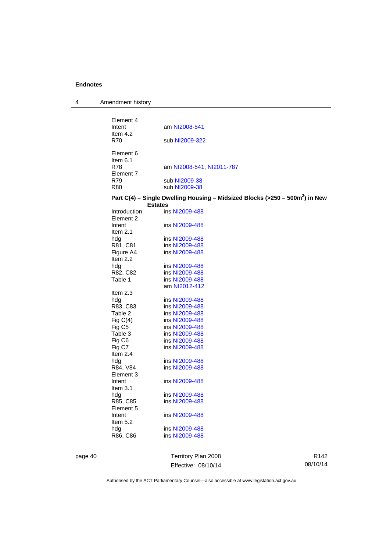| Amendment history |
|-------------------|
|                   |

| Element 4<br>Intent<br>Item 4.2<br><b>R70</b>             | am NI2008-541<br>sub NI2009-322                                                                            |
|-----------------------------------------------------------|------------------------------------------------------------------------------------------------------------|
| Element 6<br>Item $6.1$<br><b>R78</b><br>Element 7<br>R79 | am NI2008-541; NI2011-787<br>sub NI2009-38                                                                 |
| <b>R80</b>                                                | sub NI2009-38                                                                                              |
|                                                           | Part C(4) - Single Dwelling Housing - Midsized Blocks (>250 - 500m <sup>2</sup> ) in New<br><b>Estates</b> |
| Introduction                                              | ins NI2009-488                                                                                             |
| Element 2                                                 |                                                                                                            |
| Intent<br>Item $2.1$                                      | ins NI2009-488                                                                                             |
| hdg                                                       | ins NI2009-488                                                                                             |
| R81, C81                                                  | ins NI2009-488                                                                                             |
| Figure A4                                                 | ins NI2009-488                                                                                             |
| Item $2.2$                                                |                                                                                                            |
| hdg                                                       | ins NI2009-488                                                                                             |
| R82, C82                                                  | ins NI2009-488                                                                                             |
| Table 1                                                   | ins NI2009-488                                                                                             |
|                                                           | am NI2012-412                                                                                              |
| Item $2.3$                                                |                                                                                                            |
| hdg                                                       | ins NI2009-488                                                                                             |
| R83, C83                                                  | ins NI2009-488                                                                                             |
| Table 2                                                   | ins NI2009-488                                                                                             |
| Fig $C(4)$                                                | ins NI2009-488                                                                                             |
| Fig C <sub>5</sub>                                        | ins NI2009-488                                                                                             |
| Table 3                                                   | ins NI2009-488                                                                                             |
| Fig C6                                                    | ins NI2009-488                                                                                             |
| Fig C7                                                    | ins NI2009-488                                                                                             |
| Item $2.4$                                                |                                                                                                            |
| hdg                                                       | ins NI2009-488                                                                                             |
| R84, V84<br>Element 3                                     | ins NI2009-488                                                                                             |
| Intent                                                    | ins NI2009-488                                                                                             |
| Item $3.1$                                                |                                                                                                            |
| hdg                                                       | ins NI2009-488                                                                                             |
| R85, C85                                                  | ins NI2009-488                                                                                             |
| Element 5                                                 |                                                                                                            |
| Intent                                                    | ins NI2009-488                                                                                             |
| Item $5.2$                                                |                                                                                                            |
| hdg                                                       | ins NI2009-488                                                                                             |
| R86, C86                                                  | ins NI2009-488                                                                                             |
|                                                           |                                                                                                            |

page 40 Territory Plan 2008 Effective: 08/10/14

R142 08/10/14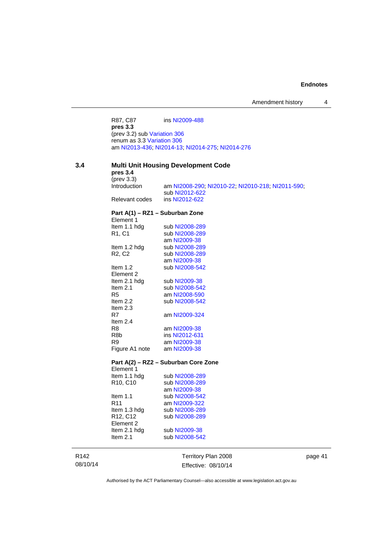R87, C87 ins [NI2009-488](http://www.legislation.act.gov.au/ni/2009-488/) **pres 3.3**  (prev 3.2) sub [Variation 306](http://www.legislation.act.gov.au/ni/2013-93/default.asp) renum as 3.3 [Variation 306](http://www.legislation.act.gov.au/ni/2013-93/default.asp) am [NI2013-436](http://www.legislation.act.gov.au/ni/2013-436/default.asp); [NI2014-13](http://www.legislation.act.gov.au/ni/2014-13/default.asp); [NI2014-275](http://www.legislation.act.gov.au/ni/2014-275/default.asp); [NI2014-276](http://www.legislation.act.gov.au/ni/2014-276/default.asp)

### **3.4 Multi Unit Housing Development Code**

| pres <sub>3.4</sub>                            | ,,,,,                                                               |
|------------------------------------------------|---------------------------------------------------------------------|
| $(\text{prev } 3.3)$<br><i>introduction</i>    |                                                                     |
|                                                | am NI2008-290; NI2010-22; NI2010-218; NI2011-590;<br>sub NI2012-622 |
| Relevant codes                                 | ins NI2012-622                                                      |
|                                                |                                                                     |
| Part A(1) - RZ1 - Suburban Zone<br>Element 1   |                                                                     |
| Item 1.1 hdg                                   | sub NI2008-289                                                      |
| R1, C1                                         | sub NI2008-289                                                      |
|                                                | am NI2009-38                                                        |
| Item 1.2 hdg                                   | sub NI2008-289                                                      |
| R <sub>2</sub> , C <sub>2</sub>                | sub NI2008-289                                                      |
|                                                | am NI2009-38                                                        |
| Item $1.2$                                     | sub NI2008-542                                                      |
| Element 2                                      |                                                                     |
| Item 2.1 hdg                                   | sub NI2009-38                                                       |
| Item $2.1$                                     | sub NI2008-542                                                      |
| R <sub>5</sub>                                 | am NI2008-590                                                       |
| Item $2.2$                                     | sub NI2008-542                                                      |
| Item $2.3$                                     |                                                                     |
| R7                                             | am NI2009-324                                                       |
| Item $2.4$                                     |                                                                     |
| R <sub>8</sub>                                 | am NI2009-38                                                        |
| R <sub>8</sub> b                               | ins NI2012-631                                                      |
| R <sub>9</sub>                                 | am NI2009-38                                                        |
| Figure A1 note                                 | am NI2009-38                                                        |
|                                                | Part A(2) – RZ2 – Suburban Core Zone                                |
| Element 1                                      |                                                                     |
| Item 1.1 hdg                                   | sub NI2008-289                                                      |
| R <sub>10</sub> , C <sub>10</sub>              | sub NI2008-289                                                      |
|                                                | am NI2009-38                                                        |
| Item $1.1$                                     | sub NI2008-542                                                      |
| R <sub>11</sub>                                | am NI2009-322                                                       |
| Item 1.3 hdg                                   | sub NI2008-289                                                      |
| R <sub>12</sub> , C <sub>12</sub><br>Element 2 | sub NI2008-289                                                      |
| Item 2.1 hdg                                   | sub NI2009-38                                                       |
| Item $2.1$                                     | sub NI2008-542                                                      |
|                                                |                                                                     |

R142 08/10/14

Territory Plan 2008 Effective: 08/10/14 page 41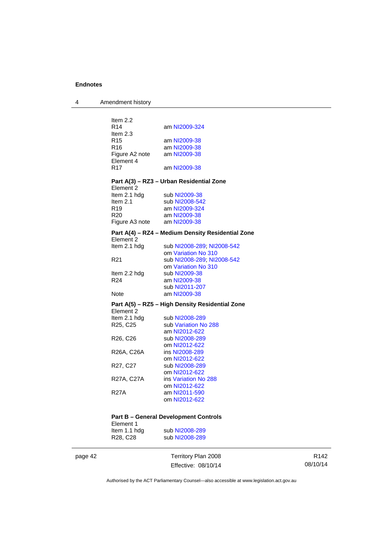4 Amendment history

| Item $2.2$                        |                                                   |
|-----------------------------------|---------------------------------------------------|
| R <sub>14</sub>                   | am NI2009-324                                     |
| Item $2.3$                        |                                                   |
| R <sub>15</sub>                   | am NI2009-38                                      |
| R <sub>16</sub>                   | am NI2009-38<br>am NI2009-38                      |
| Figure A2 note<br>Element 4       |                                                   |
| R <sub>17</sub>                   | am NI2009-38                                      |
|                                   |                                                   |
| Element 2                         | Part A(3) - RZ3 - Urban Residential Zone          |
| Item 2.1 hdg                      | sub NI2009-38                                     |
| Item $2.1$                        | sub NI2008-542                                    |
| R <sub>19</sub>                   | am NI2009-324                                     |
| R <sub>20</sub>                   | am NI2009-38                                      |
| Figure A3 note am NI2009-38       |                                                   |
|                                   | Part A(4) - RZ4 - Medium Density Residential Zone |
| Element 2                         |                                                   |
| Item 2.1 hdg                      | sub NI2008-289, NI2008-542                        |
|                                   | om Variation No 310                               |
| R <sub>21</sub>                   | sub NI2008-289; NI2008-542<br>om Variation No 310 |
| Item 2.2 hdg                      | sub NI2009-38                                     |
| R <sub>24</sub>                   | am NI2009-38                                      |
|                                   | sub NI2011-207                                    |
| <b>Note</b>                       | am NI2009-38                                      |
|                                   | Part A(5) - RZ5 - High Density Residential Zone   |
| Element 2                         |                                                   |
| Item 2.1 hdg                      | sub NI2008-289                                    |
| R <sub>25</sub> , C <sub>25</sub> | sub Variation No 288                              |
|                                   | am NI2012-622                                     |
| R26, C26                          | sub NI2008-289                                    |
|                                   | om NI2012-622                                     |
| R26A, C26A                        | ins NI2008-289                                    |
|                                   | om NI2012-622                                     |
| R27, C27                          | sub NI2008-289<br>om NI2012-622                   |
| R27A, C27A                        | ins Variation No 288                              |
|                                   | om NI2012-622                                     |
| <b>R27A</b>                       | am NI2011-590                                     |
|                                   | om NI2012-622                                     |
|                                   |                                                   |
|                                   |                                                   |

### **Part B – General Development Controls**

| Element 1                         |                |
|-----------------------------------|----------------|
| Item 1.1 hdg                      | sub NI2008-289 |
| R <sub>28</sub> , C <sub>28</sub> | sub NI2008-289 |

page 42 Territory Plan 2008 Effective: 08/10/14

R142 08/10/14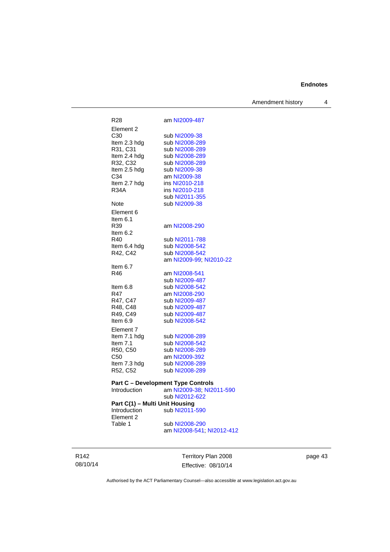Amendment history 4

| R28                            | am NI2009-487                             |
|--------------------------------|-------------------------------------------|
| Element 2                      |                                           |
| C30                            | sub NI2009-38                             |
| Item 2.3 hdg                   | sub NI2008-289                            |
| R31, C31                       | sub NI2008-289                            |
| Item 2.4 hdg                   | sub NI2008-289                            |
| R32, C32                       | sub NI2008-289                            |
| Item 2.5 hdg                   | sub NI2009-38                             |
| C34                            | am NI2009-38                              |
| Item 2.7 hdg                   | ins NI2010-218                            |
| <b>R34A</b>                    | ins NI2010-218                            |
|                                | sub NI2011-355                            |
| Note                           | sub NI2009-38                             |
| Element 6                      |                                           |
| Item 6.1                       |                                           |
| R39                            | am NI2008-290                             |
| Item 6.2                       |                                           |
| R40                            | sub NI2011-788                            |
| Item 6.4 hdg                   | sub NI2008-542                            |
| R42, C42                       | sub NI2008-542                            |
|                                | am NI2009-99; NI2010-22                   |
| Item $6.7$                     |                                           |
| R46                            | am NI2008-541                             |
|                                | sub NI2009-487                            |
| Item 6.8                       | sub NI2008-542                            |
| R47                            | am NI2008-290                             |
| R47, C47                       | sub NI2009-487                            |
| R48, C48                       | sub NI2009-487                            |
| R49, C49                       | sub NI2009-487                            |
| Item 6.9                       | sub NI2008-542                            |
| Element 7                      |                                           |
| Item 7.1 hdg                   | sub NI2008-289                            |
| Item $7.1$                     | sub NI2008-542                            |
| R50, C50                       | sub NI2008-289                            |
| C50                            | am NI2009-392                             |
| Item 7.3 hdg                   | sub NI2008-289                            |
| R52, C52                       | sub NI2008-289                            |
|                                | <b>Part C - Development Type Controls</b> |
| Introduction                   | am NI2009-38; NI2011-590                  |
|                                | sub NI2012-622                            |
| Part C(1) - Multi Unit Housing |                                           |
| Introduction                   | sub NI2011-590                            |
| Element 2                      |                                           |
| Table 1                        | sub NI2008-290                            |
|                                | am NI2008-541; NI2012-412                 |
|                                |                                           |

R142 08/10/14

Territory Plan 2008 Effective: 08/10/14 page 43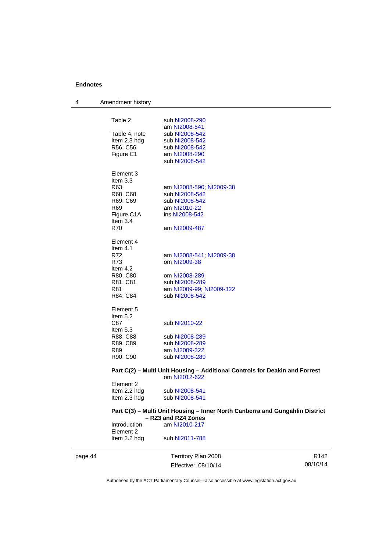| Table 2<br>sub NI2008-290<br>am NI2008-541<br>Table 4, note<br>sub NI2008-542<br>Item 2.3 hdg<br>sub NI2008-542<br>R56, C56<br>sub NI2008-542<br>Figure C1<br>am NI2008-290<br>sub NI2008-542<br>Element 3<br>Item $3.3$<br>R63<br>am NI2008-590; NI2009-38<br>R68, C68<br>sub NI2008-542<br>R69, C69<br>sub NI2008-542<br>R69<br>am NI2010-22<br>ins NI2008-542<br>Figure C1A<br>Item 3.4<br>R70<br>am NI2009-487<br>Element 4<br>Item $4.1$<br>R72<br>am NI2008-541, NI2009-38<br>R73<br>om NI2009-38<br>Item 4.2<br>R80, C80<br>om NI2008-289<br>R81, C81<br>sub NI2008-289<br>R81<br>am NI2009-99; NI2009-322<br>R84, C84<br>sub NI2008-542<br>Element 5<br>Item 5.2<br>C87<br>sub NI2010-22<br>Item $5.3$<br>R88, C88<br>sub NI2008-289<br>R89, C89<br>sub NI2008-289<br>R89<br>am NI2009-322<br>R90, C90<br>sub NI2008-289<br>Part C(2) – Multi Unit Housing – Additional Controls for Deakin and Forrest<br>om NI2012-622<br>Element 2<br>Item 2.2 hdg<br>sub NI2008-541<br>Item 2.3 hdg<br>sub NI2008-541<br>Part C(3) - Multi Unit Housing - Inner North Canberra and Gungahlin District<br>- RZ3 and RZ4 Zones<br>am NI2010-217<br>Introduction<br>Element 2<br>Item 2.2 hdg<br>sub NI2011-788 | page 44 | Territory Plan 2008 | R <sub>142</sub> |
|----------------------------------------------------------------------------------------------------------------------------------------------------------------------------------------------------------------------------------------------------------------------------------------------------------------------------------------------------------------------------------------------------------------------------------------------------------------------------------------------------------------------------------------------------------------------------------------------------------------------------------------------------------------------------------------------------------------------------------------------------------------------------------------------------------------------------------------------------------------------------------------------------------------------------------------------------------------------------------------------------------------------------------------------------------------------------------------------------------------------------------------------------------------------------------------------------------|---------|---------------------|------------------|
|                                                                                                                                                                                                                                                                                                                                                                                                                                                                                                                                                                                                                                                                                                                                                                                                                                                                                                                                                                                                                                                                                                                                                                                                          |         |                     |                  |
|                                                                                                                                                                                                                                                                                                                                                                                                                                                                                                                                                                                                                                                                                                                                                                                                                                                                                                                                                                                                                                                                                                                                                                                                          |         |                     |                  |
|                                                                                                                                                                                                                                                                                                                                                                                                                                                                                                                                                                                                                                                                                                                                                                                                                                                                                                                                                                                                                                                                                                                                                                                                          |         |                     |                  |
|                                                                                                                                                                                                                                                                                                                                                                                                                                                                                                                                                                                                                                                                                                                                                                                                                                                                                                                                                                                                                                                                                                                                                                                                          |         |                     |                  |
|                                                                                                                                                                                                                                                                                                                                                                                                                                                                                                                                                                                                                                                                                                                                                                                                                                                                                                                                                                                                                                                                                                                                                                                                          |         |                     |                  |
|                                                                                                                                                                                                                                                                                                                                                                                                                                                                                                                                                                                                                                                                                                                                                                                                                                                                                                                                                                                                                                                                                                                                                                                                          |         |                     |                  |
|                                                                                                                                                                                                                                                                                                                                                                                                                                                                                                                                                                                                                                                                                                                                                                                                                                                                                                                                                                                                                                                                                                                                                                                                          |         |                     |                  |
|                                                                                                                                                                                                                                                                                                                                                                                                                                                                                                                                                                                                                                                                                                                                                                                                                                                                                                                                                                                                                                                                                                                                                                                                          |         |                     |                  |
|                                                                                                                                                                                                                                                                                                                                                                                                                                                                                                                                                                                                                                                                                                                                                                                                                                                                                                                                                                                                                                                                                                                                                                                                          |         |                     |                  |
|                                                                                                                                                                                                                                                                                                                                                                                                                                                                                                                                                                                                                                                                                                                                                                                                                                                                                                                                                                                                                                                                                                                                                                                                          |         |                     |                  |
|                                                                                                                                                                                                                                                                                                                                                                                                                                                                                                                                                                                                                                                                                                                                                                                                                                                                                                                                                                                                                                                                                                                                                                                                          |         |                     |                  |
|                                                                                                                                                                                                                                                                                                                                                                                                                                                                                                                                                                                                                                                                                                                                                                                                                                                                                                                                                                                                                                                                                                                                                                                                          |         |                     |                  |
|                                                                                                                                                                                                                                                                                                                                                                                                                                                                                                                                                                                                                                                                                                                                                                                                                                                                                                                                                                                                                                                                                                                                                                                                          |         |                     |                  |
|                                                                                                                                                                                                                                                                                                                                                                                                                                                                                                                                                                                                                                                                                                                                                                                                                                                                                                                                                                                                                                                                                                                                                                                                          |         |                     |                  |
|                                                                                                                                                                                                                                                                                                                                                                                                                                                                                                                                                                                                                                                                                                                                                                                                                                                                                                                                                                                                                                                                                                                                                                                                          |         |                     |                  |
|                                                                                                                                                                                                                                                                                                                                                                                                                                                                                                                                                                                                                                                                                                                                                                                                                                                                                                                                                                                                                                                                                                                                                                                                          |         |                     |                  |
|                                                                                                                                                                                                                                                                                                                                                                                                                                                                                                                                                                                                                                                                                                                                                                                                                                                                                                                                                                                                                                                                                                                                                                                                          |         |                     |                  |
|                                                                                                                                                                                                                                                                                                                                                                                                                                                                                                                                                                                                                                                                                                                                                                                                                                                                                                                                                                                                                                                                                                                                                                                                          |         |                     |                  |
|                                                                                                                                                                                                                                                                                                                                                                                                                                                                                                                                                                                                                                                                                                                                                                                                                                                                                                                                                                                                                                                                                                                                                                                                          |         |                     |                  |
|                                                                                                                                                                                                                                                                                                                                                                                                                                                                                                                                                                                                                                                                                                                                                                                                                                                                                                                                                                                                                                                                                                                                                                                                          |         |                     |                  |
|                                                                                                                                                                                                                                                                                                                                                                                                                                                                                                                                                                                                                                                                                                                                                                                                                                                                                                                                                                                                                                                                                                                                                                                                          |         |                     |                  |
|                                                                                                                                                                                                                                                                                                                                                                                                                                                                                                                                                                                                                                                                                                                                                                                                                                                                                                                                                                                                                                                                                                                                                                                                          |         |                     |                  |
|                                                                                                                                                                                                                                                                                                                                                                                                                                                                                                                                                                                                                                                                                                                                                                                                                                                                                                                                                                                                                                                                                                                                                                                                          |         |                     |                  |
|                                                                                                                                                                                                                                                                                                                                                                                                                                                                                                                                                                                                                                                                                                                                                                                                                                                                                                                                                                                                                                                                                                                                                                                                          |         |                     |                  |
|                                                                                                                                                                                                                                                                                                                                                                                                                                                                                                                                                                                                                                                                                                                                                                                                                                                                                                                                                                                                                                                                                                                                                                                                          |         |                     |                  |
|                                                                                                                                                                                                                                                                                                                                                                                                                                                                                                                                                                                                                                                                                                                                                                                                                                                                                                                                                                                                                                                                                                                                                                                                          |         |                     |                  |
|                                                                                                                                                                                                                                                                                                                                                                                                                                                                                                                                                                                                                                                                                                                                                                                                                                                                                                                                                                                                                                                                                                                                                                                                          |         |                     |                  |
|                                                                                                                                                                                                                                                                                                                                                                                                                                                                                                                                                                                                                                                                                                                                                                                                                                                                                                                                                                                                                                                                                                                                                                                                          |         |                     |                  |
|                                                                                                                                                                                                                                                                                                                                                                                                                                                                                                                                                                                                                                                                                                                                                                                                                                                                                                                                                                                                                                                                                                                                                                                                          |         |                     |                  |
|                                                                                                                                                                                                                                                                                                                                                                                                                                                                                                                                                                                                                                                                                                                                                                                                                                                                                                                                                                                                                                                                                                                                                                                                          |         |                     |                  |
|                                                                                                                                                                                                                                                                                                                                                                                                                                                                                                                                                                                                                                                                                                                                                                                                                                                                                                                                                                                                                                                                                                                                                                                                          |         |                     |                  |
|                                                                                                                                                                                                                                                                                                                                                                                                                                                                                                                                                                                                                                                                                                                                                                                                                                                                                                                                                                                                                                                                                                                                                                                                          |         |                     |                  |
|                                                                                                                                                                                                                                                                                                                                                                                                                                                                                                                                                                                                                                                                                                                                                                                                                                                                                                                                                                                                                                                                                                                                                                                                          |         |                     |                  |
|                                                                                                                                                                                                                                                                                                                                                                                                                                                                                                                                                                                                                                                                                                                                                                                                                                                                                                                                                                                                                                                                                                                                                                                                          |         |                     |                  |
|                                                                                                                                                                                                                                                                                                                                                                                                                                                                                                                                                                                                                                                                                                                                                                                                                                                                                                                                                                                                                                                                                                                                                                                                          |         |                     |                  |
|                                                                                                                                                                                                                                                                                                                                                                                                                                                                                                                                                                                                                                                                                                                                                                                                                                                                                                                                                                                                                                                                                                                                                                                                          |         |                     |                  |
|                                                                                                                                                                                                                                                                                                                                                                                                                                                                                                                                                                                                                                                                                                                                                                                                                                                                                                                                                                                                                                                                                                                                                                                                          |         |                     |                  |
|                                                                                                                                                                                                                                                                                                                                                                                                                                                                                                                                                                                                                                                                                                                                                                                                                                                                                                                                                                                                                                                                                                                                                                                                          |         |                     |                  |
|                                                                                                                                                                                                                                                                                                                                                                                                                                                                                                                                                                                                                                                                                                                                                                                                                                                                                                                                                                                                                                                                                                                                                                                                          |         |                     |                  |
|                                                                                                                                                                                                                                                                                                                                                                                                                                                                                                                                                                                                                                                                                                                                                                                                                                                                                                                                                                                                                                                                                                                                                                                                          |         |                     |                  |
|                                                                                                                                                                                                                                                                                                                                                                                                                                                                                                                                                                                                                                                                                                                                                                                                                                                                                                                                                                                                                                                                                                                                                                                                          |         |                     |                  |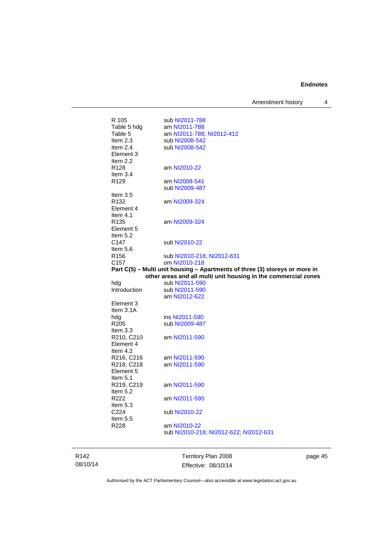Amendment history 4

| R 105                          | sub NI2011-788                                                              |
|--------------------------------|-----------------------------------------------------------------------------|
| Table 5 hdg                    | am NI2011-788                                                               |
| Table 5                        | am NI2011-788; NI2012-412                                                   |
| Item $2.3$                     | sub NI2008-542                                                              |
| Item $2.4$                     | sub NI2008-542                                                              |
| Element 3                      |                                                                             |
| Item $2.2$                     |                                                                             |
| R <sub>128</sub>               |                                                                             |
|                                | am NI2010-22                                                                |
| Item $3.4$<br>R <sub>129</sub> | am NI2008-541                                                               |
|                                |                                                                             |
|                                | sub NI2009-487                                                              |
| Item $3.5$                     |                                                                             |
| R <sub>132</sub>               | am NI2009-324                                                               |
| Element 4                      |                                                                             |
| Item 4.1                       |                                                                             |
| R <sub>135</sub>               | am NI2009-324                                                               |
| Element 5                      |                                                                             |
| Item $5.2$                     |                                                                             |
| C147                           | sub NI2010-22                                                               |
| Item $5.6$                     |                                                                             |
| R <sub>156</sub>               | sub NI2010-218, NI2012-631                                                  |
| C <sub>157</sub>               | om NI2010-218                                                               |
|                                | Part C(5) - Multi unit housing - Apartments of three (3) storeys or more in |
|                                |                                                                             |
|                                | other areas and all multi unit housing in the commercial zones              |
| hdg                            | sub NI2011-590                                                              |
| Introduction                   | sub NI2011-590                                                              |
|                                | am NI2012-622                                                               |
| Element 3                      |                                                                             |
| Item 3.1A                      |                                                                             |
| hdg                            | ins NI2011-590                                                              |
| R <sub>205</sub>               | sub NI2009-487                                                              |
| Item $3.3$                     |                                                                             |
| R210, C210                     | am NI2011-590                                                               |
| Element 4                      |                                                                             |
| Item $4.2$                     |                                                                             |
| R216, C216                     | am NI2011-590                                                               |
| R218, C218                     | am NI2011-590                                                               |
| Element 5                      |                                                                             |
| Item $5.1$                     |                                                                             |
| R219, C219                     | am NI2011-590                                                               |
| Item 5.2                       |                                                                             |
| R222                           | am NI2011-590                                                               |
| Item $5.3$                     |                                                                             |
| C <sub>224</sub>               | sub NI2010-22                                                               |
| Item $5.5$                     |                                                                             |
| R228                           | am NI2010-22                                                                |
|                                |                                                                             |

R142 08/10/14

Territory Plan 2008 Effective: 08/10/14 page 45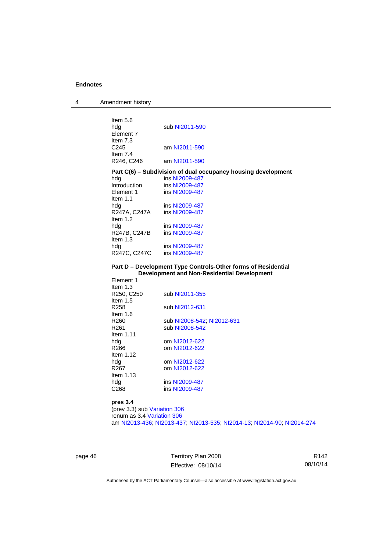4 Amendment history

| Item 5.6<br>hda<br>Element 7<br>Item $7.3$<br>C <sub>245</sub><br>Item $7.4$<br>R246, C246 | sub NI2011-590<br>am NI2011-590<br>am NI2011-590              |
|--------------------------------------------------------------------------------------------|---------------------------------------------------------------|
|                                                                                            | Part C(6) – Subdivision of dual occupancy housing development |
| hdg                                                                                        | ins NI2009-487                                                |
| Introduction                                                                               | ins NI2009-487                                                |
| Element 1                                                                                  | ins NI2009-487                                                |
| Item $1.1$                                                                                 |                                                               |
| hdg                                                                                        | ins NI2009-487                                                |
| R247A, C247A                                                                               | ins NI2009-487                                                |
| Item $1.2$                                                                                 |                                                               |
| hdg                                                                                        | ins NI2009-487                                                |
| R247B, C247B                                                                               | ins NI2009-487                                                |
| Item $1.3$                                                                                 |                                                               |
| hdg                                                                                        | ins NI2009-487                                                |
| R247C, C247C                                                                               | ins NI2009-487                                                |
|                                                                                            |                                                               |
|                                                                                            | Part D – Development Type Controls-Other forms of Residential |
|                                                                                            | <b>Development and Non-Residential Development</b>            |
| Element 1                                                                                  |                                                               |
| Item $1.3$                                                                                 |                                                               |
| R250, C250                                                                                 | sub NI2011-355                                                |
| Item $1.5$                                                                                 |                                                               |
| R <sub>258</sub>                                                                           | sub NI2012-631                                                |
| Item $1.6$                                                                                 |                                                               |
| R <sub>260</sub><br>R <sub>261</sub>                                                       | sub NI2008-542; NI2012-631<br>sub NI2008-542                  |
|                                                                                            |                                                               |
| Item 1.11<br>hdg                                                                           | om NI2012-622                                                 |
| R266                                                                                       | om NI2012-622                                                 |
| Item $1.12$                                                                                |                                                               |
| hdg                                                                                        | om NI2012-622                                                 |
| R267                                                                                       | om NI2012-622                                                 |
| Item $1.13$                                                                                |                                                               |
| hdg<br>C <sub>268</sub>                                                                    | ins NI2009-487<br>ins NI2009-487                              |

**pres 3.4**

(prev 3.3) sub [Variation 306](http://www.legislation.act.gov.au/ni/2013-93/default.asp) renum as 3.4 [Variation 306](http://www.legislation.act.gov.au/ni/2013-93/default.asp) am [NI2013-436](http://www.legislation.act.gov.au/ni/2013-436/default.asp); [NI2013-437](http://www.legislation.act.gov.au/ni/2013-437/default.asp); [NI2013-535](http://www.legislation.act.gov.au/ni/2013-535/); [NI2014-13](http://www.legislation.act.gov.au/ni/2014-13/default.asp); [NI2014-90](http://www.legislation.act.gov.au/ni/2014-90/default.asp); [NI2014-274](http://www.legislation.act.gov.au/ni/2014-274/default.asp)

page 46 Territory Plan 2008 Effective: 08/10/14

R142 08/10/14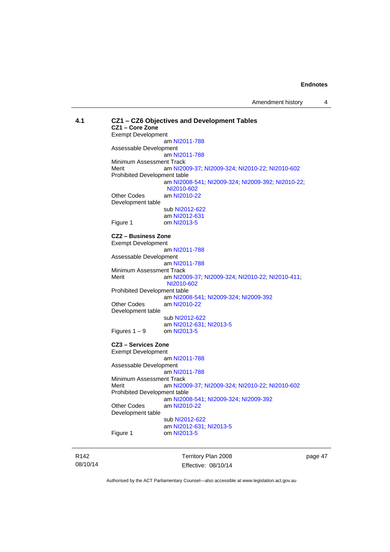| 4.1 |                              | CZ1 - CZ6 Objectives and Development Tables       |
|-----|------------------------------|---------------------------------------------------|
|     | CZ1 - Core Zone              |                                                   |
|     | <b>Exempt Development</b>    |                                                   |
|     |                              | am NI2011-788                                     |
|     | Assessable Development       |                                                   |
|     |                              | am NI2011-788                                     |
|     | Minimum Assessment Track     |                                                   |
|     | Merit                        | am NI2009-37; NI2009-324; NI2010-22; NI2010-602   |
|     | Prohibited Development table |                                                   |
|     |                              | am NI2008-541; NI2009-324; NI2009-392; NI2010-22; |
|     |                              | NI2010-602                                        |
|     | <b>Other Codes</b>           | am NI2010-22                                      |
|     | Development table            |                                                   |
|     |                              | sub NI2012-622                                    |
|     |                              | am NI2012-631                                     |
|     | Figure 1                     | om NI2013-5                                       |
|     | CZ2 - Business Zone          |                                                   |
|     | <b>Exempt Development</b>    |                                                   |
|     |                              | am NI2011-788                                     |
|     | Assessable Development       |                                                   |
|     |                              | am NI2011-788                                     |
|     | Minimum Assessment Track     |                                                   |
|     | Merit                        | am NI2009-37; NI2009-324; NI2010-22; NI2010-411;  |
|     |                              | NI2010-602                                        |
|     | Prohibited Development table |                                                   |
|     |                              | am NI2008-541; NI2009-324; NI2009-392             |
|     | Other Codes                  | am NI2010-22                                      |
|     | Development table            |                                                   |
|     |                              | sub NI2012-622                                    |
|     |                              | am NI2012-631; NI2013-5                           |
|     | Figures $1 - 9$              | om NI2013-5                                       |
|     | CZ3 - Services Zone          |                                                   |
|     | <b>Exempt Development</b>    |                                                   |
|     |                              | am NI2011-788                                     |
|     | Assessable Development       |                                                   |
|     |                              | am NI2011-788                                     |
|     | Minimum Assessment Track     |                                                   |
|     | Merit                        | am NI2009-37; NI2009-324; NI2010-22; NI2010-602   |
|     | Prohibited Development table |                                                   |
|     |                              | am NI2008-541, NI2009-324, NI2009-392             |
|     | <b>Other Codes</b>           | am NI2010-22                                      |
|     | Development table            |                                                   |
|     |                              | sub NI2012-622                                    |
|     |                              | am NI2012-631; NI2013-5                           |
|     | Figure 1                     | om NI2013-5                                       |
|     |                              |                                                   |
|     |                              |                                                   |

R142 08/10/14

Territory Plan 2008 Effective: 08/10/14 page 47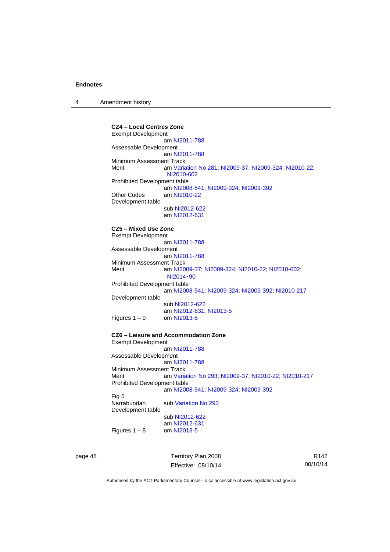4 Amendment history

**CZ4 – Local Centres Zone**  Exempt Development am [NI2011-788](http://www.legislation.act.gov.au/ni/2011-788/) Assessable Development am [NI2011-788](http://www.legislation.act.gov.au/ni/2011-788/) Minimum Assessment Track Merit am [Variation No 281](http://www.legislation.act.gov.au/ni/2008-352/); [NI2009-37](http://www.legislation.act.gov.au/ni/2009-37/); [NI2009-324](http://www.legislation.act.gov.au/ni/2009-324/); [NI2010-22](http://www.legislation.act.gov.au/ni/2010-22/); [NI2010-602](http://www.legislation.act.gov.au/ni/2010-602/) Prohibited Development table am [NI2008-541](http://www.legislation.act.gov.au/ni/2008-541/); [NI2009-324](http://www.legislation.act.gov.au/ni/2009-324/); [NI2009-392](http://www.legislation.act.gov.au/ni/2009-392/) Other Codes am [NI2010-22](http://www.legislation.act.gov.au/ni/2010-22/) Development table sub [NI2012-622](http://www.legislation.act.gov.au/ni/2012-622/default.asp) am [NI2012-631](http://www.legislation.act.gov.au/ni/2012-631/default.asp) **CZ5 – Mixed Use Zone**  Exempt Development am [NI2011-788](http://www.legislation.act.gov.au/ni/2011-788/) Assessable Development am [NI2011-788](http://www.legislation.act.gov.au/ni/2011-788/) Minimum Assessment Track<br>Merit am NI20 am [NI2009-37](http://www.legislation.act.gov.au/ni/2009-37/); [NI2009-324](http://www.legislation.act.gov.au/ni/2009-324/); [NI2010-22](http://www.legislation.act.gov.au/ni/2010-22/); [NI2010-602](http://www.legislation.act.gov.au/ni/2010-602/); [NI2014](http://www.legislation.act.gov.au/ni/2014-90/default.asp)‑90 Prohibited Development table am [NI2008-541](http://www.legislation.act.gov.au/ni/2008-541/); [NI2009-324](http://www.legislation.act.gov.au/ni/2009-324/); [NI2009-392](http://www.legislation.act.gov.au/ni/2009-392/); [NI2010-217](http://www.legislation.act.gov.au/ni/2010-217/) Development table sub [NI2012-622](http://www.legislation.act.gov.au/ni/2012-622/default.asp) am [NI2012-631](http://www.legislation.act.gov.au/ni/2012-631/default.asp); [NI2013-5](http://www.legislation.act.gov.au/ni/2013-5/default.asp) Figures  $1 - 9$  om [NI2013-5](http://www.legislation.act.gov.au/ni/2013-5/default.asp) **CZ6 – Leisure and Accommodation Zone** Exempt Development am [NI2011-788](http://www.legislation.act.gov.au/ni/2011-788/) Assessable Development am [NI2011-788](http://www.legislation.act.gov.au/ni/2011-788/) Minimum Assessment Track<br>Merit am Varia am [Variation No 293](http://www.legislation.act.gov.au/ni/2008-219/); [NI2009-37](http://www.legislation.act.gov.au/ni/2009-37/); [NI2010-22](http://www.legislation.act.gov.au/ni/2010-22/); [NI2010-217](http://www.legislation.act.gov.au/ni/2010-217/) Prohibited Development table am [NI2008-541](http://www.legislation.act.gov.au/ni/2008-541/); [NI2009-324](http://www.legislation.act.gov.au/ni/2009-324/); [NI2009-392](http://www.legislation.act.gov.au/ni/2009-392/) Fig 5 Narrabundah sub [Variation No 293](http://www.legislation.act.gov.au/ni/2008-219/) Development table sub [NI2012-622](http://www.legislation.act.gov.au/ni/2012-622/default.asp) am [NI2012-631](http://www.legislation.act.gov.au/ni/2012-631/default.asp) Figures  $1 - 8$  om [NI2013-5](http://www.legislation.act.gov.au/ni/2013-5/default.asp)

page 48 Territory Plan 2008 Effective: 08/10/14

R142 08/10/14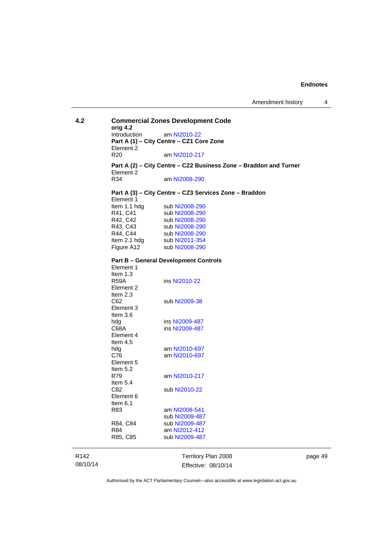| 4.2              | orig 4.2                    | <b>Commercial Zones Development Code</b>                          |
|------------------|-----------------------------|-------------------------------------------------------------------|
|                  | Introduction                | am NI2010-22                                                      |
|                  |                             | Part A (1) - City Centre - CZ1 Core Zone                          |
|                  | Element 2                   |                                                                   |
|                  | R <sub>20</sub>             | am NI2010-217                                                     |
|                  |                             |                                                                   |
|                  | Element 2                   | Part A (2) - City Centre - CZ2 Business Zone - Braddon and Turner |
|                  | R34                         | am NI2008-290                                                     |
|                  | Element 1                   | Part A (3) - City Centre - CZ3 Services Zone - Braddon            |
|                  | Item 1.1 hdg                | sub NI2008-290                                                    |
|                  | R41, C41                    | sub NI2008-290                                                    |
|                  | R42, C42                    | sub NI2008-290                                                    |
|                  | R43, C43                    | sub NI2008-290                                                    |
|                  | R44, C44                    | sub NI2008-290                                                    |
|                  | Item 2.1 hdg sub NI2011-354 |                                                                   |
|                  | Figure A12                  | sub NI2008-290                                                    |
|                  |                             |                                                                   |
|                  | Element 1                   | <b>Part B - General Development Controls</b>                      |
|                  | Item 1.3                    |                                                                   |
|                  | R59A                        | ins NI2010-22                                                     |
|                  | Element 2                   |                                                                   |
|                  | Item $2.3$                  |                                                                   |
|                  | C62                         | sub NI2009-38                                                     |
|                  | Element 3                   |                                                                   |
|                  | Item $3.6$                  |                                                                   |
|                  | hdg                         | ins NI2009-487                                                    |
|                  | C68A                        | ins NI2009-487                                                    |
|                  | Element 4                   |                                                                   |
|                  | Item $4.5$                  |                                                                   |
|                  | hdg                         | am NI2010-697                                                     |
|                  | C76                         | am NI2010-697                                                     |
|                  | Element 5                   |                                                                   |
|                  | Item 5.2                    |                                                                   |
|                  | R79                         | am NI2010-217                                                     |
|                  | Item $5.4$                  |                                                                   |
|                  | C82                         | sub NI2010-22                                                     |
|                  | Element 6                   |                                                                   |
|                  | Item $6.1$                  |                                                                   |
|                  | R83                         | am NI2008-541                                                     |
|                  |                             | sub NI2009-487                                                    |
|                  | R84, C84                    | sub NI2009-487                                                    |
|                  |                             |                                                                   |
|                  | R84                         | am NI2012-412                                                     |
|                  | R85, C85                    | sub NI2009-487                                                    |
| R <sub>142</sub> |                             | Territory Plan 2008                                               |

08/10/14

Territory Plan 2008 Effective: 08/10/14 page 49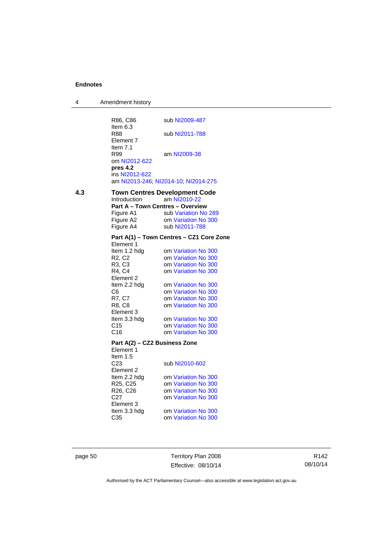| 4 | Amendment history |
|---|-------------------|
|---|-------------------|

|     | R86, C86                                                         | sub NI2009-487                                       |
|-----|------------------------------------------------------------------|------------------------------------------------------|
|     | Item 6.3<br>R88<br>Element 7                                     | sub NI2011-788                                       |
|     | Item $7.1$<br>R99<br>om NI2012-622<br>pres 4.2<br>ins NI2012-622 | am NI2009-38<br>am NI2013-246; NI2014-10; NI2014-275 |
| 4.3 |                                                                  | <b>Town Centres Development Code</b>                 |
|     | Introduction                                                     | am NI2010-22                                         |
|     | Part A - Town Centres - Overview                                 |                                                      |
|     | Figure A1                                                        | sub Variation No 289                                 |
|     | Figure A2                                                        | om Variation No 300                                  |
|     | Figure A4                                                        | sub NI2011-788                                       |
|     |                                                                  | Part A(1) - Town Centres - CZ1 Core Zone             |
|     | Element 1<br>Item 1.2 hdg                                        | om Variation No 300                                  |
|     | R <sub>2</sub> , C <sub>2</sub>                                  | om Variation No 300                                  |
|     | R3, C3                                                           | om Variation No 300                                  |
|     | R4, C4                                                           | om Variation No 300                                  |
|     | Element 2                                                        |                                                      |
|     | Item 2.2 hdg                                                     | om Variation No 300                                  |
|     | C6                                                               | om Variation No 300                                  |
|     | R7, C7                                                           | om Variation No 300                                  |
|     | R8, C8                                                           | om Variation No 300                                  |
|     | Element 3                                                        |                                                      |
|     | Item 3.3 hdg                                                     | om Variation No 300                                  |
|     | C <sub>15</sub>                                                  | om Variation No 300                                  |
|     | C16                                                              | om Variation No 300                                  |
|     | Part A(2) - CZ2 Business Zone                                    |                                                      |
|     | Element 1                                                        |                                                      |
|     | Item $1.5$                                                       |                                                      |
|     | C <sub>23</sub><br>Element 2                                     | sub NI2010-602                                       |
|     | Item 2.2 hdg                                                     | om Variation No 300                                  |
|     | R <sub>25</sub> , C <sub>25</sub>                                | om Variation No 300                                  |
|     | R26, C26                                                         | om Variation No 300                                  |
|     | C27                                                              | om Variation No 300                                  |
|     | Element 3                                                        |                                                      |
|     | Item 3.3 hdg                                                     | om Variation No 300                                  |
|     | C35                                                              | om Variation No 300                                  |
|     |                                                                  |                                                      |

page 50 Territory Plan 2008 Effective: 08/10/14

R142 08/10/14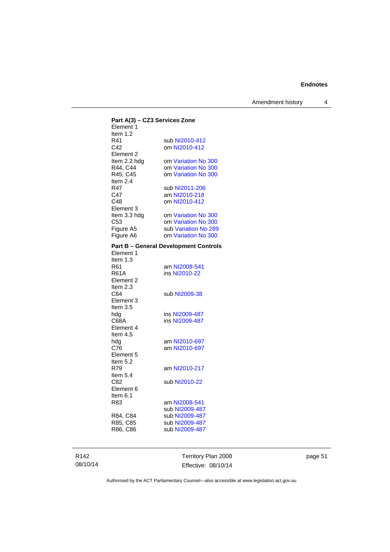Amendment history 4

| Part A(3) - CZ3 Services Zone |                                              |
|-------------------------------|----------------------------------------------|
| Element 1                     |                                              |
| Item 1.2                      |                                              |
| R41                           | sub NI2010-412                               |
| C42                           | om NI2010-412                                |
| Element 2                     |                                              |
| Item 2.2 hdg                  | om Variation No 300                          |
| R44, C44                      | om Variation No 300                          |
| R45, C45                      | om Variation No 300                          |
| Item 2.4                      |                                              |
| R47                           | sub NI2011-206                               |
| C47                           | am NI2010-218                                |
| C48                           | om NI2010-412                                |
| Element 3                     |                                              |
| Item 3.3 hdg                  | om Variation No 300                          |
| C53                           | om Variation No 300                          |
|                               |                                              |
| Figure A5                     | sub Variation No 289                         |
| Figure A6                     | om Variation No 300                          |
|                               | <b>Part B - General Development Controls</b> |
| Element 1                     |                                              |
| Item 1.3                      |                                              |
| R61                           | am NI2008-541                                |
| <b>R61A</b>                   | ins NI2010-22                                |
| Element 2                     |                                              |
|                               |                                              |
| Item 2.3                      |                                              |
| C64                           | sub NI2009-38                                |
| Element 3                     |                                              |
| Item 3.5                      |                                              |
| hda                           | ins NI2009-487                               |
| C68A                          | ins NI2009-487                               |
| Element 4                     |                                              |
| Item $4.5$                    |                                              |
| hdg                           | am NI2010-697                                |
| C76                           | am NI2010-697                                |
| Element 5                     |                                              |
| Item 5.2                      |                                              |
| R79                           | am NI2010-217                                |
| Item $5.4$                    |                                              |
| C82                           | sub NI2010-22                                |
| Element 6                     |                                              |
| Item 6.1                      |                                              |
|                               |                                              |
| R83                           | am NI2008-541                                |
|                               | sub NI2009-487                               |
| R84, C84                      | sub NI2009-487                               |
| R85, C85                      | sub NI2009-487                               |
| R86, C86                      | sub NI2009-487                               |
|                               |                                              |
|                               |                                              |

R142 08/10/14

Territory Plan 2008 Effective: 08/10/14 page 51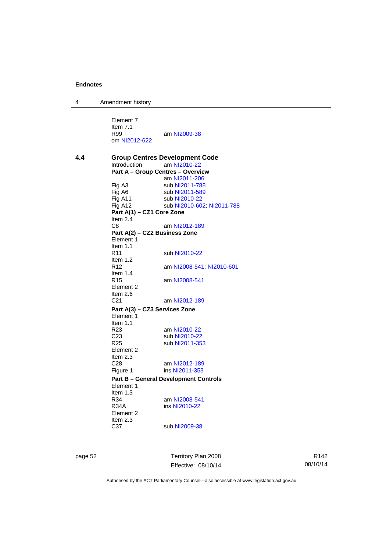4 Amendment history

Element 7 Item 7.1<br>R99 am [NI2009-38](http://www.legislation.act.gov.au/ni/2009-38/) om [NI2012-622](http://www.legislation.act.gov.au/ni/2012-622/default.asp) **4.4 Group Centres Development Code**  Introduction am [NI2010-22](http://www.legislation.act.gov.au/ni/2010-22/) **Part A – Group Centres – Overview**  am [NI2011-206](http://www.legislation.act.gov.au/ni/2011-206/) Fig A3 sub [NI2011-788](http://www.legislation.act.gov.au/ni/2011-788/)<br>Fig A6 sub NI2011-589 Fig A6 sub [NI2011-589](http://www.legislation.act.gov.au/ni/2011-589/)<br>Fig A11 sub NI2010-22 sub [NI2010-22](http://www.legislation.act.gov.au/ni/2010-22/) Fig A12 sub [NI2010-602](http://www.legislation.act.gov.au/ni/2010-602/); [NI2011-788](http://www.legislation.act.gov.au/ni/2011-788/) **Part A(1) – CZ1 Core Zone**  Item 2.4 C8 am [NI2012-189](http://www.legislation.act.gov.au/ni/2012-189/) **Part A(2) – CZ2 Business Zone**  Element 1 Item  $1.1$ <br>R11 sub [NI2010-22](http://www.legislation.act.gov.au/ni/2010-22/) Item 1.2 R12 am [NI2008-541](http://www.legislation.act.gov.au/ni/2008-541/); [NI2010-601](http://www.legislation.act.gov.au/ni/2010-601/) Item  $1.4$ <br>R<sub>15</sub> am [NI2008-541](http://www.legislation.act.gov.au/ni/2008-541/) Element 2 Item  $2.6$ <br>C<sub>21</sub> am [NI2012-189](http://www.legislation.act.gov.au/ni/2012-189/) **Part A(3) – CZ3 Services Zone**  Element 1 Item  $1.1$ <br>R23 am [NI2010-22](http://www.legislation.act.gov.au/ni/2010-22/) C23 sub [NI2010-22](http://www.legislation.act.gov.au/ni/2010-22/)<br>R25 sub NI2011-35 sub [NI2011-353](http://www.legislation.act.gov.au/ni/2011-353/) Element 2 Item 2.3<br>C28 C28 am [NI2012-189](http://www.legislation.act.gov.au/ni/2012-189/)<br>Figure 1 ins NI2011-353 ins [NI2011-353](http://www.legislation.act.gov.au/ni/2011-353/) **Part B – General Development Controls**  Element 1 Item  $1.3$ <br>R34 R34 am [NI2008-541](http://www.legislation.act.gov.au/ni/2008-541/)<br>R34A ins NI2010-22 ins [NI2010-22](http://www.legislation.act.gov.au/ni/2010-22/) Element 2 Item 2.3 C37 sub [NI2009-38](http://www.legislation.act.gov.au/ni/2009-38/)

page 52 Territory Plan 2008 Effective: 08/10/14

R142 08/10/14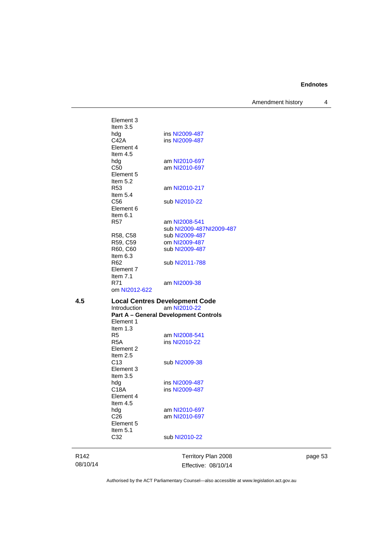Amendment history 4

Element 3 Item 3.5 hdg ins [NI2009-487](http://www.legislation.act.gov.au/ni/2009-487/)<br>C42A ins NI2009-487 ins [NI2009-487](http://www.legislation.act.gov.au/ni/2009-487/) Element 4 Item 4.5<br>hdg am [NI2010-697](http://www.legislation.act.gov.au/ni/2010-697/) C50 am [NI2010-697](http://www.legislation.act.gov.au/ni/2010-697/) Element 5 Item  $5.2$ <br>R53 am [NI2010-217](http://www.legislation.act.gov.au/ni/2010-217/) Item 5.4 C56 sub [NI2010-22](http://www.legislation.act.gov.au/ni/2010-22/) Element 6 Item 6.1 R57 am [NI2008-541](http://www.legislation.act.gov.au/ni/2008-541/) sub [NI2009-487NI2009-487](http://www.legislation.act.gov.au/ni/2009-487/)<br>R58, C58 sub NI2009-487<br>R59, C59 om NI2009-487 sub [NI2009-487](http://www.legislation.act.gov.au/ni/2009-487/) R59, C59 om [NI2009-487](http://www.legislation.act.gov.au/ni/2009-487/)<br>R60, C60 sub NI2009-487 sub [NI2009-487](http://www.legislation.act.gov.au/ni/2009-487/) Item 6.3 R62 sub [NI2011-788](http://www.legislation.act.gov.au/ni/2011-788/) Element 7 Item 7.1<br>R71 am [NI2009-38](http://www.legislation.act.gov.au/ni/2009-38/) om [NI2012-622](http://www.legislation.act.gov.au/ni/2012-622/default.asp) **4.5 Local Centres Development Code**  am [NI2010-22](http://www.legislation.act.gov.au/ni/2010-22/) **Part A – General Development Controls**  Element 1 Item 1.3<br>R5 R5 am [NI2008-541](http://www.legislation.act.gov.au/ni/2008-541/)<br>R5A ins NI2010-22 ins [NI2010-22](http://www.legislation.act.gov.au/ni/2010-22/) Element 2 Item 2.5 C13 sub [NI2009-38](http://www.legislation.act.gov.au/ni/2009-38/) Element 3 Item 3.5<br>hdg hdg ins [NI2009-487](http://www.legislation.act.gov.au/ni/2009-487/)<br>C18A ins NI2009-487 ins [NI2009-487](http://www.legislation.act.gov.au/ni/2009-487/) Element 4 Item 4.5 hdg am [NI2010-697](http://www.legislation.act.gov.au/ni/2010-697/)<br>C26 am NI2010-697 am [NI2010-697](http://www.legislation.act.gov.au/ni/2010-697/) Element 5 Item  $5.1$ <br> $C<sub>32</sub>$ sub [NI2010-22](http://www.legislation.act.gov.au/ni/2010-22/)

R142 08/10/14 Territory Plan 2008 Effective: 08/10/14 page 53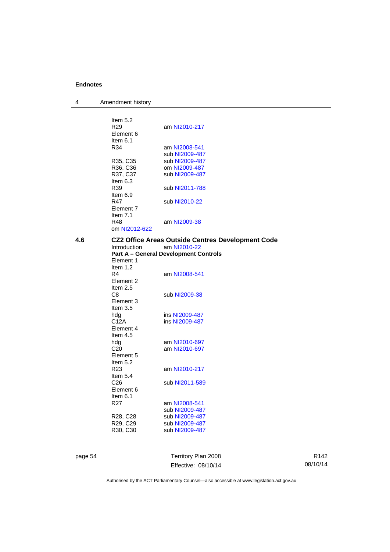4 Amendment history

|     | Item $5.2$                        |                                                          |
|-----|-----------------------------------|----------------------------------------------------------|
|     | R <sub>29</sub>                   | am NI2010-217                                            |
|     | Element 6                         |                                                          |
|     | Item $6.1$                        |                                                          |
|     | R34                               | am NI2008-541                                            |
|     |                                   | sub NI2009-487                                           |
|     | R35, C35                          | sub NI2009-487                                           |
|     | R36, C36                          | om NI2009-487                                            |
|     | R37, C37                          | sub NI2009-487                                           |
|     | Item $6.3$                        |                                                          |
|     | R39                               | sub NI2011-788                                           |
|     | Item $6.9$                        |                                                          |
|     | R47                               | sub NI2010-22                                            |
|     | Element 7                         |                                                          |
|     | Item $7.1$                        |                                                          |
|     | R48                               | am NI2009-38                                             |
|     | om NI2012-622                     |                                                          |
|     |                                   |                                                          |
| 4.6 |                                   | <b>CZ2 Office Areas Outside Centres Development Code</b> |
|     | <b>Introduction</b>               | am NI2010-22                                             |
|     |                                   | <b>Part A – General Development Controls</b>             |
|     | Element 1                         |                                                          |
|     | Item $1.2$                        |                                                          |
|     | R4                                | am NI2008-541                                            |
|     | Element 2                         |                                                          |
|     | Item 2.5                          |                                                          |
|     | C8                                | sub NI2009-38                                            |
|     | Element 3                         |                                                          |
|     | Item 3.5                          |                                                          |
|     | hdg                               | ins NI2009-487                                           |
|     | C12A                              | ins NI2009-487                                           |
|     | Element 4                         |                                                          |
|     | Item $4.5$                        |                                                          |
|     | hdg                               | am NI2010-697                                            |
|     | C <sub>20</sub>                   | am NI2010-697                                            |
|     | Element 5                         |                                                          |
|     | Item $5.2$                        |                                                          |
|     | R <sub>23</sub>                   | am NI2010-217                                            |
|     | Item $5.4$                        |                                                          |
|     | C <sub>26</sub>                   | sub NI2011-589                                           |
|     | Element 6                         |                                                          |
|     | Item $6.1$                        |                                                          |
|     | R <sub>27</sub>                   | am NI2008-541                                            |
|     |                                   | sub NI2009-487                                           |
|     | R <sub>28</sub> , C <sub>28</sub> | sub NI2009-487                                           |
|     | R29, C29                          | sub NI2009-487                                           |
|     | R <sub>30</sub> , C <sub>30</sub> | sub NI2009-487                                           |
|     |                                   |                                                          |
|     |                                   |                                                          |
|     |                                   |                                                          |

page 54 Territory Plan 2008 Effective: 08/10/14

R142 08/10/14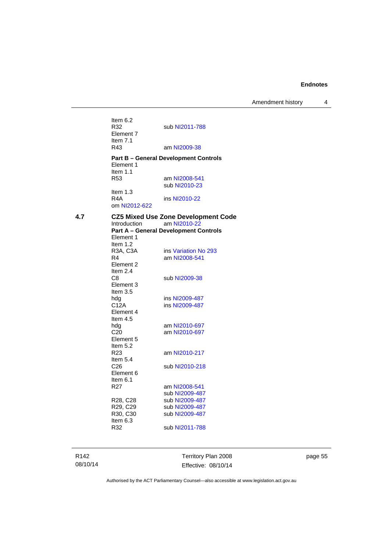Amendment history 4

Item  $6.2$ <br>R32 sub [NI2011-788](http://www.legislation.act.gov.au/ni/2011-788/) Element 7 Item 7.1<br>R43 am [NI2009-38](http://www.legislation.act.gov.au/ni/2009-38/) **Part B – General Development Controls**  Element 1 Item 1.1 R53 am [NI2008-541](http://www.legislation.act.gov.au/ni/2008-541/) sub [NI2010-23](http://www.legislation.act.gov.au/ni/2010-23/) Item 1.3<br>R4A ins [NI2010-22](http://www.legislation.act.gov.au/ni/2010-22/) om [NI2012-622](http://www.legislation.act.gov.au/ni/2012-622/default.asp) **4.7 CZ5 Mixed Use Zone Development Code**  am [NI2010-22](http://www.legislation.act.gov.au/ni/2010-22/) **Part A – General Development Controls**  Element 1 Item 1.2<br>R3A, C3A R3A, C3A ins [Variation No 293](http://www.legislation.act.gov.au/ni/2008-219/)<br>R4 am NI2008-541 am [NI2008-541](http://www.legislation.act.gov.au/ni/2008-541/) Element 2 Item 2.4<br>C8 sub [NI2009-38](http://www.legislation.act.gov.au/ni/2009-38/) Element 3 Item 3.5<br>hda hdg ins [NI2009-487](http://www.legislation.act.gov.au/ni/2009-487/)<br>C12A ins NI2009-487 ins [NI2009-487](http://www.legislation.act.gov.au/ni/2009-487/) Element 4 Item 4.5<br>hdg am [NI2010-697](http://www.legislation.act.gov.au/ni/2010-697/) C20 am [NI2010-697](http://www.legislation.act.gov.au/ni/2010-697/) Element 5 Item 5.2 R23 am [NI2010-217](http://www.legislation.act.gov.au/ni/2010-217/) Item 5.4 C26 sub [NI2010-218](http://www.legislation.act.gov.au/ni/2010-218/) Element 6 Item  $6.1$ <br>R27 am [NI2008-541](http://www.legislation.act.gov.au/ni/2008-541/) sub [NI2009-487](http://www.legislation.act.gov.au/ni/2009-487/)<br>R28, C28 sub NI2009-487 R28, C28 sub [NI2009-487](http://www.legislation.act.gov.au/ni/2009-487/)<br>R29. C29 sub NI2009-487 R29, C29 sub [NI2009-487](http://www.legislation.act.gov.au/ni/2009-487/)<br>R30, C30 sub NI2009-487 sub [NI2009-487](http://www.legislation.act.gov.au/ni/2009-487/) Item 6.3<br>R32 sub [NI2011-788](http://www.legislation.act.gov.au/ni/2011-788/)

R142 08/10/14 Territory Plan 2008 Effective: 08/10/14 page 55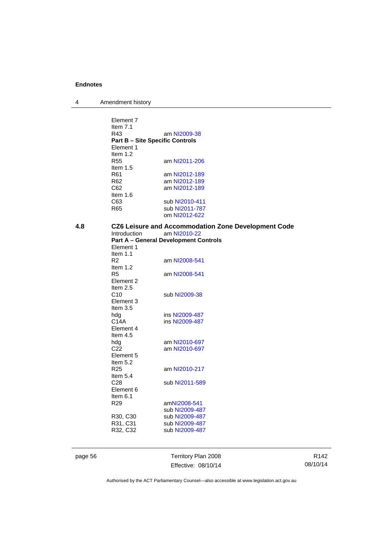| 4 | Amendment history |  |
|---|-------------------|--|
|---|-------------------|--|

|     | Element 7                                     |                                                            |
|-----|-----------------------------------------------|------------------------------------------------------------|
|     | Item $7.1$                                    |                                                            |
|     | R43<br><b>Part B - Site Specific Controls</b> | am NI2009-38                                               |
|     | Element 1                                     |                                                            |
|     | Item $1.2$                                    |                                                            |
|     | <b>R55</b>                                    | am NI2011-206                                              |
|     |                                               |                                                            |
|     | Item 1.5<br>R61                               |                                                            |
|     | R <sub>62</sub>                               | am NI2012-189<br>am NI2012-189                             |
|     | C62                                           | am NI2012-189                                              |
|     | Item $1.6$                                    |                                                            |
|     | C63                                           | sub NI2010-411                                             |
|     | R65                                           | sub NI2011-787                                             |
|     |                                               | om NI2012-622                                              |
|     |                                               |                                                            |
| 4.8 |                                               | <b>CZ6 Leisure and Accommodation Zone Development Code</b> |
|     | <b>Introduction</b>                           | am NI2010-22                                               |
|     |                                               | <b>Part A - General Development Controls</b>               |
|     | Element 1<br>Item $1.1$                       |                                                            |
|     | R <sub>2</sub>                                | am NI2008-541                                              |
|     | Item 1.2                                      |                                                            |
|     | R <sub>5</sub>                                | am NI2008-541                                              |
|     | Element 2                                     |                                                            |
|     | Item $2.5$                                    |                                                            |
|     | C <sub>10</sub>                               | sub NI2009-38                                              |
|     | Element 3                                     |                                                            |
|     | Item $3.5$                                    |                                                            |
|     | hdg                                           | ins NI2009-487                                             |
|     | C14A                                          | ins NI2009-487                                             |
|     | Element 4                                     |                                                            |
|     | Item 4.5                                      |                                                            |
|     | hdg                                           | am NI2010-697                                              |
|     | C <sub>22</sub>                               | am NI2010-697                                              |
|     | Element 5                                     |                                                            |
|     | Item 5.2                                      |                                                            |
|     | R <sub>25</sub>                               | am NI2010-217                                              |
|     | Item $5.4$                                    |                                                            |
|     | C <sub>28</sub>                               | sub NI2011-589                                             |
|     | Element 6                                     |                                                            |
|     | Item $6.1$                                    |                                                            |
|     | R <sub>29</sub>                               | amNI2008-541                                               |
|     |                                               | sub NI2009-487                                             |
|     | R30, C30                                      | sub NI2009-487                                             |
|     | R31, C31                                      | sub NI2009-487                                             |
|     | R32, C32                                      | sub NI2009-487                                             |
|     |                                               |                                                            |
|     |                                               |                                                            |
|     |                                               |                                                            |

ı

page 56 Territory Plan 2008 Effective: 08/10/14

R142 08/10/14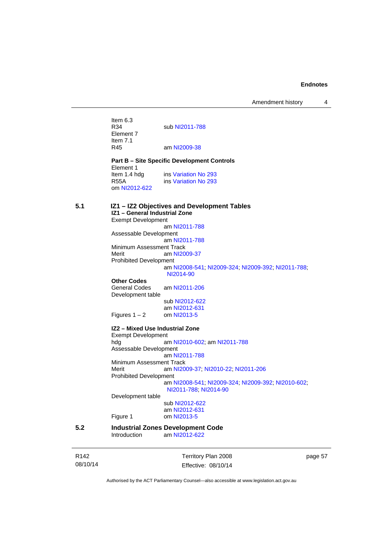Amendment history 4

Item  $6.3$ <br>R34 sub [NI2011-788](http://www.legislation.act.gov.au/ni/2011-788/) Element 7 Item 7.1<br>R45 am [NI2009-38](http://www.legislation.act.gov.au/ni/2009-38/) **Part B – Site Specific Development Controls**  Element 1 Item 1.4 hdg ins [Variation No 293](http://www.legislation.act.gov.au/ni/2008-219/) R55A ins [Variation No 293](http://www.legislation.act.gov.au/ni/2008-219/) om [NI2012-622](http://www.legislation.act.gov.au/ni/2012-622/default.asp) **5.1 IZ1 – IZ2 Objectives and Development Tables IZ1 – General Industrial Zone**  Exempt Development am [NI2011-788](http://www.legislation.act.gov.au/ni/2011-788/) Assessable Development am [NI2011-788](http://www.legislation.act.gov.au/ni/2011-788/) Minimum Assessment Track<br>Merit am NI20 am [NI2009-37](http://www.legislation.act.gov.au/ni/2009-37/) Prohibited Development am [NI2008-541](http://www.legislation.act.gov.au/ni/2008-541/); [NI2009-324](http://www.legislation.act.gov.au/ni/2009-324/); [NI2009-392](http://www.legislation.act.gov.au/ni/2009-392/); [NI2011-788](http://www.legislation.act.gov.au/ni/2011-788/); [NI2014-90](http://www.legislation.act.gov.au/ni/2014-90/default.asp) **Other Codes**  am [NI2011-206](http://www.legislation.act.gov.au/ni/2011-206/) Development table sub [NI2012-622](http://www.legislation.act.gov.au/ni/2012-622/default.asp) am [NI2012-631](http://www.legislation.act.gov.au/ni/2012-631/default.asp)<br>om NI2013-5 Figures  $1 - 2$ **IZ2 – Mixed Use Industrial Zone**  Exempt Development hdg am [NI2010-602](http://www.legislation.act.gov.au/ni/2010-602/); am [NI2011-788](http://www.legislation.act.gov.au/ni/2011-788/) Assessable Development am [NI2011-788](http://www.legislation.act.gov.au/ni/2011-788/) Minimum Assessment Track<br>Merit am NI20 am [NI2009-37](http://www.legislation.act.gov.au/ni/2009-37/); [NI2010-22](http://www.legislation.act.gov.au/ni/2010-22/); [NI2011-206](http://www.legislation.act.gov.au/ni/2011-206/) Prohibited Development am [NI2008-541](http://www.legislation.act.gov.au/ni/2008-541/); [NI2009-324](http://www.legislation.act.gov.au/ni/2009-324/); [NI2009-392](http://www.legislation.act.gov.au/ni/2009-392/); [NI2010-602](http://www.legislation.act.gov.au/ni/2010-602/); [NI2011-788](http://www.legislation.act.gov.au/ni/2011-788/); [NI2014-90](http://www.legislation.act.gov.au/ni/2014-90/default.asp) Development table sub [NI2012-622](http://www.legislation.act.gov.au/ni/2012-622/default.asp) am [NI2012-631](http://www.legislation.act.gov.au/ni/2012-631/default.asp)<br>Figure 1 com NI2013-5 om [NI2013-5](http://www.legislation.act.gov.au/ni/2013-5/default.asp) **5.2 Industrial Zones Development Code**  am [NI2012-622](http://www.legislation.act.gov.au/ni/2012-622/default.asp)

| R <sub>142</sub> | Territory Plan 2008 | page 57 |
|------------------|---------------------|---------|
| 08/10/14         | Effective: 08/10/14 |         |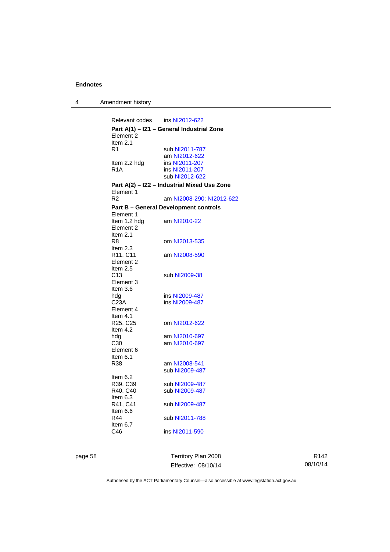4 Amendment history

Relevant codes ins [NI2012-622](http://www.legislation.act.gov.au/ni/2012-622/default.asp) **Part A(1) – IZ1 – General Industrial Zone**  Element 2 Item 2.1<br>R1 sub [NI2011-787](http://www.legislation.act.gov.au/ni/2011-787/) am [NI2012-622](http://www.legislation.act.gov.au/ni/2012-622/default.asp)<br>Item 2.2 hdg ins NI2011-207 Item 2.2 hdg ins [NI2011-207](http://www.legislation.act.gov.au/ni/2011-207/)<br>R1A ins NI2011-207 ins [NI2011-207](http://www.legislation.act.gov.au/ni/2011-207/) sub [NI2012-622](http://www.legislation.act.gov.au/ni/2012-622/default.asp) **Part A(2) – IZ2 – Industrial Mixed Use Zone**  Element 1<br>R2 am [NI2008-290](http://www.legislation.act.gov.au/ni/2008-290/); [NI2012-622](http://www.legislation.act.gov.au/ni/2012-622/default.asp) **Part B – General Development controls**  Element 1<br>Item 1.2 hdg am [NI2010-22](http://www.legislation.act.gov.au/ni/2010-22/) Element 2 Item 2.1<br>R8 om [NI2013-535](http://www.legislation.act.gov.au/ni/2013-535/) Item 2.3<br>R11, C11 am [NI2008-590](http://www.legislation.act.gov.au/ni/2008-590/default.asp) Element 2 Item 2.5 C13 sub [NI2009-38](http://www.legislation.act.gov.au/ni/2009-38/) Element 3 Item 3.6 hdg ins [NI2009-487](http://www.legislation.act.gov.au/ni/2009-487/)<br>C23A ins NI2009-487 ins [NI2009-487](http://www.legislation.act.gov.au/ni/2009-487/) Element 4 Item 4.1<br>R25, C25 om [NI2012-622](http://www.legislation.act.gov.au/ni/2012-622/default.asp) Item 4.2 hdg am [NI2010-697](http://www.legislation.act.gov.au/ni/2010-697/) C30 am [NI2010-697](http://www.legislation.act.gov.au/ni/2010-697/) Element 6 Item 6.1<br>R38 am [NI2008-541](http://www.legislation.act.gov.au/ni/2008-541/) sub [NI2009-487](http://www.legislation.act.gov.au/ni/2009-487/) Item 6.2 R39, C39 sub [NI2009-487](http://www.legislation.act.gov.au/ni/2009-487/)<br>R40, C40 sub NI2009-487 sub [NI2009-487](http://www.legislation.act.gov.au/ni/2009-487/) Item 6.3<br>R41, C41 sub [NI2009-487](http://www.legislation.act.gov.au/ni/2009-487/) Item 6.6 R44 sub [NI2011-788](http://www.legislation.act.gov.au/ni/2011-788/) Item 6.7 C46 ins [NI2011-590](http://www.legislation.act.gov.au/ni/2011-590/)

page 58 Territory Plan 2008 Effective: 08/10/14

R142 08/10/14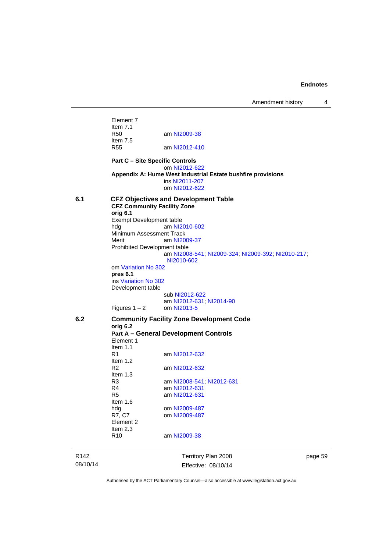Amendment history 4

Element 7 Item 7.1<br>R50 am [NI2009-38](http://www.legislation.act.gov.au/ni/2009-38/) Item 7.5<br>R55 am [NI2012-410](http://www.legislation.act.gov.au/ni/2012-410/) **Part C – Site Specific Controls**  om [NI2012-622](http://www.legislation.act.gov.au/ni/2012-622/default.asp) **Appendix A: Hume West Industrial Estate bushfire provisions**  ins [NI2011-207](http://www.legislation.act.gov.au/ni/2011-207/) om [NI2012-622](http://www.legislation.act.gov.au/ni/2012-622/default.asp) **6.1 CFZ Objectives and Development Table CFZ Community Facility Zone orig 6.1**  Exempt Development table<br>hdg am NI2 am [NI2010-602](http://www.legislation.act.gov.au/ni/2010-602/) Minimum Assessment Track<br>Merit am NI20 am [NI2009-37](http://www.legislation.act.gov.au/ni/2009-37/) Prohibited Development table am [NI2008-541](http://www.legislation.act.gov.au/ni/2008-541/); [NI2009-324](http://www.legislation.act.gov.au/ni/2009-324/); [NI2009-392](http://www.legislation.act.gov.au/ni/2009-392/); [NI2010-217](http://www.legislation.act.gov.au/ni/2010-217/); [NI2010-602](http://www.legislation.act.gov.au/ni/2010-602/) om [Variation No 302](http://www.legislation.act.gov.au/ni/2011-573/) **pres 6.1** ins [Variation No 302](http://www.legislation.act.gov.au/ni/2011-573/) Development table sub [NI2012-622](http://www.legislation.act.gov.au/ni/2012-622/default.asp) am [NI2012-631](http://www.legislation.act.gov.au/ni/2012-631/default.asp); [NI2014-90](http://www.legislation.act.gov.au/ni/2014-90/default.asp)<br>om NI2013-5 Figures  $1 - 2$ **6.2 Community Facility Zone Development Code orig 6.2 Part A – General Development Controls**  Element 1 Item 1.1<br>R1 am [NI2012-632](http://www.legislation.act.gov.au/ni/2012-632/default.asp) Item 1.2 R2 am [NI2012-632](http://www.legislation.act.gov.au/ni/2012-632/default.asp) Item 1.3<br>R3 am [NI2008-541](http://www.legislation.act.gov.au/ni/2008-541/); [NI2012-631](http://www.legislation.act.gov.au/ni/2012-631/default.asp) R4 am [NI2012-631](http://www.legislation.act.gov.au/ni/2012-631/default.asp) R5 am [NI2012-631](http://www.legislation.act.gov.au/ni/2012-631/default.asp) Item 1.6 hdg om [NI2009-487](http://www.legislation.act.gov.au/ni/2009-487/)<br>R7, C7 om NI2009-487 om [NI2009-487](http://www.legislation.act.gov.au/ni/2009-487/) Element 2 Item 2.3 R10 am [NI2009-38](http://www.legislation.act.gov.au/ni/2009-38/)

Territory Plan 2008 Effective: 08/10/14 page 59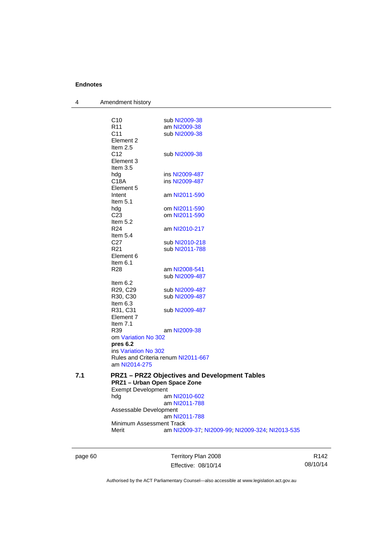| 4   | Amendment history                   |                                                    |
|-----|-------------------------------------|----------------------------------------------------|
|     |                                     |                                                    |
|     | C10<br>R <sub>11</sub>              | sub NI2009-38<br>am NI2009-38                      |
|     | C <sub>11</sub>                     | sub NI2009-38                                      |
|     | Element 2                           |                                                    |
|     | Item $2.5$                          |                                                    |
|     | C <sub>12</sub>                     | sub NI2009-38                                      |
|     | Element 3                           |                                                    |
|     | Item $3.5$                          |                                                    |
|     | hdg                                 | ins NI2009-487                                     |
|     | C18A                                | ins NI2009-487                                     |
|     | Element 5                           |                                                    |
|     | Intent                              | am NI2011-590                                      |
|     | Item $5.1$                          |                                                    |
|     | hdg                                 | om NI2011-590                                      |
|     | C <sub>23</sub>                     | om NI2011-590                                      |
|     | Item $5.2$<br>R24                   | am NI2010-217                                      |
|     | Item $5.4$                          |                                                    |
|     | C <sub>27</sub>                     | sub NI2010-218                                     |
|     | R <sub>21</sub>                     | sub NI2011-788                                     |
|     | Element 6                           |                                                    |
|     | Item $6.1$                          |                                                    |
|     | R <sub>28</sub>                     | am NI2008-541                                      |
|     |                                     | sub NI2009-487                                     |
|     | Item $6.2$                          |                                                    |
|     | R <sub>29</sub> , C <sub>29</sub>   | sub NI2009-487                                     |
|     | R30, C30                            | sub NI2009-487                                     |
|     | Item 6.3                            |                                                    |
|     | R31, C31                            | sub NI2009-487                                     |
|     | Element 7                           |                                                    |
|     | Item $7.1$<br>R39                   |                                                    |
|     | om Variation No 302                 | am NI2009-38                                       |
|     | pres 6.2                            |                                                    |
|     | ins Variation No 302                |                                                    |
|     | Rules and Criteria renum NI2011-667 |                                                    |
|     | am NI2014-275                       |                                                    |
| 7.1 |                                     | <b>PRZ1-PRZ2 Objectives and Development Tables</b> |
|     | PRZ1 - Urban Open Space Zone        |                                                    |
|     | <b>Exempt Development</b>           |                                                    |
|     | hda                                 | am NI2010-602                                      |
|     |                                     | am NI2011-788                                      |
|     | Assessable Development              |                                                    |
|     |                                     | am NI2011-788                                      |
|     | Minimum Assessment Track            |                                                    |
|     | Merit                               | am NI2009-37; NI2009-99; NI2009-324; NI2013-535    |
|     |                                     |                                                    |

page 60 Territory Plan 2008 Effective: 08/10/14

R142 08/10/14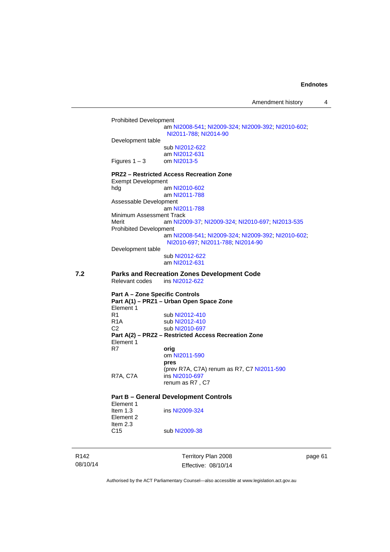Amendment history 4

Prohibited Development am [NI2008-541](http://www.legislation.act.gov.au/ni/2008-541/); [NI2009-324](http://www.legislation.act.gov.au/ni/2009-324/); [NI2009-392](http://www.legislation.act.gov.au/ni/2009-392/); [NI2010-602](http://www.legislation.act.gov.au/ni/2010-602/); [NI2011-788](http://www.legislation.act.gov.au/ni/2011-788/); [NI2014-90](http://www.legislation.act.gov.au/ni/2014-90/default.asp) Development table sub [NI2012-622](http://www.legislation.act.gov.au/ni/2012-622/default.asp) am [NI2012-631](http://www.legislation.act.gov.au/ni/2012-631/default.asp)<br>om NI2013-5 Figures  $1 - 3$ **PRZ2 – Restricted Access Recreation Zone**  Exempt Development hdg am [NI2010-602](http://www.legislation.act.gov.au/ni/2010-602/) am [NI2011-788](http://www.legislation.act.gov.au/ni/2011-788/) Assessable Development am [NI2011-788](http://www.legislation.act.gov.au/ni/2011-788/) Minimum Assessment Track Merit am [NI2009-37](http://www.legislation.act.gov.au/ni/2009-37/); [NI2009-324](http://www.legislation.act.gov.au/ni/2009-324/); [NI2010-697](http://www.legislation.act.gov.au/ni/2010-697/); [NI2013-535](http://www.legislation.act.gov.au/ni/2013-535/) Prohibited Development am [NI2008-541](http://www.legislation.act.gov.au/ni/2008-541/); [NI2009-324](http://www.legislation.act.gov.au/ni/2009-324/); [NI2009-392](http://www.legislation.act.gov.au/ni/2009-392/); [NI2010-602](http://www.legislation.act.gov.au/ni/2010-602/); [NI2010-697](http://www.legislation.act.gov.au/ni/2010-697/); [NI2011-788](http://www.legislation.act.gov.au/ni/2011-788/); [NI2014-90](http://www.legislation.act.gov.au/ni/2014-90/default.asp) Development table sub [NI2012-622](http://www.legislation.act.gov.au/ni/2012-622/default.asp) am [NI2012-631](http://www.legislation.act.gov.au/ni/2012-631/default.asp) **7.2 Parks and Recreation Zones Development Code**  Relevant codes ins [NI2012-622](http://www.legislation.act.gov.au/ni/2012-622/default.asp) **Part A – Zone Specific Controls Part A(1) – PRZ1 – Urban Open Space Zone**  Element 1<br>R1 sub [NI2012-410](http://www.legislation.act.gov.au/ni/2012-410/) R1A sub [NI2012-410](http://www.legislation.act.gov.au/ni/2012-410/)<br>C2 sub NI2010-697 sub [NI2010-697](http://www.legislation.act.gov.au/ni/2010-697/) **Part A(2) – PRZ2 – Restricted Access Recreation Zone**  Element 1<br>R7 orig om [NI2011-590](http://www.legislation.act.gov.au/ni/2011-590/) **pres** (prev R7A, C7A) renum as R7, C7 [NI2011-590](http://www.legislation.act.gov.au/ni/2011-590/) R7A, C7A ins [NI2010-697](http://www.legislation.act.gov.au/ni/2010-697/) renum as R7 , C7 **Part B – General Development Controls** 

### Element 1 Item 1.3 **ins [NI2009-324](http://www.legislation.act.gov.au/ni/2009-324/)**

Element 2 Item  $2.3$ <br>C<sub>15</sub> sub [NI2009-38](http://www.legislation.act.gov.au/ni/2009-38/)

R142 08/10/14 Territory Plan 2008 Effective: 08/10/14 page 61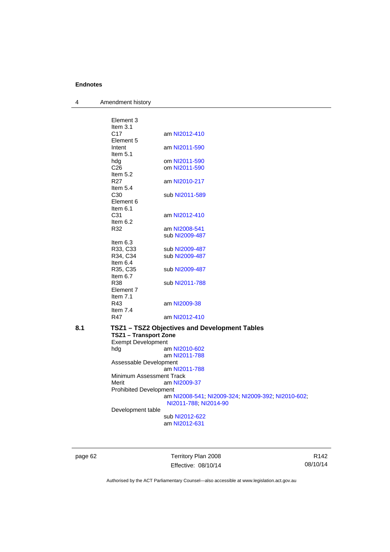4 Amendment history

| am NI2012-410  |
|----------------|
|                |
| am NI2011-590  |
|                |
| om NI2011-590  |
| om NI2011-590  |
|                |
| am NI2010-217  |
|                |
| sub NI2011-589 |
|                |
|                |
| am NI2012-410  |
|                |
| am NI2008-541  |
| sub NI2009-487 |
|                |
| sub NI2009-487 |
| sub NI2009-487 |
|                |
| sub NI2009-487 |
|                |
| sub NI2011-788 |
|                |
|                |
| am NI2009-38   |
|                |
| am NI2012-410  |
|                |

### **8.1 TSZ1 – TSZ2 Objectives and Development Tables TSZ1 – Transport Zone**  Exempt Development hdg am [NI2010-602](http://www.legislation.act.gov.au/ni/2010-602/) am [NI2011-788](http://www.legislation.act.gov.au/ni/2011-788/) Assessable Development am [NI2011-788](http://www.legislation.act.gov.au/ni/2011-788/) Minimum Assessment Track<br>Merit am NI20

am [NI2009-37](http://www.legislation.act.gov.au/ni/2009-37/) Prohibited Development am [NI2008-541](http://www.legislation.act.gov.au/ni/2008-541/); [NI2009-324](http://www.legislation.act.gov.au/ni/2009-324/); [NI2009-392](http://www.legislation.act.gov.au/ni/2009-392/); [NI2010-602](http://www.legislation.act.gov.au/ni/2010-602/); [NI2011-788](http://www.legislation.act.gov.au/ni/2011-788/); [NI2014-90](http://www.legislation.act.gov.au/ni/2014-90/default.asp)

Development table

 sub [NI2012-622](http://www.legislation.act.gov.au/ni/2012-622/default.asp) am [NI2012-631](http://www.legislation.act.gov.au/ni/2012-631/default.asp)

page 62 Territory Plan 2008 Effective: 08/10/14

R142 08/10/14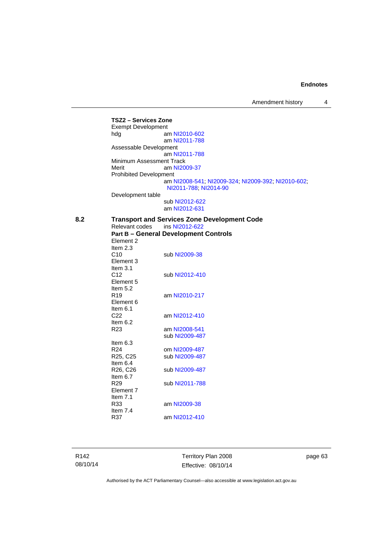Amendment history 4

**TSZ2 – Services Zone**  Exempt Development hdg am [NI2010-602](http://www.legislation.act.gov.au/ni/2010-602/) am [NI2011-788](http://www.legislation.act.gov.au/ni/2011-788/) Assessable Development am [NI2011-788](http://www.legislation.act.gov.au/ni/2011-788/) Minimum Assessment Track Merit am [NI2009-37](http://www.legislation.act.gov.au/ni/2009-37/) Prohibited Development am [NI2008-541](http://www.legislation.act.gov.au/ni/2008-541/); [NI2009-324](http://www.legislation.act.gov.au/ni/2009-324/); [NI2009-392](http://www.legislation.act.gov.au/ni/2009-392/); [NI2010-602](http://www.legislation.act.gov.au/ni/2010-602/); [NI2011-788](http://www.legislation.act.gov.au/ni/2011-788/); [NI2014-90](http://www.legislation.act.gov.au/ni/2014-90/default.asp) Development table sub [NI2012-622](http://www.legislation.act.gov.au/ni/2012-622/default.asp) am [NI2012-631](http://www.legislation.act.gov.au/ni/2012-631/default.asp) **8.2 Transport and Services Zone Development Code**  Relevant codes **Part B – General Development Controls**  Element 2 Item  $2.3$ <br>C<sub>10</sub> sub [NI2009-38](http://www.legislation.act.gov.au/ni/2009-38/) Element 3 Item  $3.1$ <br>C12 sub [NI2012-410](http://www.legislation.act.gov.au/ni/2012-410/) Element 5 Item  $5.2$ <br>R<sub>19</sub> am [NI2010-217](http://www.legislation.act.gov.au/ni/2010-217/) Element 6 Item  $6.1$ am [NI2012-410](http://www.legislation.act.gov.au/ni/2012-410/) Item 6.2 R23 am [NI2008-541](http://www.legislation.act.gov.au/ni/2008-541/) sub [NI2009-487](http://www.legislation.act.gov.au/ni/2009-487/) Item 6.3 R24 om [NI2009-487](http://www.legislation.act.gov.au/ni/2009-487/)<br>R25, C25 sub NI2009-487 sub [NI2009-487](http://www.legislation.act.gov.au/ni/2009-487/) Item  $6.4$ <br>R26, C26 sub [NI2009-487](http://www.legislation.act.gov.au/ni/2009-487/) Item  $6.7$ <br>R29 sub [NI2011-788](http://www.legislation.act.gov.au/ni/2011-788/) Element 7 Item 7.1 R33 am [NI2009-38](http://www.legislation.act.gov.au/ni/2009-38/)

R142 08/10/14 Item 7.4

R37 am [NI2012-410](http://www.legislation.act.gov.au/ni/2012-410/)

Territory Plan 2008 Effective: 08/10/14 page 63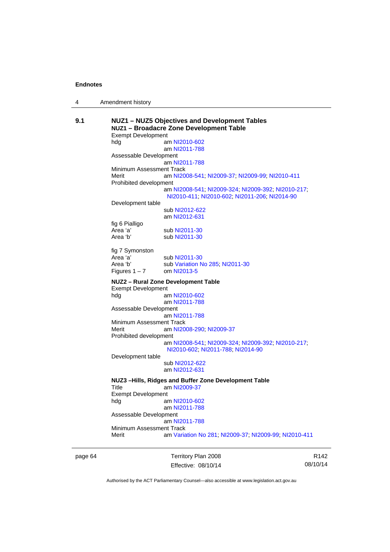| Amendment history |
|-------------------|
|                   |

| 9.1 | NUZ1 - NUZ5 Objectives and Development Tables<br>NUZ1 - Broadacre Zone Development Table<br><b>Exempt Development</b> |                                                                                                     |  |
|-----|-----------------------------------------------------------------------------------------------------------------------|-----------------------------------------------------------------------------------------------------|--|
|     |                                                                                                                       |                                                                                                     |  |
|     | hdg                                                                                                                   | am NI2010-602                                                                                       |  |
|     |                                                                                                                       | am NI2011-788                                                                                       |  |
|     | Assessable Development                                                                                                |                                                                                                     |  |
|     |                                                                                                                       | am NI2011-788                                                                                       |  |
|     | Minimum Assessment Track                                                                                              |                                                                                                     |  |
|     | Merit                                                                                                                 | am NI2008-541, NI2009-37, NI2009-99, NI2010-411                                                     |  |
|     | Prohibited development                                                                                                |                                                                                                     |  |
|     |                                                                                                                       | am NI2008-541; NI2009-324; NI2009-392; NI2010-217;<br>NI2010-411, NI2010-602, NI2011-206, NI2014-90 |  |
|     | Development table                                                                                                     |                                                                                                     |  |
|     |                                                                                                                       | sub NI2012-622                                                                                      |  |
|     |                                                                                                                       | am NI2012-631                                                                                       |  |
|     | fig 6 Pialligo                                                                                                        |                                                                                                     |  |
|     | Area 'a'                                                                                                              | sub NI2011-30                                                                                       |  |
|     | Area 'b'                                                                                                              | sub NI2011-30                                                                                       |  |
|     |                                                                                                                       |                                                                                                     |  |
|     | fig 7 Symonston                                                                                                       |                                                                                                     |  |
|     | Area 'a'                                                                                                              | sub NI2011-30                                                                                       |  |
|     | Area 'b'                                                                                                              | sub Variation No 285, NI2011-30                                                                     |  |
|     | Figures $1 - 7$                                                                                                       | om NI2013-5                                                                                         |  |
|     | NUZ2 - Rural Zone Development Table<br><b>Exempt Development</b>                                                      |                                                                                                     |  |
|     | hdg                                                                                                                   | am NI2010-602                                                                                       |  |
|     |                                                                                                                       | am NI2011-788                                                                                       |  |
|     | Assessable Development                                                                                                |                                                                                                     |  |
|     |                                                                                                                       | am NI2011-788                                                                                       |  |
|     | Minimum Assessment Track                                                                                              |                                                                                                     |  |
|     | Merit                                                                                                                 | am NI2008-290; NI2009-37                                                                            |  |
|     | Prohibited development                                                                                                |                                                                                                     |  |
|     |                                                                                                                       | am NI2008-541, NI2009-324, NI2009-392, NI2010-217,                                                  |  |
|     |                                                                                                                       | NI2010-602, NI2011-788, NI2014-90                                                                   |  |
|     | Development table                                                                                                     |                                                                                                     |  |
|     |                                                                                                                       | sub NI2012-622                                                                                      |  |
|     |                                                                                                                       | am NI2012-631                                                                                       |  |
|     |                                                                                                                       |                                                                                                     |  |
|     |                                                                                                                       | NUZ3-Hills, Ridges and Buffer Zone Development Table                                                |  |
|     | Title                                                                                                                 | am NI2009-37                                                                                        |  |
|     | <b>Exempt Development</b>                                                                                             |                                                                                                     |  |
|     | hdg                                                                                                                   | am NI2010-602                                                                                       |  |
|     |                                                                                                                       | am NI2011-788                                                                                       |  |
|     | Assessable Development                                                                                                |                                                                                                     |  |
|     |                                                                                                                       | am NI2011-788                                                                                       |  |
|     | Minimum Assessment Track                                                                                              |                                                                                                     |  |
|     | Merit                                                                                                                 | am Variation No 281, NI2009-37, NI2009-99, NI2010-411                                               |  |
|     |                                                                                                                       |                                                                                                     |  |

page 64 Territory Plan 2008 Effective: 08/10/14

R142 08/10/14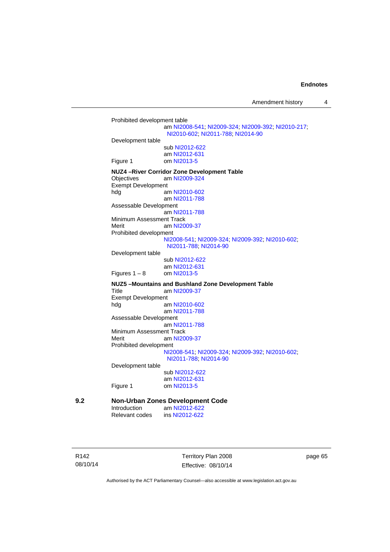Amendment history 4

```
Prohibited development table 
                             am NI2008-541; NI2009-324; NI2009-392; NI2010-217; 
                            NI2010-602; NI2011-788; NI2014-90
           Development table 
                             sub NI2012-622
                             am NI2012-631
           Figure 1 om NI2013-5
           NUZ4 –River Corridor Zone Development Table 
           Objectives am NI2009-324
           Exempt Development 
           hdg am NI2010-602
                             am NI2011-788
           Assessable Development
                            am NI2011-788
           Minimum Assessment Track 
            NI2009-37
           Prohibited development 
                            NI2008-541; NI2009-324; NI2009-392; NI2010-602; 
                            NI2011-788; NI2014-90
           Development table 
                             sub NI2012-622
                             am NI2012-631
           Figures 1 - 8 NI2013-5
           NUZ5 –Mountains and Bushland Zone Development Table 
           Title am NI2009-37
           Exempt Development 
           hdg am NI2010-602
                            am NI2011-788
           Assessable Development
                             am NI2011-788
           Minimum Assessment Track 
            NI2009-37
           Prohibited development 
                            NI2008-541; NI2009-324; NI2009-392; NI2010-602; 
                            NI2011-788; NI2014-90
           Development table 
                             sub NI2012-622
            NI2012-631<br>Figure 1 com NI2013-5
                             NI2013-5
9.2 Non-Urban Zones Development Code 
            NI2012-622<br>Relevant codes ins NI2012-622
                            NI2012-622
```
R142 08/10/14 Territory Plan 2008 Effective: 08/10/14 page 65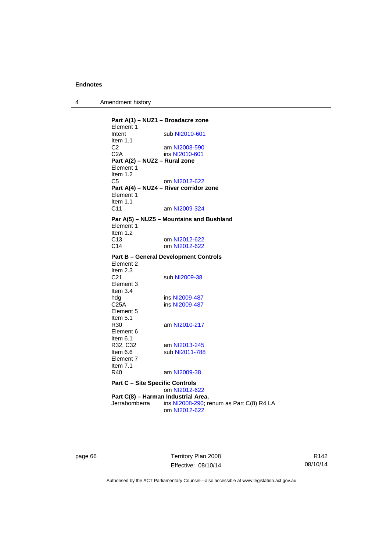| Amendment history<br>4 |  |
|------------------------|--|
|------------------------|--|

**Part A(1) – NUZ1 – Broadacre zone**  Element 1<br>Intent sub [NI2010-601](http://www.legislation.act.gov.au/ni/2010-601/) Item 1.1 C2 am [NI2008-590](http://www.legislation.act.gov.au/ni/2008-590/default.asp)<br>C2A ins NI2010-601 ins [NI2010-601](http://www.legislation.act.gov.au/ni/2010-601/) **Part A(2) – NUZ2 – Rural zone**  Element 1 Item 1.2 C5 om [NI2012-622](http://www.legislation.act.gov.au/ni/2012-622/default.asp) **Part A(4) – NUZ4 – River corridor zone**  Element 1 Item  $1.1$ <br>C<sub>11</sub> am [NI2009-324](http://www.legislation.act.gov.au/ni/2009-324/) **Par A(5) – NUZ5 – Mountains and Bushland**  Element 1 Item 1.2 C13 om [NI2012-622](http://www.legislation.act.gov.au/ni/2012-622/default.asp) C14 om [NI2012-622](http://www.legislation.act.gov.au/ni/2012-622/default.asp) **Part B – General Development Controls**  Element 2 Item 2.3 C21 sub [NI2009-38](http://www.legislation.act.gov.au/ni/2009-38/) Element 3 Item 3.4<br>hdg hdg ins [NI2009-487](http://www.legislation.act.gov.au/ni/2009-487/)<br>C25A ins NI2009-487 ins [NI2009-487](http://www.legislation.act.gov.au/ni/2009-487/) Element 5 Item  $5.1$ <br>R30 am [NI2010-217](http://www.legislation.act.gov.au/ni/2010-217/) Element 6 Item 6.1<br>R32, C32 R32, C32 am [NI2013-245](http://www.legislation.act.gov.au/ni/2013-245/default.asp)<br>Item 6.6 sub NI2011-788 sub [NI2011-788](http://www.legislation.act.gov.au/ni/2011-788/) Element 7 Item 7.1<br>R40 am [NI2009-38](http://www.legislation.act.gov.au/ni/2009-38/) **Part C – Site Specific Controls**  om [NI2012-622](http://www.legislation.act.gov.au/ni/2012-622/default.asp) **Part C(8) – Harman Industrial Area,**<br>Jerrabomberra ins NI2008-290; re ins  $N$ 12008-290; renum as Part C(8) R4 LA om [NI2012-622](http://www.legislation.act.gov.au/ni/2012-622/default.asp)

page 66 Territory Plan 2008 Effective: 08/10/14

R142 08/10/14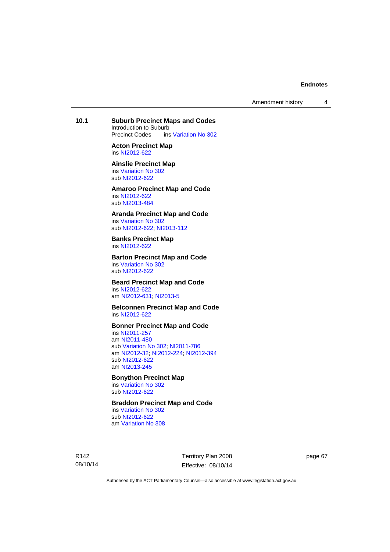Amendment history 4

## **10.1 Suburb Precinct Maps and Codes**

Introduction to Suburb<br>Precinct Codes ins ins [Variation No 302](http://www.legislation.act.gov.au/ni/2011-573/)

**Acton Precinct Map**  ins [NI2012-622](http://www.legislation.act.gov.au/ni/2012-622/default.asp)

#### **Ainslie Precinct Map**  ins [Variation No 302](http://www.legislation.act.gov.au/ni/2011-573/)

sub [NI2012-622](http://www.legislation.act.gov.au/ni/2012-622/default.asp)

#### **Amaroo Precinct Map and Code**  ins [NI2012-622](http://www.legislation.act.gov.au/ni/2012-622/default.asp) sub [NI2013-484](http://www.legislation.act.gov.au/ni/2013-484/default.asp)

**Aranda Precinct Map and Code**  ins [Variation No 302](http://www.legislation.act.gov.au/ni/2011-573/)

sub [NI2012-622](http://www.legislation.act.gov.au/ni/2012-622/default.asp); [NI2013-112](http://www.legislation.act.gov.au/ni/2013-112/default.asp)

#### **Banks Precinct Map**  ins [NI2012-622](http://www.legislation.act.gov.au/ni/2012-622/default.asp)

#### **Barton Precinct Map and Code**  ins [Variation No 302](http://www.legislation.act.gov.au/ni/2011-573/) sub [NI2012-622](http://www.legislation.act.gov.au/ni/2012-622/default.asp)

### **Beard Precinct Map and Code**  ins [NI2012-622](http://www.legislation.act.gov.au/ni/2012-622/default.asp)

am [NI2012-631](http://www.legislation.act.gov.au/ni/2012-631/default.asp); [NI2013-5](http://www.legislation.act.gov.au/ni/2013-5/default.asp)

#### **Belconnen Precinct Map and Code**  ins [NI2012-622](http://www.legislation.act.gov.au/ni/2012-622/default.asp)

### **Bonner Precinct Map and Code**

ins [NI2011-257](http://www.legislation.act.gov.au/ni/2011-257/) am [NI2011-480](http://www.legislation.act.gov.au/ni/2011-480/) sub [Variation No 302](http://www.legislation.act.gov.au/ni/2011-573/); [NI2011-786](http://www.legislation.act.gov.au/ni/2011-786/) am [NI2012-32](http://www.legislation.act.gov.au/ni/2012-32/); [NI2012-224](http://www.legislation.act.gov.au/ni/2012-224/); [NI2012-394](http://www.legislation.act.gov.au/ni/2012-394/) sub [NI2012-622](http://www.legislation.act.gov.au/ni/2012-622/default.asp) am [NI2013-245](http://www.legislation.act.gov.au/ni/2013-245/default.asp)

#### **Bonython Precinct Map**

ins [Variation No 302](http://www.legislation.act.gov.au/ni/2011-573/) sub [NI2012-622](http://www.legislation.act.gov.au/ni/2012-622/default.asp)

### **Braddon Precinct Map and Code**

ins [Variation No 302](http://www.legislation.act.gov.au/ni/2011-573/) sub [NI2012-622](http://www.legislation.act.gov.au/ni/2012-622/default.asp) am [Variation No 308](http://www.legislation.act.gov.au/ni/2014-60/default.asp)

R142 08/10/14 Territory Plan 2008 Effective: 08/10/14 page 67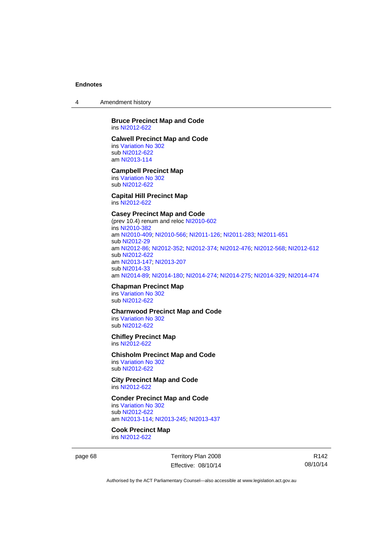4 Amendment history

#### **Bruce Precinct Map and Code**  ins [NI2012-622](http://www.legislation.act.gov.au/ni/2012-622/default.asp)

#### **Calwell Precinct Map and Code**

ins [Variation No 302](http://www.legislation.act.gov.au/ni/2011-573/) sub [NI2012-622](http://www.legislation.act.gov.au/ni/2012-622/default.asp) am [NI2013-114](http://www.legislation.act.gov.au/ni/2013-114/default.asp)

#### **Campbell Precinct Map**

ins [Variation No 302](http://www.legislation.act.gov.au/ni/2011-573/) sub [NI2012-622](http://www.legislation.act.gov.au/ni/2012-622/default.asp)

**Capital Hill Precinct Map**  ins [NI2012-622](http://www.legislation.act.gov.au/ni/2012-622/default.asp)

### **Casey Precinct Map and Code**

(prev 10.4) renum and reloc [NI2010-602](http://www.legislation.act.gov.au/ni/2010-602/) ins [NI2010-382](http://www.legislation.act.gov.au/ni/2010-382/) am [NI2010-409](http://www.legislation.act.gov.au/ni/2010-409/); [NI2010-566](http://www.legislation.act.gov.au/ni/2010-566/); [NI2011-126](http://www.legislation.act.gov.au/ni/2011-126/); [NI2011-283](http://www.legislation.act.gov.au/ni/2011-283/); [NI2011-651](http://www.legislation.act.gov.au/ni/2011-651/) sub [NI2012-29](http://www.legislation.act.gov.au/ni/2012-29/) am [NI2012-86](http://www.legislation.act.gov.au/ni/2012-86/); [NI2012-352](http://www.legislation.act.gov.au/ni/2012-352/); [NI2012-374](http://www.legislation.act.gov.au/ni/2012-374/); [NI2012-476](http://www.legislation.act.gov.au/ni/2012-476/); [NI2012-568](http://www.legislation.act.gov.au/ni/2012-568/default.asp); [NI2012-612](http://www.legislation.act.gov.au/ni/2012-612/default.asp) sub [NI2012-622](http://www.legislation.act.gov.au/ni/2012-622/default.asp) am [NI2013-147](http://www.legislation.act.gov.au/ni/2013-147/default.asp); [NI2013-207](http://www.legislation.act.gov.au/ni/2013-207/default.asp) sub [NI2014-33](http://www.legislation.act.gov.au/ni/2014-33/default.asp) am [NI2014-89](http://www.legislation.act.gov.au/ni/2014-89/default.asp); [NI2014-180](http://www.legislation.act.gov.au/ni/2014-180/default.asp); [NI2014-274](http://www.legislation.act.gov.au/ni/2014-274/default.asp); [NI2014-275](http://www.legislation.act.gov.au/ni/2014-275/default.asp); [NI2014-329](http://www.legislation.act.gov.au/ni/2014-329/default.asp); [NI2014-474](http://www.legislation.act.gov.au/ni/2014-474/default.asp)

### **Chapman Precinct Map**

ins [Variation No 302](http://www.legislation.act.gov.au/ni/2011-573/) sub [NI2012-622](http://www.legislation.act.gov.au/ni/2012-622/default.asp)

### **Charnwood Precinct Map and Code**

ins [Variation No 302](http://www.legislation.act.gov.au/ni/2011-573/) sub [NI2012-622](http://www.legislation.act.gov.au/ni/2012-622/default.asp)

#### **Chifley Precinct Map**  ins [NI2012-622](http://www.legislation.act.gov.au/ni/2012-622/default.asp)

#### **Chisholm Precinct Map and Code**

ins [Variation No 302](http://www.legislation.act.gov.au/ni/2011-573/) sub [NI2012-622](http://www.legislation.act.gov.au/ni/2012-622/default.asp)

#### **City Precinct Map and Code**  ins [NI2012-622](http://www.legislation.act.gov.au/ni/2012-622/default.asp)

### **Conder Precinct Map and Code**

ins [Variation No 302](http://www.legislation.act.gov.au/ni/2011-573/) sub [NI2012-622](http://www.legislation.act.gov.au/ni/2012-622/default.asp) am [NI2013-114](http://www.legislation.act.gov.au/ni/2013-114/default.asp); [NI2013-245](http://www.legislation.act.gov.au/ni/2013-245/default.asp); [NI2013-437](http://www.legislation.act.gov.au/ni/2013-437/default.asp)

### **Cook Precinct Map**

ins [NI2012-622](http://www.legislation.act.gov.au/ni/2012-622/default.asp)

page 68 Territory Plan 2008 Effective: 08/10/14

R142 08/10/14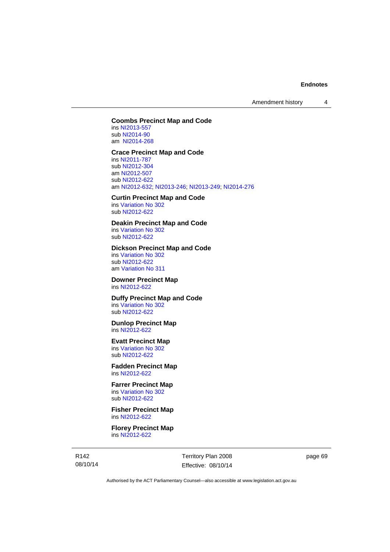Amendment history 4

### **Coombs Precinct Map and Code**

ins [NI2013-557](http://www.legislation.act.gov.au/ni/2013-557/default.asp) sub [NI2014-90](http://www.legislation.act.gov.au/ni/2014-90/default.asp) am [NI2014-268](http://www.legislation.act.gov.au/ni/2014-268/default.asp)

#### **Crace Precinct Map and Code**

ins [NI2011-787](http://www.legislation.act.gov.au/ni/2011-787/) sub [NI2012-304](http://www.legislation.act.gov.au/ni/2012-304/) am [NI2012-507](http://www.legislation.act.gov.au/ni/2012-507/) sub [NI2012-622](http://www.legislation.act.gov.au/ni/2012-622/default.asp) am [NI2012-632](http://www.legislation.act.gov.au/ni/2012-632/default.asp); [NI2013-246](http://www.legislation.act.gov.au/ni/2013-246/default.asp); [NI2013-249](http://www.legislation.act.gov.au/ni/2013-248/default.asp); [NI2014-276](http://www.legislation.act.gov.au/ni/2014-276/default.asp)

### **Curtin Precinct Map and Code**

ins [Variation No 302](http://www.legislation.act.gov.au/ni/2011-573/) sub [NI2012-622](http://www.legislation.act.gov.au/ni/2012-622/default.asp)

### **Deakin Precinct Map and Code**

ins [Variation No 302](http://www.legislation.act.gov.au/ni/2011-573/) sub [NI2012-622](http://www.legislation.act.gov.au/ni/2012-622/default.asp)

### **Dickson Precinct Map and Code**

ins [Variation No 302](http://www.legislation.act.gov.au/ni/2011-573/) sub [NI2012-622](http://www.legislation.act.gov.au/ni/2012-622/default.asp) am [Variation No 311](http://www.legislation.act.gov.au/ni/2013-208/default.asp)

#### **Downer Precinct Map**  ins [NI2012-622](http://www.legislation.act.gov.au/ni/2012-622/default.asp)

# **Duffy Precinct Map and Code**

ins [Variation No 302](http://www.legislation.act.gov.au/ni/2011-573/) sub [NI2012-622](http://www.legislation.act.gov.au/ni/2012-622/default.asp)

#### **Dunlop Precinct Map**  ins [NI2012-622](http://www.legislation.act.gov.au/ni/2012-622/default.asp)

### **Evatt Precinct Map**

ins [Variation No 302](http://www.legislation.act.gov.au/ni/2011-573/) sub [NI2012-622](http://www.legislation.act.gov.au/ni/2012-622/default.asp)

#### **Fadden Precinct Map**  ins [NI2012-622](http://www.legislation.act.gov.au/ni/2012-622/default.asp)

**Farrer Precinct Map**  ins [Variation No 302](http://www.legislation.act.gov.au/ni/2011-573/) sub [NI2012-622](http://www.legislation.act.gov.au/ni/2012-622/default.asp)

**Fisher Precinct Map**  ins [NI2012-622](http://www.legislation.act.gov.au/ni/2012-622/default.asp)

**Florey Precinct Map**  ins [NI2012-622](http://www.legislation.act.gov.au/ni/2012-622/default.asp)

R142 08/10/14 Territory Plan 2008 Effective: 08/10/14 page 69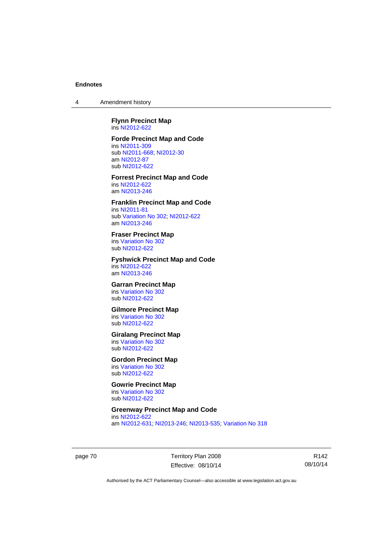4 Amendment history

**Flynn Precinct Map**  ins [NI2012-622](http://www.legislation.act.gov.au/ni/2012-622/default.asp)

#### **Forde Precinct Map and Code**

ins [NI2011-309](http://www.legislation.act.gov.au/ni/2011-309/) sub [NI2011-668](http://www.legislation.act.gov.au/ni/2011-668/); [NI2012-30](http://www.legislation.act.gov.au/ni/2012-30/) am [NI2012-87](http://www.legislation.act.gov.au/ni/2012-87/) sub [NI2012-622](http://www.legislation.act.gov.au/ni/2012-622/default.asp)

**Forrest Precinct Map and Code**  ins [NI2012-622](http://www.legislation.act.gov.au/ni/2012-622/default.asp) am [NI2013-246](http://www.legislation.act.gov.au/ni/2013-246/default.asp)

#### **Franklin Precinct Map and Code**

ins [NI2011-81](http://www.legislation.act.gov.au/ni/2011-81/) sub [Variation No 302](http://www.legislation.act.gov.au/ni/2011-573/); [NI2012-622](http://www.legislation.act.gov.au/ni/2012-622/default.asp) am [NI2013-246](http://www.legislation.act.gov.au/ni/2013-246/default.asp)

# **Fraser Precinct Map**

ins [Variation No 302](http://www.legislation.act.gov.au/ni/2011-573/) sub [NI2012-622](http://www.legislation.act.gov.au/ni/2012-622/default.asp)

### **Fyshwick Precinct Map and Code**

ins [NI2012-622](http://www.legislation.act.gov.au/ni/2012-622/default.asp) am [NI2013-246](http://www.legislation.act.gov.au/ni/2013-246/default.asp)

### **Garran Precinct Map**

ins [Variation No 302](http://www.legislation.act.gov.au/ni/2011-573/) sub [NI2012-622](http://www.legislation.act.gov.au/ni/2012-622/default.asp)

#### **Gilmore Precinct Map**  ins [Variation No 302](http://www.legislation.act.gov.au/ni/2011-573/)

sub [NI2012-622](http://www.legislation.act.gov.au/ni/2012-622/default.asp)

### **Giralang Precinct Map**

ins [Variation No 302](http://www.legislation.act.gov.au/ni/2011-573/) sub [NI2012-622](http://www.legislation.act.gov.au/ni/2012-622/default.asp)

#### **Gordon Precinct Map**  ins [Variation No 302](http://www.legislation.act.gov.au/ni/2011-573/)

sub [NI2012-622](http://www.legislation.act.gov.au/ni/2012-622/default.asp)

# **Gowrie Precinct Map**

ins [Variation No 302](http://www.legislation.act.gov.au/ni/2011-573/) sub [NI2012-622](http://www.legislation.act.gov.au/ni/2012-622/default.asp)

# **Greenway Precinct Map and Code**

ins [NI2012-622](http://www.legislation.act.gov.au/ni/2012-622/default.asp) am [NI2012-631](http://www.legislation.act.gov.au/ni/2012-631/default.asp); [NI2013-246](http://www.legislation.act.gov.au/ni/2013-246/default.asp); [NI2013-535](http://www.legislation.act.gov.au/ni/2013-535/); [Variation No 318](http://www.legislation.act.gov.au/ni/2014-294/default.asp)

page 70 Territory Plan 2008 Effective: 08/10/14

R142 08/10/14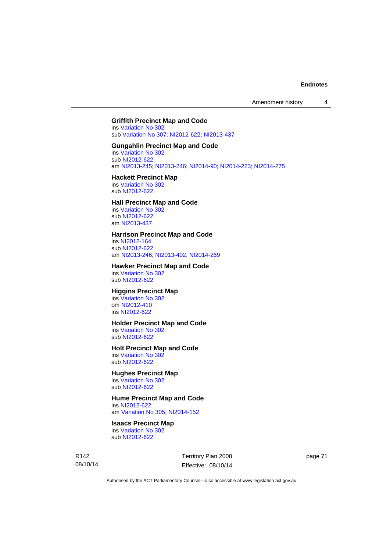### **Griffith Precinct Map and Code**

ins [Variation No 302](http://www.legislation.act.gov.au/ni/2011-573/) sub [Variation No 307](http://www.legislation.act.gov.au/ni/2012-201/); [NI2012-622](http://www.legislation.act.gov.au/ni/2012-622/default.asp); [NI2013-437](http://www.legislation.act.gov.au/ni/2013-437/default.asp)

### **Gungahlin Precinct Map and Code**

ins [Variation No 302](http://www.legislation.act.gov.au/ni/2011-573/) sub [NI2012-622](http://www.legislation.act.gov.au/ni/2012-622/default.asp) am [NI2013-245](http://www.legislation.act.gov.au/ni/2013-245/default.asp); [NI2013-246](http://www.legislation.act.gov.au/ni/2013-246/default.asp); [NI2014-90](http://www.legislation.act.gov.au/ni/2014-90/default.asp); [NI2014-223](http://www.legislation.act.gov.au/ni/2014-223/default.asp); [NI2014-275](http://www.legislation.act.gov.au/ni/2014-275/default.asp)

### **Hackett Precinct Map**

ins [Variation No 302](http://www.legislation.act.gov.au/ni/2011-573/) sub [NI2012-622](http://www.legislation.act.gov.au/ni/2012-622/default.asp)

### **Hall Precinct Map and Code**

ins [Variation No 302](http://www.legislation.act.gov.au/ni/2011-573/) sub [NI2012-622](http://www.legislation.act.gov.au/ni/2012-622/default.asp) am [NI2013-437](http://www.legislation.act.gov.au/ni/2013-437/default.asp)

#### **Harrison Precinct Map and Code**

ins [NI2012-164](http://www.legislation.act.gov.au/ni/2012-164/) sub [NI2012-622](http://www.legislation.act.gov.au/ni/2012-622/default.asp) am [NI2013-246](http://www.legislation.act.gov.au/ni/2013-246/default.asp); [NI2013-402](http://www.legislation.act.gov.au/ni/2013-402/default.asp); [NI2014-269](http://www.legislation.act.gov.au/ni/2014-269/default.asp)

### **Hawker Precinct Map and Code**

ins [Variation No 302](http://www.legislation.act.gov.au/ni/2011-573/) sub [NI2012-622](http://www.legislation.act.gov.au/ni/2012-622/default.asp)

# **Higgins Precinct Map**

ins [Variation No 302](http://www.legislation.act.gov.au/ni/2011-573/) om [NI2012-410](http://www.legislation.act.gov.au/ni/2012-410/) ins [NI2012-622](http://www.legislation.act.gov.au/ni/2012-622/default.asp)

#### **Holder Precinct Map and Code**

ins [Variation No 302](http://www.legislation.act.gov.au/ni/2011-573/) sub [NI2012-622](http://www.legislation.act.gov.au/ni/2012-622/default.asp)

### **Holt Precinct Map and Code**

ins [Variation No 302](http://www.legislation.act.gov.au/ni/2011-573/) sub [NI2012-622](http://www.legislation.act.gov.au/ni/2012-622/default.asp)

### **Hughes Precinct Map**

ins [Variation No 302](http://www.legislation.act.gov.au/ni/2011-573/) sub [NI2012-622](http://www.legislation.act.gov.au/ni/2012-622/default.asp)

### **Hume Precinct Map and Code**

ins [NI2012-622](http://www.legislation.act.gov.au/ni/2012-622/default.asp) am [Variation No 305](http://www.legislation.act.gov.au/ni/2013-530/default.asp); [NI2014-152](http://www.legislation.act.gov.au/ni/2014-152/default.asp)

# **Isaacs Precinct Map**

ins [Variation No 302](http://www.legislation.act.gov.au/ni/2011-573/) sub [NI2012-622](http://www.legislation.act.gov.au/ni/2012-622/default.asp)

R142 08/10/14 Territory Plan 2008 Effective: 08/10/14 page 71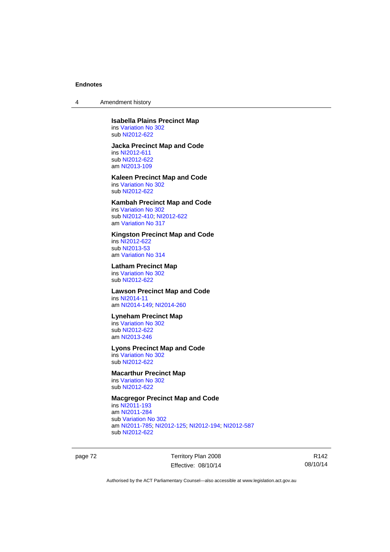4 Amendment history

#### **Isabella Plains Precinct Map**  ins [Variation No 302](http://www.legislation.act.gov.au/ni/2011-573/)

sub [NI2012-622](http://www.legislation.act.gov.au/ni/2012-622/default.asp)

### **Jacka Precinct Map and Code**

ins [NI2012-611](http://www.legislation.act.gov.au/ni/2012-611/default.asp) sub [NI2012-622](http://www.legislation.act.gov.au/ni/2012-622/default.asp) am [NI2013-109](http://www.legislation.act.gov.au/ni/2013-109/default.asp)

#### **Kaleen Precinct Map and Code**  ins [Variation No 302](http://www.legislation.act.gov.au/ni/2011-573/)

sub [NI2012-622](http://www.legislation.act.gov.au/ni/2012-622/default.asp)

### **Kambah Precinct Map and Code**

ins [Variation No 302](http://www.legislation.act.gov.au/ni/2011-573/) sub [NI2012-410](http://www.legislation.act.gov.au/ni/2012-410/); [NI2012-622](http://www.legislation.act.gov.au/ni/2012-622/default.asp) am [Variation No 317](http://www.legislation.act.gov.au/ni/2014-137/default.asp)

### **Kingston Precinct Map and Code**

ins [NI2012-622](http://www.legislation.act.gov.au/ni/2012-622/default.asp) sub [NI2013-53](http://www.legislation.act.gov.au/ni/2013-53/default.asp) am [Variation No 314](http://www.legislation.act.gov.au/ni/2014-187/default.asp)

### **Latham Precinct Map**

ins [Variation No 302](http://www.legislation.act.gov.au/ni/2011-573/) sub [NI2012-622](http://www.legislation.act.gov.au/ni/2012-622/default.asp)

## **Lawson Precinct Map and Code**

ins [NI2014-11](http://www.legislation.act.gov.au/ni/2014-11/default.asp) am [NI2014-149](http://www.legislation.act.gov.au/ni/2014-149/default.asp); [NI2014-260](http://www.legislation.act.gov.au/ni/2014-260/default.asp)

# **Lyneham Precinct Map**

ins [Variation No 302](http://www.legislation.act.gov.au/ni/2011-573/) sub [NI2012-622](http://www.legislation.act.gov.au/ni/2012-622/default.asp) am [NI2013-246](http://www.legislation.act.gov.au/ni/2013-246/default.asp)

### **Lyons Precinct Map and Code**

ins [Variation No 302](http://www.legislation.act.gov.au/ni/2011-573/) sub [NI2012-622](http://www.legislation.act.gov.au/ni/2012-622/default.asp)

#### **Macarthur Precinct Map**

ins [Variation No 302](http://www.legislation.act.gov.au/ni/2011-573/) sub [NI2012-622](http://www.legislation.act.gov.au/ni/2012-622/default.asp)

# **Macgregor Precinct Map and Code**

ins [NI2011-193](http://www.legislation.act.gov.au/ni/2011-193/) am [NI2011-284](http://www.legislation.act.gov.au/ni/2011-284/) sub [Variation No 302](http://www.legislation.act.gov.au/ni/2011-573/) am [NI2011-785](http://www.legislation.act.gov.au/ni/2011-785/); [NI2012-125](http://www.legislation.act.gov.au/ni/2012-125/); [NI2012-194](http://www.legislation.act.gov.au/ni/2012-194/); [NI2012-587](http://www.legislation.act.gov.au/ni/2012-587/default.asp) sub [NI2012-622](http://www.legislation.act.gov.au/ni/2012-622/default.asp)

page 72 Territory Plan 2008 Effective: 08/10/14

R142 08/10/14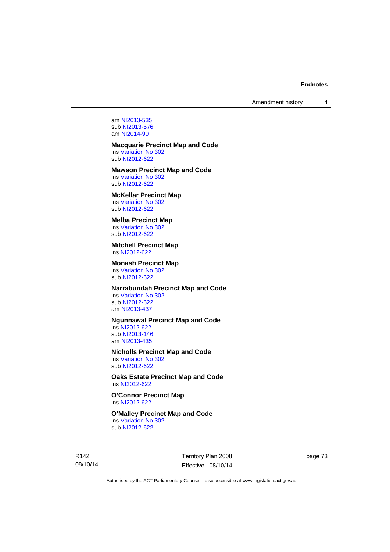Amendment history 4

am [NI2013-535](http://www.legislation.act.gov.au/ni/2013-535/) sub [NI2013-576](http://www.legislation.act.gov.au/ni/2013-576/default.asp) am [NI2014-90](http://www.legislation.act.gov.au/ni/2014-90/default.asp)

#### **Macquarie Precinct Map and Code**

ins [Variation No 302](http://www.legislation.act.gov.au/ni/2011-573/) sub [NI2012-622](http://www.legislation.act.gov.au/ni/2012-622/default.asp)

## **Mawson Precinct Map and Code**

ins [Variation No 302](http://www.legislation.act.gov.au/ni/2011-573/) sub [NI2012-622](http://www.legislation.act.gov.au/ni/2012-622/default.asp)

# **McKellar Precinct Map**

ins [Variation No 302](http://www.legislation.act.gov.au/ni/2011-573/) sub [NI2012-622](http://www.legislation.act.gov.au/ni/2012-622/default.asp)

### **Melba Precinct Map**

ins [Variation No 302](http://www.legislation.act.gov.au/ni/2011-573/) sub [NI2012-622](http://www.legislation.act.gov.au/ni/2012-622/default.asp)

### **Mitchell Precinct Map**  ins [NI2012-622](http://www.legislation.act.gov.au/ni/2012-622/default.asp)

### **Monash Precinct Map**

ins [Variation No 302](http://www.legislation.act.gov.au/ni/2011-573/) sub [NI2012-622](http://www.legislation.act.gov.au/ni/2012-622/default.asp)

### **Narrabundah Precinct Map and Code**

ins [Variation No 302](http://www.legislation.act.gov.au/ni/2011-573/) sub [NI2012-622](http://www.legislation.act.gov.au/ni/2012-622/default.asp) am [NI2013-437](http://www.legislation.act.gov.au/ni/2013-437/default.asp)

### **Ngunnawal Precinct Map and Code**

ins [NI2012-622](http://www.legislation.act.gov.au/ni/2012-622/default.asp) sub [NI2013-146](http://www.legislation.act.gov.au/ni/2013-146/default.asp) am [NI2013-435](http://www.legislation.act.gov.au/ni/2013-435/default.asp)

#### **Nicholls Precinct Map and Code**

ins [Variation No 302](http://www.legislation.act.gov.au/ni/2011-573/) sub [NI2012-622](http://www.legislation.act.gov.au/ni/2012-622/default.asp)

### **Oaks Estate Precinct Map and Code**  ins [NI2012-622](http://www.legislation.act.gov.au/ni/2012-622/default.asp)

**O'Connor Precinct Map**  ins [NI2012-622](http://www.legislation.act.gov.au/ni/2012-622/default.asp)

#### **O'Malley Precinct Map and Code**  ins [Variation No 302](http://www.legislation.act.gov.au/ni/2011-573/)

sub [NI2012-622](http://www.legislation.act.gov.au/ni/2012-622/default.asp)

R142 08/10/14 Territory Plan 2008 Effective: 08/10/14 page 73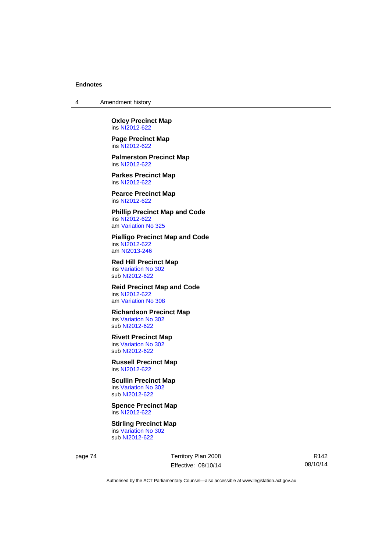4 Amendment history

**Oxley Precinct Map**  ins [NI2012-622](http://www.legislation.act.gov.au/ni/2012-622/default.asp)

**Page Precinct Map**  ins [NI2012-622](http://www.legislation.act.gov.au/ni/2012-622/default.asp)

**Palmerston Precinct Map**  ins [NI2012-622](http://www.legislation.act.gov.au/ni/2012-622/default.asp)

**Parkes Precinct Map**  ins [NI2012-622](http://www.legislation.act.gov.au/ni/2012-622/default.asp)

**Pearce Precinct Map**  ins [NI2012-622](http://www.legislation.act.gov.au/ni/2012-622/default.asp)

**Phillip Precinct Map and Code**  ins [NI2012-622](http://www.legislation.act.gov.au/ni/2012-622/default.asp) am [Variation No 325](http://www.legislation.act.gov.au/ni/2014-427/default.asp)

**Pialligo Precinct Map and Code**  ins [NI2012-622](http://www.legislation.act.gov.au/ni/2012-622/default.asp) am [NI2013-246](http://www.legislation.act.gov.au/ni/2013-246/default.asp)

**Red Hill Precinct Map**  ins [Variation No 302](http://www.legislation.act.gov.au/ni/2011-573/) sub [NI2012-622](http://www.legislation.act.gov.au/ni/2012-622/default.asp)

**Reid Precinct Map and Code**  ins [NI2012-622](http://www.legislation.act.gov.au/ni/2012-622/default.asp) am [Variation No 308](http://www.legislation.act.gov.au/ni/2014-60/default.asp)

**Richardson Precinct Map**  ins [Variation No 302](http://www.legislation.act.gov.au/ni/2011-573/) sub [NI2012-622](http://www.legislation.act.gov.au/ni/2012-622/default.asp)

#### **Rivett Precinct Map**  ins [Variation No 302](http://www.legislation.act.gov.au/ni/2011-573/)

sub [NI2012-622](http://www.legislation.act.gov.au/ni/2012-622/default.asp)

**Russell Precinct Map**  ins [NI2012-622](http://www.legislation.act.gov.au/ni/2012-622/default.asp)

## **Scullin Precinct Map**  ins [Variation No 302](http://www.legislation.act.gov.au/ni/2011-573/)

sub [NI2012-622](http://www.legislation.act.gov.au/ni/2012-622/default.asp)

**Spence Precinct Map**  ins [NI2012-622](http://www.legislation.act.gov.au/ni/2012-622/default.asp)

**Stirling Precinct Map**  ins [Variation No 302](http://www.legislation.act.gov.au/ni/2011-573/) sub [NI2012-622](http://www.legislation.act.gov.au/ni/2012-622/default.asp)

page 74 Territory Plan 2008 Effective: 08/10/14

R142 08/10/14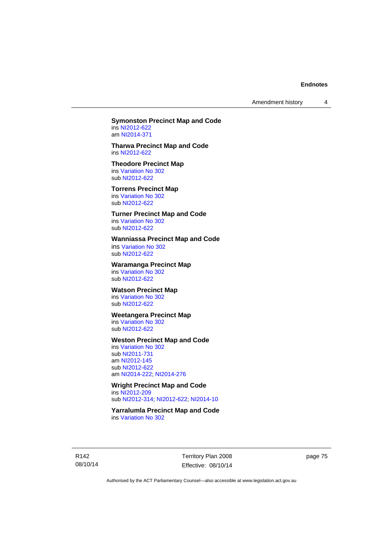Amendment history 4

#### **Symonston Precinct Map and Code**  ins [NI2012-622](http://www.legislation.act.gov.au/ni/2012-622/default.asp)

am [NI2014-371](http://www.legislation.act.gov.au/ni/2014-371/default.asp)

#### **Tharwa Precinct Map and Code**  ins [NI2012-622](http://www.legislation.act.gov.au/ni/2012-622/default.asp)

## **Theodore Precinct Map**

ins [Variation No 302](http://www.legislation.act.gov.au/ni/2011-573/) sub [NI2012-622](http://www.legislation.act.gov.au/ni/2012-622/default.asp)

### **Torrens Precinct Map**

ins [Variation No 302](http://www.legislation.act.gov.au/ni/2011-573/) sub [NI2012-622](http://www.legislation.act.gov.au/ni/2012-622/default.asp)

### **Turner Precinct Map and Code**

ins [Variation No 302](http://www.legislation.act.gov.au/ni/2011-573/) sub [NI2012-622](http://www.legislation.act.gov.au/ni/2012-622/default.asp)

### **Wanniassa Precinct Map and Code**

ins [Variation No 302](http://www.legislation.act.gov.au/ni/2011-573/) sub [NI2012-622](http://www.legislation.act.gov.au/ni/2012-622/default.asp)

### **Waramanga Precinct Map**

ins [Variation No 302](http://www.legislation.act.gov.au/ni/2011-573/) sub [NI2012-622](http://www.legislation.act.gov.au/ni/2012-622/default.asp)

### **Watson Precinct Map**

ins [Variation No 302](http://www.legislation.act.gov.au/ni/2011-573/) sub [NI2012-622](http://www.legislation.act.gov.au/ni/2012-622/default.asp)

## **Weetangera Precinct Map**

ins [Variation No 302](http://www.legislation.act.gov.au/ni/2011-573/) sub [NI2012-622](http://www.legislation.act.gov.au/ni/2012-622/default.asp)

### **Weston Precinct Map and Code**

ins [Variation No 302](http://www.legislation.act.gov.au/ni/2011-573/) sub [NI2011-731](http://www.legislation.act.gov.au/ni/2011-731/) am [NI2012-145](http://www.legislation.act.gov.au/ni/2012-145/) sub [NI2012-622](http://www.legislation.act.gov.au/ni/2012-622/default.asp) am [NI2014-222](http://www.legislation.act.gov.au/ni/2014-222/default.asp); [NI2014-276](http://www.legislation.act.gov.au/ni/2014-276/default.asp)

# **Wright Precinct Map and Code**

ins [NI2012-209](http://www.legislation.act.gov.au/ni/2012-209/) sub [NI2012-314](http://www.legislation.act.gov.au/ni/2012-314/); [NI2012-622](http://www.legislation.act.gov.au/ni/2012-622/default.asp); [NI2014-10](http://www.legislation.act.gov.au/ni/2014-10/default.asp)

#### **Yarralumla Precinct Map and Code**  ins [Variation No 302](http://www.legislation.act.gov.au/ni/2011-573/)

R142 08/10/14 Territory Plan 2008 Effective: 08/10/14 page 75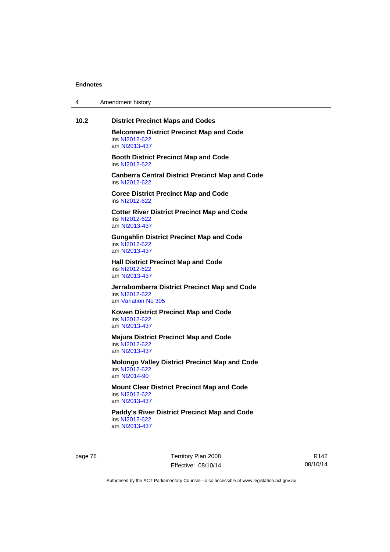| 4 | Amendment history |  |
|---|-------------------|--|
|---|-------------------|--|

## **10.2 District Precinct Maps and Codes**

**Belconnen District Precinct Map and Code**  ins [NI2012-622](http://www.legislation.act.gov.au/ni/2012-622/default.asp) am [NI2013-437](http://www.legislation.act.gov.au/ni/2013-437/default.asp)

**Booth District Precinct Map and Code**  ins [NI2012-622](http://www.legislation.act.gov.au/ni/2012-622/default.asp)

**Canberra Central District Precinct Map and Code**  ins [NI2012-622](http://www.legislation.act.gov.au/ni/2012-622/default.asp)

**Coree District Precinct Map and Code**  ins [NI2012-622](http://www.legislation.act.gov.au/ni/2012-622/default.asp)

**Cotter River District Precinct Map and Code**  ins [NI2012-622](http://www.legislation.act.gov.au/ni/2012-622/default.asp) am [NI2013-437](http://www.legislation.act.gov.au/ni/2013-437/default.asp)

**Gungahlin District Precinct Map and Code**  ins [NI2012-622](http://www.legislation.act.gov.au/ni/2012-622/default.asp) am [NI2013-437](http://www.legislation.act.gov.au/ni/2013-437/default.asp)

**Hall District Precinct Map and Code**  ins [NI2012-622](http://www.legislation.act.gov.au/ni/2012-622/default.asp) am [NI2013-437](http://www.legislation.act.gov.au/ni/2013-437/default.asp)

**Jerrabomberra District Precinct Map and Code**  ins [NI2012-622](http://www.legislation.act.gov.au/ni/2012-622/default.asp) am [Variation No 305](http://www.legislation.act.gov.au/ni/2013-530/default.asp)

**Kowen District Precinct Map and Code**  ins [NI2012-622](http://www.legislation.act.gov.au/ni/2012-622/default.asp) am [NI2013-437](http://www.legislation.act.gov.au/ni/2013-437/default.asp)

**Majura District Precinct Map and Code**  ins [NI2012-622](http://www.legislation.act.gov.au/ni/2012-622/default.asp) am [NI2013-437](http://www.legislation.act.gov.au/ni/2013-437/default.asp)

**Molongo Valley District Precinct Map and Code**  ins [NI2012-622](http://www.legislation.act.gov.au/ni/2012-622/default.asp) am [NI2014-90](http://www.legislation.act.gov.au/ni/2014-90/default.asp)

**Mount Clear District Precinct Map and Code**  ins [NI2012-622](http://www.legislation.act.gov.au/ni/2012-622/default.asp) am [NI2013-437](http://www.legislation.act.gov.au/ni/2013-437/default.asp)

**Paddy's River District Precinct Map and Code**  ins [NI2012-622](http://www.legislation.act.gov.au/ni/2012-622/default.asp) am [NI2013-437](http://www.legislation.act.gov.au/ni/2013-437/default.asp)

page 76 Territory Plan 2008 Effective: 08/10/14

R142 08/10/14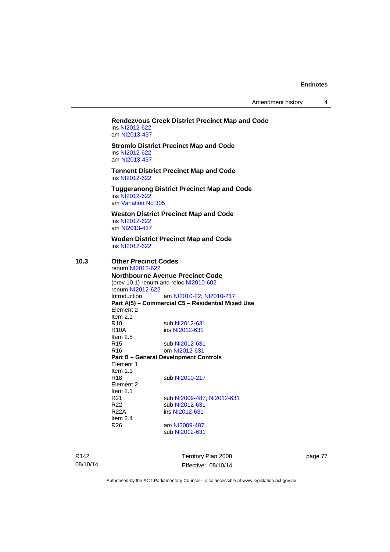Amendment history 4

#### **Rendezvous Creek District Precinct Map and Code**  ins [NI2012-622](http://www.legislation.act.gov.au/ni/2012-622/default.asp) am [NI2013-437](http://www.legislation.act.gov.au/ni/2013-437/default.asp)

**Stromlo District Precinct Map and Code**  ins [NI2012-622](http://www.legislation.act.gov.au/ni/2012-622/default.asp) am [NI2013-437](http://www.legislation.act.gov.au/ni/2013-437/default.asp)

**Tennent District Precinct Map and Code**  ins [NI2012-622](http://www.legislation.act.gov.au/ni/2012-622/default.asp)

**Tuggeranong District Precinct Map and Code**  ins [NI2012-622](http://www.legislation.act.gov.au/ni/2012-622/default.asp)

am [Variation No 305](http://www.legislation.act.gov.au/ni/2013-530/default.asp)

**Weston District Precinct Map and Code**  ins [NI2012-622](http://www.legislation.act.gov.au/ni/2012-622/default.asp) am [NI2013-437](http://www.legislation.act.gov.au/ni/2013-437/default.asp)

**Woden District Precinct Map and Code**  ins [NI2012-622](http://www.legislation.act.gov.au/ni/2012-622/default.asp)

### **10.3 Other Precinct Codes**

renum [NI2012-622](http://www.legislation.act.gov.au/ni/2012-622/default.asp) **Northbourne Avenue Precinct Code**  (prev 10.1) renum and reloc [NI2010-602](http://www.legislation.act.gov.au/ni/2010-602/) renum [NI2012-622](http://www.legislation.act.gov.au/ni/2012-622/default.asp) Introduction am [NI2010-22](http://www.legislation.act.gov.au/ni/2010-22/); [NI2010-217](http://www.legislation.act.gov.au/ni/2010-217/) **Part A(5) – Commercial C5 – Residential Mixed Use**  Element 2 Item 2.1 R10 sub [NI2012-631](http://www.legislation.act.gov.au/ni/2012-631/default.asp)<br>R10A ins NI2012-631 ins [NI2012-631](http://www.legislation.act.gov.au/ni/2012-631/default.asp) Item 2.5 R15 sub [NI2012-631](http://www.legislation.act.gov.au/ni/2012-631/default.asp) R16 om [NI2012-631](http://www.legislation.act.gov.au/ni/2012-631/default.asp) **Part B – General Development Controls**  Element 1 Item  $1.1$ <br>R<sub>18</sub> sub [NI2010-217](http://www.legislation.act.gov.au/ni/2010-217/) Element 2 Item  $2.1$ <br>R $21$ R21 sub [NI2009-487](http://www.legislation.act.gov.au/ni/2009-487/); [NI2012-631](http://www.legislation.act.gov.au/ni/2012-631/default.asp)<br>R22 sub NI2012-631 sub [NI2012-631](http://www.legislation.act.gov.au/ni/2012-631/default.asp) R22A ins [NI2012-631](http://www.legislation.act.gov.au/ni/2012-631/default.asp) Item 2.4 R26 am [NI2009-487](http://www.legislation.act.gov.au/ni/2009-487/) sub [NI2012-631](http://www.legislation.act.gov.au/ni/2012-631/default.asp)

R142 08/10/14 Territory Plan 2008 Effective: 08/10/14 page 77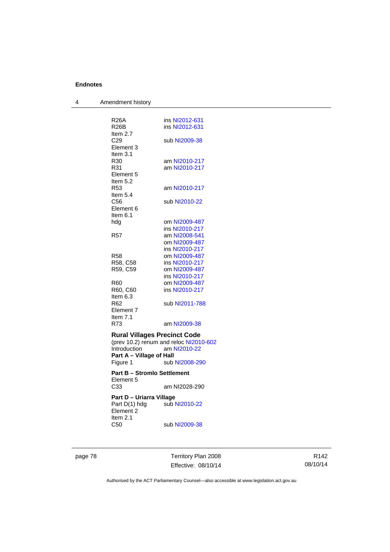| 4 | Amendment history                               |                                        |
|---|-------------------------------------------------|----------------------------------------|
|   |                                                 |                                        |
|   | R26A                                            | ins NI2012-631                         |
|   | R26B                                            | ins NI2012-631                         |
|   | Item 2.7                                        |                                        |
|   | C29                                             | sub NI2009-38                          |
|   | Element 3                                       |                                        |
|   | Item $3.1$                                      |                                        |
|   | R <sub>30</sub>                                 | am NI2010-217                          |
|   | R31                                             | am NI2010-217                          |
|   | Element 5                                       |                                        |
|   | Item $5.2$                                      |                                        |
|   | R <sub>53</sub>                                 | am NI2010-217                          |
|   | Item 5.4                                        |                                        |
|   | C56<br>Element 6                                | sub NI2010-22                          |
|   | Item $6.1$                                      |                                        |
|   | hdg                                             | om NI2009-487                          |
|   |                                                 | ins NI2010-217                         |
|   | R57                                             | am NI2008-541                          |
|   |                                                 | om NI2009-487                          |
|   |                                                 | ins NI2010-217                         |
|   | R58                                             | om NI2009-487                          |
|   | R58, C58                                        | ins NI2010-217                         |
|   | R59, C59                                        | om NI2009-487                          |
|   |                                                 | ins NI2010-217                         |
|   | R60                                             | om NI2009-487                          |
|   | R60, C60                                        | ins NI2010-217                         |
|   | Item 6.3                                        |                                        |
|   | R62                                             | sub NI2011-788                         |
|   | Element 7                                       |                                        |
|   | Item 7.1                                        |                                        |
|   | R73                                             | am NI2009-38                           |
|   | <b>Rural Villages Precinct Code</b>             |                                        |
|   |                                                 | (prev 10.2) renum and reloc NI2010-602 |
|   | Introduction                                    | am NI2010-22                           |
|   | Part A - Village of Hall                        |                                        |
|   | Figure 1                                        | sub NI2008-290                         |
|   | <b>Part B - Stromlo Settlement</b><br>Element 5 |                                        |
|   | C <sub>33</sub>                                 | am NI2028-290                          |
|   | Part D – Uriarra Village                        |                                        |
|   | Part D(1) hdg<br>Element 2<br>Item $2.1$        | sub NI2010-22                          |
|   | C50                                             | sub NI2009-38                          |

page 78 Territory Plan 2008 Effective: 08/10/14

R142 08/10/14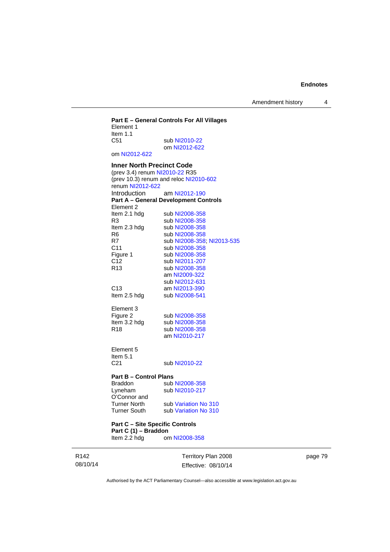Amendment history 4

### **Part E – General Controls For All Villages**  Element 1 Item 1.1<br>C51 sub [NI2010-22](http://www.legislation.act.gov.au/ni/2010-22/) om [NI2012-622](http://www.legislation.act.gov.au/ni/2012-622/default.asp) om [NI2012-622](http://www.legislation.act.gov.au/ni/2012-622/default.asp) **Inner North Precinct Code**  (prev 3.4) renum [NI2010-22](http://www.legislation.act.gov.au/ni/2010-22/) R35 (prev 10.3) renum and reloc [NI2010-602](http://www.legislation.act.gov.au/ni/2010-602/) renum [NI2012-622](http://www.legislation.act.gov.au/ni/2012-622/default.asp) Introduction am [NI2012-190](http://www.legislation.act.gov.au/ni/2012-190/) **Part A – General Development Controls**  Element 2<br>Item 2.1 hdg sub [NI2008-358](http://www.legislation.act.gov.au/ni/2008-358/) R3 sub [NI2008-358](http://www.legislation.act.gov.au/ni/2008-358/)<br>Item 2.3 hdg sub NI2008-358 Item 2.3 hdg sub [NI2008-358](http://www.legislation.act.gov.au/ni/2008-358/)<br>R6 sub NI2008-358 R6 sub [NI2008-358](http://www.legislation.act.gov.au/ni/2008-358/)<br>R7 sub NI2008-358 sub [NI2008-358](http://www.legislation.act.gov.au/ni/2008-358/); [NI2013-535](http://www.legislation.act.gov.au/ni/2013-535/) C11 sub [NI2008-358](http://www.legislation.act.gov.au/ni/2008-358/)<br>Figure 1 sub NI2008-358 Figure 1 sub [NI2008-358](http://www.legislation.act.gov.au/ni/2008-358/)<br>C12 sub NI2011-207 sub [NI2011-207](http://www.legislation.act.gov.au/ni/2011-207/) R13 sub [NI2008-358](http://www.legislation.act.gov.au/ni/2008-358/) am [NI2009-322](http://www.legislation.act.gov.au/ni/2009-322/) sub [NI2012-631](http://www.legislation.act.gov.au/ni/2012-631/default.asp) C13 am [NI2013-390](http://www.legislation.act.gov.au/ni/2013-390/default.asp)<br>Item 2.5 hdg sub NI2008-541 sub [NI2008-541](http://www.legislation.act.gov.au/ni/2008-541/) Element 3<br>Figure 2 Figure 2 sub [NI2008-358](http://www.legislation.act.gov.au/ni/2008-358/)<br>Item 3.2 hdg sub NI2008-358 sub [NI2008-358](http://www.legislation.act.gov.au/ni/2008-358/) R18 sub [NI2008-358](http://www.legislation.act.gov.au/ni/2008-358/) am [NI2010-217](http://www.legislation.act.gov.au/ni/2010-217/) Element 5 Item  $5.1$ <br>C<sub>21</sub> sub [NI2010-22](http://www.legislation.act.gov.au/ni/2010-22/) **Part B – Control Plans**<br>Braddon sub Braddon sub [NI2008-358](http://www.legislation.act.gov.au/ni/2008-358/)<br>
Lyneham sub NI2010-217 sub [NI2010-217](http://www.legislation.act.gov.au/ni/2010-217/) O'Connor and Turner North sub [Variation No 310](http://www.legislation.act.gov.au/ni/2011-688/) Turner South sub [Variation No 310](http://www.legislation.act.gov.au/ni/2011-688/)

**Part C – Site Specific Controls Part C (1) – Braddon**  Item 2.2 hdg om [NI2008-358](http://www.legislation.act.gov.au/ni/2008-358/)

R142 08/10/14 Territory Plan 2008 Effective: 08/10/14 page 79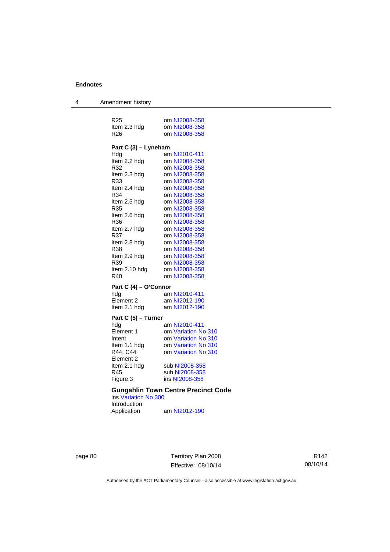4 Amendment history

| R <sub>25</sub><br>Item 2.3 hdg<br>R <sub>26</sub> | om NI2008-358<br>om NI2008-358<br>om NI2008-358 |  |  |
|----------------------------------------------------|-------------------------------------------------|--|--|
| Part C (3) – Lyneham                               |                                                 |  |  |
| Hdg                                                | am NI2010-411                                   |  |  |
| Item 2.2 hdg                                       | om NI2008-358                                   |  |  |
| R32                                                | om NI2008-358                                   |  |  |
| Item 2.3 hdg                                       | om NI2008-358                                   |  |  |
| R33                                                | om NI2008-358                                   |  |  |
| Item 2.4 hdg                                       | om NI2008-358                                   |  |  |
| R34                                                | om NI2008-358                                   |  |  |
| Item 2.5 hdg                                       | om NI2008-358                                   |  |  |
| R35                                                | om NI2008-358                                   |  |  |
| Item 2.6 hdg                                       | om NI2008-358                                   |  |  |
| R36                                                | om NI2008-358                                   |  |  |
| Item 2.7 hdg                                       | om NI2008-358                                   |  |  |
| R37                                                | om NI2008-358                                   |  |  |
| Item 2.8 hdg                                       | om NI2008-358                                   |  |  |
| R38                                                | om NI2008-358                                   |  |  |
| Item 2.9 hdg                                       | om NI2008-358                                   |  |  |
| R39                                                | om NI2008-358                                   |  |  |
| Item 2.10 hdg                                      | om NI2008-358                                   |  |  |
| R40                                                | om NI2008-358                                   |  |  |
| Part C (4) – O'Connor                              |                                                 |  |  |
| hdg                                                | am NI2010-411                                   |  |  |
| Element 2                                          | am NI2012-190                                   |  |  |
| Item 2.1 hdg                                       | am NI2012-190                                   |  |  |
| Part C (5) - Turner                                |                                                 |  |  |
| hdg                                                | am NI2010-411                                   |  |  |
| Element 1                                          | om Variation No 310                             |  |  |
| Intent                                             | om Variation No 310                             |  |  |
| Item 1.1 hdg                                       | om Variation No 310                             |  |  |
| R44, C44                                           | om Variation No 310                             |  |  |
| Element 2                                          |                                                 |  |  |
| Item 2.1 hdg                                       | sub NI2008-358                                  |  |  |
| R45                                                | sub NI2008-358                                  |  |  |
| Figure 3                                           | ins NI2008-358                                  |  |  |
| <b>Gungahlin Town Centre Precinct Code</b>         |                                                 |  |  |

ins [Variation No 300](http://www.legislation.act.gov.au/ni/2011-691/) Introduction Application am [NI2012-190](http://www.legislation.act.gov.au/ni/2012-190/)

page 80 Territory Plan 2008 Effective: 08/10/14

R142 08/10/14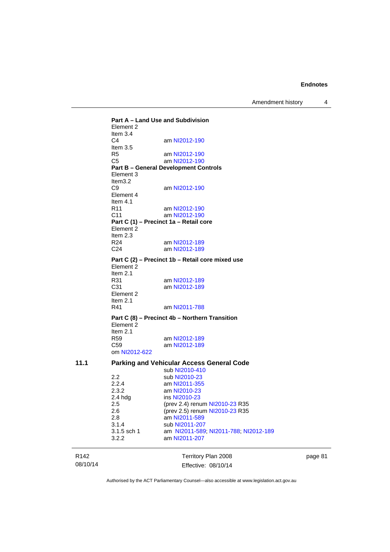Amendment history 4

R142 Territory Plan 2008 **Part A – Land Use and Subdivision**  Element 2 Item 3.4<br>C4 am [NI2012-190](http://www.legislation.act.gov.au/ni/2012-190/) Item 3.5 R5 am [NI2012-190](http://www.legislation.act.gov.au/ni/2012-190/)<br>C5 am NI2012-190 am [NI2012-190](http://www.legislation.act.gov.au/ni/2012-190/) **Part B – General Development Controls**  Element 3 Item3.2<br>C9 am [NI2012-190](http://www.legislation.act.gov.au/ni/2012-190/) Element 4 Item  $4.1$ <br>R11 am [NI2012-190](http://www.legislation.act.gov.au/ni/2012-190/) C11 am [NI2012-190](http://www.legislation.act.gov.au/ni/2012-190/) **Part C (1) – Precinct 1a – Retail core**  Element 2 Item  $2.3$ <br>R24 R24 am [NI2012-189](http://www.legislation.act.gov.au/ni/2012-189/)<br>C24 am NI2012-189 am [NI2012-189](http://www.legislation.act.gov.au/ni/2012-189/) **Part C (2) – Precinct 1b – Retail core mixed use**  Element 2 Item  $2.1$ <br>R $31$ am [NI2012-189](http://www.legislation.act.gov.au/ni/2012-189/) C31 am [NI2012-189](http://www.legislation.act.gov.au/ni/2012-189/) Element 2 Item 2.1 R41 am [NI2011-788](http://www.legislation.act.gov.au/ni/2011-788/) **Part C (8) – Precinct 4b – Northern Transition**  Element 2 Item 2.1 R59 am [NI2012-189](http://www.legislation.act.gov.au/ni/2012-189/) C59 am [NI2012-189](http://www.legislation.act.gov.au/ni/2012-189/) om [NI2012-622](http://www.legislation.act.gov.au/ni/2012-622/default.asp) **11.1 Parking and Vehicular Access General Code**  sub [NI2010-410](http://www.legislation.act.gov.au/ni/2010-410/)<br>2.2 sub NI2010-23 2.2 sub [NI2010-23](http://www.legislation.act.gov.au/ni/2010-23/)<br>2.2.4 am NI2011-355 2.2.4 am [NI2011-355](http://www.legislation.act.gov.au/ni/2011-355/)<br>2.3.2 am NI2010-23 2.3.2 am [NI2010-23](http://www.legislation.act.gov.au/ni/2010-23/)<br>2.4 hdg ins NI2010-23 ins [NI2010-23](http://www.legislation.act.gov.au/ni/2010-23/) 2.5 (prev 2.4) renum [NI2010-23](http://www.legislation.act.gov.au/ni/2010-23/) R35 2.6 (prev 2.5) renum [NI2010-23](http://www.legislation.act.gov.au/ni/2010-23/) R35 2.8 am [NI2011-589](http://www.legislation.act.gov.au/ni/2011-589/) 3.1.4 sub [NI2011-207](http://www.legislation.act.gov.au/ni/2011-207/)<br>3.1.5 sch 1 am NI2011-589 am [NI2011-589;](http://www.legislation.act.gov.au/ni/2011-589/) [NI2011-788;](http://www.legislation.act.gov.au/ni/2011-788/) [NI2012-189](http://www.legislation.act.gov.au/ni/2012-189/) 3.2.2 am [NI2011-207](http://www.legislation.act.gov.au/ni/2011-207/)

page 81

Authorised by the ACT Parliamentary Counsel—also accessible at www.legislation.act.gov.au

Effective: 08/10/14

08/10/14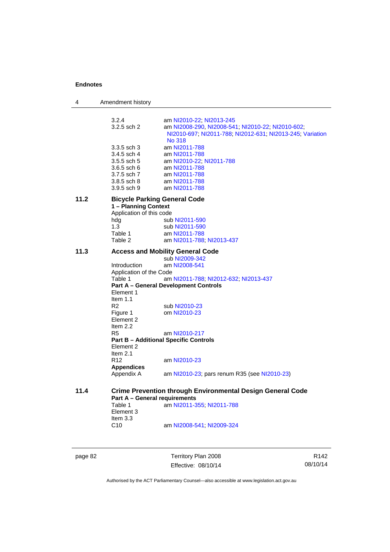| 11.2<br>11.3 | 3.2.4<br>3.2.5 sch 2<br>3.3.5 sch 3<br>3.4.5 sch 4<br>3.5.5 sch 5<br>3.6.5 sch 6<br>3.7.5 sch 7<br>3.8.5 sch 8<br>$3.9.5$ sch 9<br>1 - Planning Context<br>Application of this code<br>hdg<br>1.3<br>Table 1<br>Table 2<br>Introduction<br>Application of the Code<br>Table 1 | am NI2010-22, NI2013-245<br>am NI2008-290, NI2008-541; NI2010-22; NI2010-602;<br>NI2010-697; NI2011-788; NI2012-631; NI2013-245; Variation<br><b>No 318</b><br>am NI2011-788<br>am NI2011-788<br>am NI2010-22, NI2011-788<br>am NI2011-788<br>am NI2011-788<br>am NI2011-788<br>am NI2011-788<br><b>Bicycle Parking General Code</b><br>sub NI2011-590<br>sub NI2011-590<br>am NI2011-788<br>am NI2011-788; NI2013-437<br><b>Access and Mobility General Code</b><br>sub NI2009-342<br>am NI2008-541<br>am NI2011-788; NI2012-632; NI2013-437 |
|--------------|-------------------------------------------------------------------------------------------------------------------------------------------------------------------------------------------------------------------------------------------------------------------------------|-----------------------------------------------------------------------------------------------------------------------------------------------------------------------------------------------------------------------------------------------------------------------------------------------------------------------------------------------------------------------------------------------------------------------------------------------------------------------------------------------------------------------------------------------|
|              |                                                                                                                                                                                                                                                                               |                                                                                                                                                                                                                                                                                                                                                                                                                                                                                                                                               |
|              |                                                                                                                                                                                                                                                                               |                                                                                                                                                                                                                                                                                                                                                                                                                                                                                                                                               |
|              |                                                                                                                                                                                                                                                                               |                                                                                                                                                                                                                                                                                                                                                                                                                                                                                                                                               |
|              |                                                                                                                                                                                                                                                                               |                                                                                                                                                                                                                                                                                                                                                                                                                                                                                                                                               |
|              |                                                                                                                                                                                                                                                                               |                                                                                                                                                                                                                                                                                                                                                                                                                                                                                                                                               |
|              |                                                                                                                                                                                                                                                                               |                                                                                                                                                                                                                                                                                                                                                                                                                                                                                                                                               |
|              |                                                                                                                                                                                                                                                                               |                                                                                                                                                                                                                                                                                                                                                                                                                                                                                                                                               |
|              |                                                                                                                                                                                                                                                                               |                                                                                                                                                                                                                                                                                                                                                                                                                                                                                                                                               |
|              |                                                                                                                                                                                                                                                                               |                                                                                                                                                                                                                                                                                                                                                                                                                                                                                                                                               |
|              |                                                                                                                                                                                                                                                                               |                                                                                                                                                                                                                                                                                                                                                                                                                                                                                                                                               |
|              |                                                                                                                                                                                                                                                                               |                                                                                                                                                                                                                                                                                                                                                                                                                                                                                                                                               |
|              |                                                                                                                                                                                                                                                                               |                                                                                                                                                                                                                                                                                                                                                                                                                                                                                                                                               |
|              |                                                                                                                                                                                                                                                                               |                                                                                                                                                                                                                                                                                                                                                                                                                                                                                                                                               |
|              |                                                                                                                                                                                                                                                                               |                                                                                                                                                                                                                                                                                                                                                                                                                                                                                                                                               |
|              |                                                                                                                                                                                                                                                                               |                                                                                                                                                                                                                                                                                                                                                                                                                                                                                                                                               |
|              |                                                                                                                                                                                                                                                                               |                                                                                                                                                                                                                                                                                                                                                                                                                                                                                                                                               |
|              |                                                                                                                                                                                                                                                                               |                                                                                                                                                                                                                                                                                                                                                                                                                                                                                                                                               |
|              |                                                                                                                                                                                                                                                                               |                                                                                                                                                                                                                                                                                                                                                                                                                                                                                                                                               |
|              |                                                                                                                                                                                                                                                                               | <b>Part A - General Development Controls</b>                                                                                                                                                                                                                                                                                                                                                                                                                                                                                                  |
|              | Element 1                                                                                                                                                                                                                                                                     |                                                                                                                                                                                                                                                                                                                                                                                                                                                                                                                                               |
|              | Item $1.1$                                                                                                                                                                                                                                                                    |                                                                                                                                                                                                                                                                                                                                                                                                                                                                                                                                               |
|              | R2                                                                                                                                                                                                                                                                            | sub NI2010-23                                                                                                                                                                                                                                                                                                                                                                                                                                                                                                                                 |
|              | Figure 1                                                                                                                                                                                                                                                                      | om NI2010-23                                                                                                                                                                                                                                                                                                                                                                                                                                                                                                                                  |
|              | Element 2                                                                                                                                                                                                                                                                     |                                                                                                                                                                                                                                                                                                                                                                                                                                                                                                                                               |
|              | Item $2.2$                                                                                                                                                                                                                                                                    |                                                                                                                                                                                                                                                                                                                                                                                                                                                                                                                                               |
|              | R5                                                                                                                                                                                                                                                                            | am NI2010-217                                                                                                                                                                                                                                                                                                                                                                                                                                                                                                                                 |
|              | Element 2                                                                                                                                                                                                                                                                     | <b>Part B - Additional Specific Controls</b>                                                                                                                                                                                                                                                                                                                                                                                                                                                                                                  |
|              | Item $2.1$                                                                                                                                                                                                                                                                    |                                                                                                                                                                                                                                                                                                                                                                                                                                                                                                                                               |
|              | R <sub>12</sub>                                                                                                                                                                                                                                                               | am NI2010-23                                                                                                                                                                                                                                                                                                                                                                                                                                                                                                                                  |
|              | <b>Appendices</b>                                                                                                                                                                                                                                                             |                                                                                                                                                                                                                                                                                                                                                                                                                                                                                                                                               |
|              | Appendix A                                                                                                                                                                                                                                                                    | am NI2010-23; pars renum R35 (see NI2010-23)                                                                                                                                                                                                                                                                                                                                                                                                                                                                                                  |
| 11.4         |                                                                                                                                                                                                                                                                               | <b>Crime Prevention through Environmental Design General Code</b>                                                                                                                                                                                                                                                                                                                                                                                                                                                                             |
|              | Part A - General requirements                                                                                                                                                                                                                                                 |                                                                                                                                                                                                                                                                                                                                                                                                                                                                                                                                               |
|              | Table 1                                                                                                                                                                                                                                                                       | am NI2011-355; NI2011-788                                                                                                                                                                                                                                                                                                                                                                                                                                                                                                                     |
|              | Element 3                                                                                                                                                                                                                                                                     |                                                                                                                                                                                                                                                                                                                                                                                                                                                                                                                                               |
|              | Item 3.3                                                                                                                                                                                                                                                                      |                                                                                                                                                                                                                                                                                                                                                                                                                                                                                                                                               |
|              | C10                                                                                                                                                                                                                                                                           | am NI2008-541; NI2009-324                                                                                                                                                                                                                                                                                                                                                                                                                                                                                                                     |

page 82 Territory Plan 2008 Effective: 08/10/14

R142 08/10/14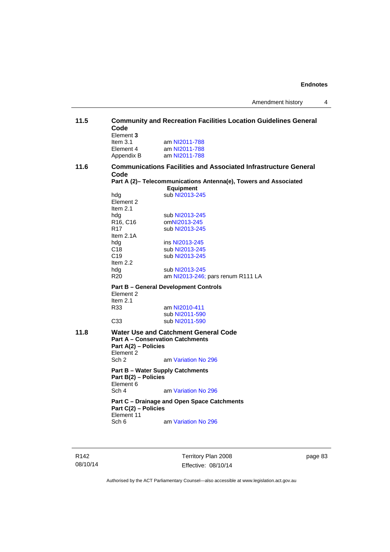| 11.5 | Code<br>Element 3                        | <b>Community and Recreation Facilities Location Guidelines General</b>               |
|------|------------------------------------------|--------------------------------------------------------------------------------------|
|      | Item $3.1$<br>Element 4<br>Appendix B    | am NI2011-788<br>am NI2011-788<br>am NI2011-788                                      |
| 11.6 | Code                                     | <b>Communications Facilities and Associated Infrastructure General</b>               |
|      |                                          | Part A (2)- Telecommunications Antenna(e), Towers and Associated<br><b>Equipment</b> |
|      | hda<br>Element 2<br>Item $2.1$           | sub NI2013-245                                                                       |
|      | hdg<br>R <sub>16</sub> , C <sub>16</sub> | sub NI2013-245<br>omNI2013-245                                                       |
|      | R <sub>17</sub><br>Item $2.1A$           | sub NI2013-245                                                                       |
|      | hdg                                      | ins NI2013-245                                                                       |
|      | C <sub>18</sub>                          | sub NI2013-245                                                                       |
|      | C <sub>19</sub><br>Item 2.2              | sub NI2013-245                                                                       |
|      | hdg                                      | sub NI2013-245                                                                       |
|      | R <sub>20</sub>                          | am NI2013-246; pars renum R111 LA                                                    |
|      | Element 2<br>Item $2.1$                  | <b>Part B - General Development Controls</b>                                         |
|      | R33                                      | am NI2010-411                                                                        |
|      |                                          | sub NI2011-590                                                                       |
|      | C <sub>33</sub>                          | sub NI2011-590                                                                       |
| 11.8 | Part A(2) - Policies<br>Element 2        | Water Use and Catchment General Code<br><b>Part A - Conservation Catchments</b>      |
|      | Sch <sub>2</sub>                         | am Variation No 296                                                                  |
|      | Part B(2) - Policies<br>Element 6        | <b>Part B - Water Supply Catchments</b>                                              |
|      | Sch 4                                    | am Variation No 296                                                                  |
|      | Part C(2) - Policies<br>Element 11       | Part C - Drainage and Open Space Catchments                                          |
|      | Sch 6                                    | am Variation No 296                                                                  |

R142 08/10/14

Territory Plan 2008 Effective: 08/10/14 page 83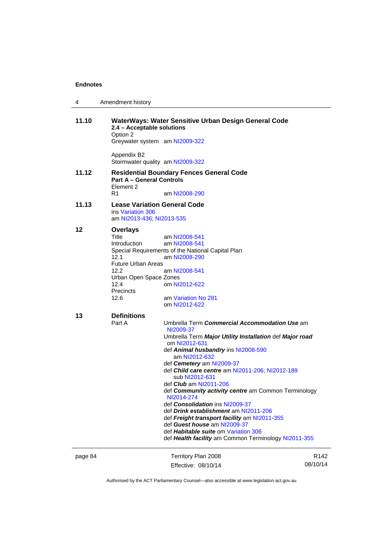| 4       | Amendment history                                                                                                                     |                                                                                                                                                                                |                              |
|---------|---------------------------------------------------------------------------------------------------------------------------------------|--------------------------------------------------------------------------------------------------------------------------------------------------------------------------------|------------------------------|
| 11.10   | 2.4 - Acceptable solutions<br>Option 2<br>Greywater system am NI2009-322                                                              | WaterWays: Water Sensitive Urban Design General Code                                                                                                                           |                              |
|         | Appendix B2<br>Stormwater quality am NI2009-322                                                                                       |                                                                                                                                                                                |                              |
| 11.12   | <b>Part A - General Controls</b><br>Element 2                                                                                         | <b>Residential Boundary Fences General Code</b>                                                                                                                                |                              |
|         | R1                                                                                                                                    | am NI2008-290                                                                                                                                                                  |                              |
| 11.13   | <b>Lease Variation General Code</b><br>ins Variation 306<br>am NI2013-436; NI2013-535                                                 |                                                                                                                                                                                |                              |
| 12      | <b>Overlays</b><br>Title<br>Introduction<br>12.1<br>Future Urban Areas<br>12.2<br>Urban Open Space Zones<br>12.4<br>Precincts<br>12.6 | am NI2008-541<br>am NI2008-541<br>Special Requirements of the National Capital Plan<br>am NI2008-290<br>am NI2008-541<br>om NI2012-622<br>am Variation No 281<br>om NI2012-622 |                              |
|         |                                                                                                                                       |                                                                                                                                                                                |                              |
| 13      | <b>Definitions</b><br>Part A                                                                                                          | Umbrella Term Commercial Accommodation Use am<br>NI2009-37<br>Umbrella Term Major Utility Installation def Major road<br>om NI2012-631                                         |                              |
|         |                                                                                                                                       | def Animal husbandry ins NI2008-590<br>am NI2012-632<br>def Cemetery am NI2009-37<br>def Child care centre am NI2011-206; NI2012-189<br>sub NI2012-631                         |                              |
|         |                                                                                                                                       | def <i>Club</i> am NI2011-206<br>def Community activity centre am Common Terminology<br>NI2014-274<br>def Consolidation ins NI2009-37                                          |                              |
|         |                                                                                                                                       | def <i>Drink establishment</i> am NI2011-206<br>def Freight transport facility am NI2011-355<br>def Guest house am NI2009-37<br>def Habitable suite om Variation 306           |                              |
|         |                                                                                                                                       | def Health facility am Common Terminology NI2011-355                                                                                                                           |                              |
|         |                                                                                                                                       |                                                                                                                                                                                |                              |
| page 84 |                                                                                                                                       | Territory Plan 2008<br>Effective: 08/10/14                                                                                                                                     | R <sub>142</sub><br>08/10/14 |
|         |                                                                                                                                       |                                                                                                                                                                                |                              |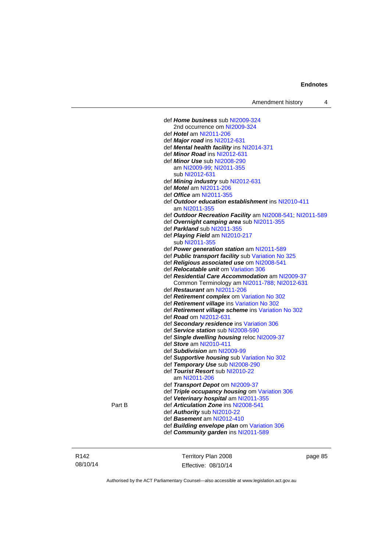| Amendment history |  |  |
|-------------------|--|--|
|-------------------|--|--|

 def *Home business* sub [NI2009-324](http://www.legislation.act.gov.au/ni/2009-324/) 2nd occurrence om [NI2009-324](http://www.legislation.act.gov.au/ni/2009-324/) def *Hotel* am [NI2011-206](http://www.legislation.act.gov.au/ni/2011-206/) def *Major road* ins [NI2012-631](http://www.legislation.act.gov.au/ni/2012-631/default.asp) def *Mental health facility* ins [NI2014-371](http://www.legislation.act.gov.au/ni/2014-371/default.asp) def *Minor Road* ins [NI2012-631](http://www.legislation.act.gov.au/ni/2012-631/default.asp) def *Minor Use* sub [NI2008-290](http://www.legislation.act.gov.au/ni/2008-290/) am [NI2009-99](http://www.legislation.act.gov.au/ni/2009-99/); [NI2011-355](http://www.legislation.act.gov.au/ni/2011-355/) sub [NI2012-631](http://www.legislation.act.gov.au/ni/2012-631/default.asp) def *Mining industry* sub [NI2012-631](http://www.legislation.act.gov.au/ni/2012-631/default.asp) def *Motel* am [NI2011-206](http://www.legislation.act.gov.au/ni/2011-206/) def *Office* am [NI2011-355](http://www.legislation.act.gov.au/ni/2011-355/) def *Outdoor education establishment* ins [NI2010-411](http://www.legislation.act.gov.au/ni/2010-411/) am [NI2011-355](http://www.legislation.act.gov.au/ni/2011-355/) def *Outdoor Recreation Facility* am [NI2008-541;](http://www.legislation.act.gov.au/ni/2008-541/) [NI2011-589](http://www.legislation.act.gov.au/ni/2011-589/) def *Overnight camping area* sub [NI2011-355](http://www.legislation.act.gov.au/ni/2011-355/) def *Parkland* sub [NI2011-355](http://www.legislation.act.gov.au/ni/2011-355/) def *Playing Field* am [NI2010-217](http://www.legislation.act.gov.au/ni/2010-217/) sub [NI2011-355](http://www.legislation.act.gov.au/ni/2011-355/) def *Power generation station* am [NI2011-589](http://www.legislation.act.gov.au/ni/2011-589/) def *Public transport facility* sub [Variation No 325](http://www.legislation.act.gov.au/ni/2014-427/default.asp) def *Religious associated use* om [NI2008-541](http://www.legislation.act.gov.au/ni/2008-541/) def *Relocatable unit* om [Variation 306](http://www.legislation.act.gov.au/ni/2013-93/default.asp) def *Residential Care Accommodation* am [NI2009-37](http://www.legislation.act.gov.au/ni/2009-37/) Common Terminology am [NI2011-788](http://www.legislation.act.gov.au/ni/2011-788/); [NI2012-631](http://www.legislation.act.gov.au/ni/2012-631/default.asp) def *Restaurant* am [NI2011-206](http://www.legislation.act.gov.au/ni/2011-206/) def *Retirement complex* om [Variation No 302](http://www.legislation.act.gov.au/ni/2011-573/) def *Retirement village* ins [Variation No 302](http://www.legislation.act.gov.au/ni/2011-573/) def *Retirement village scheme* ins [Variation No 302](http://www.legislation.act.gov.au/ni/2011-573/) def *Road* om [NI2012-631](http://www.legislation.act.gov.au/ni/2012-631/default.asp) def *Secondary residence* ins [Variation 306](http://www.legislation.act.gov.au/ni/2013-93/default.asp) def *Service station* sub [NI2008-590](http://www.legislation.act.gov.au/ni/2008-590/default.asp) def *Single dwelling housing* reloc [NI2009-37](http://www.legislation.act.gov.au/ni/2009-37/) def *Store* am [NI2010-411](http://www.legislation.act.gov.au/ni/2010-411/) def *Subdivision* am [NI2009-99](http://www.legislation.act.gov.au/ni/2009-99/) def *Supportive housing* sub [Variation No 302](http://www.legislation.act.gov.au/ni/2011-573/) def *Temporary Use* sub [NI2008-290](http://www.legislation.act.gov.au/ni/2008-290/) def *Tourist Resort* sub [NI2010-22](http://www.legislation.act.gov.au/ni/2010-22/) am [NI2011-206](http://www.legislation.act.gov.au/ni/2011-206/) def *Transport Depot* om [NI2009-37](http://www.legislation.act.gov.au/ni/2009-37/) def *Triple occupancy housing* om [Variation 306](http://www.legislation.act.gov.au/ni/2013-93/default.asp) def *Veterinary hospital* am [NI2011-355](http://www.legislation.act.gov.au/ni/2011-355/) def **Articulation Zone** ins [NI2008-541](http://www.legislation.act.gov.au/ni/2008-541/) def *Authority* sub [NI2010-22](http://www.legislation.act.gov.au/ni/2010-22/) def *Basement* am [NI2012-410](http://www.legislation.act.gov.au/ni/2012-410/) def *Building envelope plan* om [Variation 306](http://www.legislation.act.gov.au/ni/2013-93/default.asp) def *Community garden* ins [NI2011-589](http://www.legislation.act.gov.au/ni/2011-589/)

| R <sub>142</sub> | Territory Plan 2008 | page 85 |
|------------------|---------------------|---------|
| 08/10/14         | Effective: 08/10/14 |         |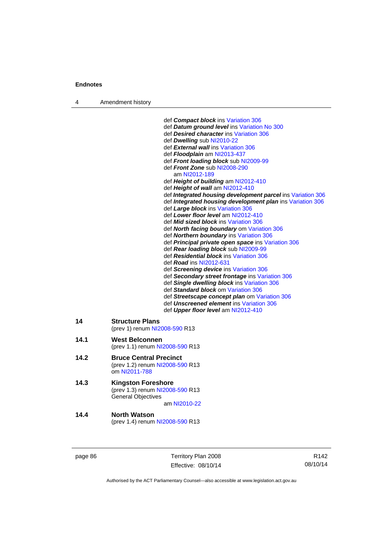4 Amendment history

|      | def Compact block ins Variation 306<br>def Datum ground level ins Variation No 300<br>def Desired character ins Variation 306<br>def Dwelling sub NI2010-22<br>def External wall ins Variation 306<br>def Floodplain am NI2013-437<br>def Front loading block sub NI2009-99<br>def Front Zone sub NI2008-290<br>am NI2012-189<br>def Height of building am NI2012-410<br>def Height of wall am NI2012-410<br>def Integrated housing development parcel ins Variation 306<br>def Integrated housing development plan ins Variation 306<br>def Large block ins Variation 306<br>def Lower floor level am NI2012-410<br>def <b>Mid sized block</b> ins Variation 306<br>def North facing boundary om Variation 306<br>def Northern boundary ins Variation 306<br>def Principal private open space ins Variation 306<br>def Rear loading block sub NI2009-99<br>def Residential block ins Variation 306<br>def <b>Road</b> ins NI2012-631<br>def Screening device ins Variation 306<br>def Secondary street frontage ins Variation 306<br>def Single dwelling block ins Variation 306<br>def Standard block om Variation 306<br>def Streetscape concept plan om Variation 306<br>def Unscreened element ins Variation 306<br>def Upper floor level am NI2012-410 |
|------|--------------------------------------------------------------------------------------------------------------------------------------------------------------------------------------------------------------------------------------------------------------------------------------------------------------------------------------------------------------------------------------------------------------------------------------------------------------------------------------------------------------------------------------------------------------------------------------------------------------------------------------------------------------------------------------------------------------------------------------------------------------------------------------------------------------------------------------------------------------------------------------------------------------------------------------------------------------------------------------------------------------------------------------------------------------------------------------------------------------------------------------------------------------------------------------------------------------------------------------------------------------|
| 14   | <b>Structure Plans</b><br>(prev 1) renum NI2008-590 R13                                                                                                                                                                                                                                                                                                                                                                                                                                                                                                                                                                                                                                                                                                                                                                                                                                                                                                                                                                                                                                                                                                                                                                                                      |
| 14.1 | <b>West Belconnen</b><br>(prev 1.1) renum NI2008-590 R13                                                                                                                                                                                                                                                                                                                                                                                                                                                                                                                                                                                                                                                                                                                                                                                                                                                                                                                                                                                                                                                                                                                                                                                                     |
| 14.2 | <b>Bruce Central Precinct</b><br>(prev 1.2) renum NI2008-590 R13<br>om NI2011-788                                                                                                                                                                                                                                                                                                                                                                                                                                                                                                                                                                                                                                                                                                                                                                                                                                                                                                                                                                                                                                                                                                                                                                            |
| 14.3 | <b>Kingston Foreshore</b><br>(prev 1.3) renum NI2008-590 R13<br><b>General Objectives</b><br>am NI2010-22                                                                                                                                                                                                                                                                                                                                                                                                                                                                                                                                                                                                                                                                                                                                                                                                                                                                                                                                                                                                                                                                                                                                                    |
| 14.4 | <b>North Watson</b><br>(prev 1.4) renum NI2008-590 R13                                                                                                                                                                                                                                                                                                                                                                                                                                                                                                                                                                                                                                                                                                                                                                                                                                                                                                                                                                                                                                                                                                                                                                                                       |

page 86 Territory Plan 2008 Effective: 08/10/14

R142 08/10/14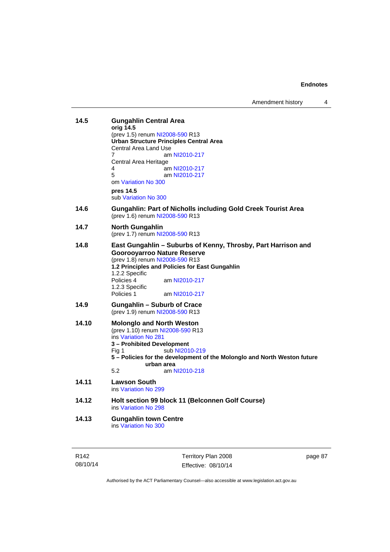Amendment history 4

| 14.5  | <b>Gungahlin Central Area</b><br>orig 14.5<br>(prev 1.5) renum NI2008-590 R13<br><b>Urban Structure Principles Central Area</b><br><b>Central Area Land Use</b><br>7<br>am NI2010-217<br>Central Area Heritage<br>4<br>am NI2010-217<br>5<br>am NI2010-217<br>om Variation No 300<br>pres 14.5<br>sub Variation No 300 |
|-------|------------------------------------------------------------------------------------------------------------------------------------------------------------------------------------------------------------------------------------------------------------------------------------------------------------------------|
| 14.6  | <b>Gungahlin: Part of Nicholls including Gold Creek Tourist Area</b><br>(prev 1.6) renum NI2008-590 R13                                                                                                                                                                                                                |
| 14.7  | <b>North Gungahlin</b><br>(prev 1.7) renum NI2008-590 R13                                                                                                                                                                                                                                                              |
| 14.8  | East Gungahlin - Suburbs of Kenny, Throsby, Part Harrison and<br><b>Goorooyarroo Nature Reserve</b><br>(prev 1.8) renum NI2008-590 R13<br>1.2 Principles and Policies for East Gungahlin<br>1.2.2 Specific<br>Policies 4<br>am NI2010-217<br>1.2.3 Specific<br>Policies 1<br>am NI2010-217                             |
| 14.9  | <b>Gungahlin - Suburb of Crace</b><br>(prev 1.9) renum NI2008-590 R13                                                                                                                                                                                                                                                  |
| 14.10 | <b>Molonglo and North Weston</b><br>(prev 1.10) renum NI2008-590 R13<br>ins Variation No 281<br>3 – Prohibited Development<br>sub NI2010-219<br>Fig 1<br>5 - Policies for the development of the Molonglo and North Weston future<br>urban area<br>5.2<br>am NI2010-218                                                |
| 14.11 | <b>Lawson South</b><br>ins Variation No 299                                                                                                                                                                                                                                                                            |
| 14.12 | Holt section 99 block 11 (Belconnen Golf Course)<br>ins Variation No 298                                                                                                                                                                                                                                               |
| 14.13 | <b>Gungahlin town Centre</b><br>ins Variation No 300                                                                                                                                                                                                                                                                   |

page 87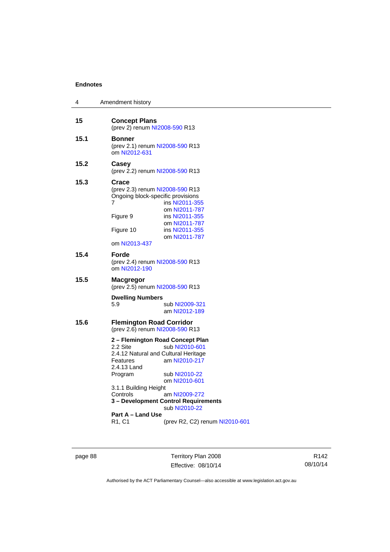| 4    | Amendment history                                                                                                                                                                                                                     |
|------|---------------------------------------------------------------------------------------------------------------------------------------------------------------------------------------------------------------------------------------|
| 15   | <b>Concept Plans</b><br>(prev 2) renum NI2008-590 R13                                                                                                                                                                                 |
| 15.1 | <b>Bonner</b><br>(prev 2.1) renum NI2008-590 R13<br>om NI2012-631                                                                                                                                                                     |
| 15.2 | Casey<br>(prev 2.2) renum NI2008-590 R13                                                                                                                                                                                              |
| 15.3 | Crace<br>(prev 2.3) renum NI2008-590 R13<br>Ongoing block-specific provisions<br>7<br>ins NI2011-355<br>om NI2011-787<br>Figure 9<br>ins NI2011-355<br>om NI2011-787<br>Figure 10<br>ins NI2011-355<br>om NI2011-787<br>om NI2013-437 |
| 15.4 | Forde<br>(prev 2.4) renum NI2008-590 R13<br>om NI2012-190                                                                                                                                                                             |
| 15.5 | Macgregor<br>(prev 2.5) renum NI2008-590 R13                                                                                                                                                                                          |
|      | <b>Dwelling Numbers</b><br>5.9<br>sub NI2009-321<br>am NI2012-189                                                                                                                                                                     |
| 15.6 | <b>Flemington Road Corridor</b><br>(prev 2.6) renum NI2008-590 R13                                                                                                                                                                    |
|      | 2 – Flemington Road Concept Plan<br>2.2 Site<br>sub NI2010-601<br>2.4.12 Natural and Cultural Heritage<br>am NI2010-217<br>Features<br>2.4.13 Land<br>sub NI2010-22<br>Program<br>om NI2010-601<br>3.1.1 Building Height              |
|      | Controls<br>am NI2009-272<br>3 - Development Control Requirements<br>sub NI2010-22                                                                                                                                                    |
|      | Part A - Land Use<br>R1, C1<br>(prev R2, C2) renum NI2010-601                                                                                                                                                                         |

page 88 Territory Plan 2008 Effective: 08/10/14

R142 08/10/14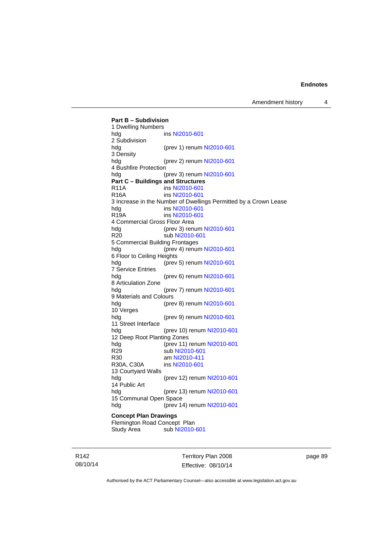Amendment history 4

**Part B – Subdivision**  1 Dwelling Numbers hdg **ins [NI2010-601](http://www.legislation.act.gov.au/ni/2010-601/)** 2 Subdivision hdg (prev 1) renum [NI2010-601](http://www.legislation.act.gov.au/ni/2010-601/) 3 Density hdg (prev 2) renum [NI2010-601](http://www.legislation.act.gov.au/ni/2010-601/) 4 Bushfire Protection hdg (prev 3) renum [NI2010-601](http://www.legislation.act.gov.au/ni/2010-601/) **Part C – Buildings and Structures**  R11A ins [NI2010-601](http://www.legislation.act.gov.au/ni/2010-601/) R16A ins [NI2010-601](http://www.legislation.act.gov.au/ni/2010-601/) 3 Increase in the Number of Dwellings Permitted by a Crown Lease<br>hda ins NI2010-601 ins [NI2010-601](http://www.legislation.act.gov.au/ni/2010-601/) R19A ins [NI2010-601](http://www.legislation.act.gov.au/ni/2010-601/) 4 Commercial Gross Floor Area hdg (prev 3) renum [NI2010-601](http://www.legislation.act.gov.au/ni/2010-601/) R20 sub [NI2010-601](http://www.legislation.act.gov.au/ni/2010-601/) 5 Commercial Building Frontages hdg (prev 4) renum [NI2010-601](http://www.legislation.act.gov.au/ni/2010-601/) 6 Floor to Ceiling Heights hdg (prev 5) renum [NI2010-601](http://www.legislation.act.gov.au/ni/2010-601/) 7 Service Entries hdg (prev 6) renum [NI2010-601](http://www.legislation.act.gov.au/ni/2010-601/) 8 Articulation Zone hdg (prev 7) renum [NI2010-601](http://www.legislation.act.gov.au/ni/2010-601/) 9 Materials and Colours hdg (prev 8) renum [NI2010-601](http://www.legislation.act.gov.au/ni/2010-601/) 10 Verges hdg (prev 9) renum [NI2010-601](http://www.legislation.act.gov.au/ni/2010-601/) 11 Street Interface hdg (prev 10) renum [NI2010-601](http://www.legislation.act.gov.au/ni/2010-601/) 12 Deep Root Planting Zones hdg (prev 11) renum [NI2010-601](http://www.legislation.act.gov.au/ni/2010-601/) R29 sub [NI2010-601](http://www.legislation.act.gov.au/ni/2010-601/)<br>R30 am NI2010-411 R30 am [NI2010-411](http://www.legislation.act.gov.au/ni/2010-411/)<br>R30A, C30A ins NI2010-601 ins [NI2010-601](http://www.legislation.act.gov.au/ni/2010-601/) 13 Courtyard Walls hdg (prev 12) renum [NI2010-601](http://www.legislation.act.gov.au/ni/2010-601/) 14 Public Art hdg (prev 13) renum [NI2010-601](http://www.legislation.act.gov.au/ni/2010-601/) 15 Communal Open Space hdg (prev 14) renum [NI2010-601](http://www.legislation.act.gov.au/ni/2010-601/) **Concept Plan Drawings**  Flemington Road Concept Plan<br>Study Area sub NI2010-sub [NI2010-601](http://www.legislation.act.gov.au/ni/2010-601/)

R142 08/10/14 Territory Plan 2008 Effective: 08/10/14 page 89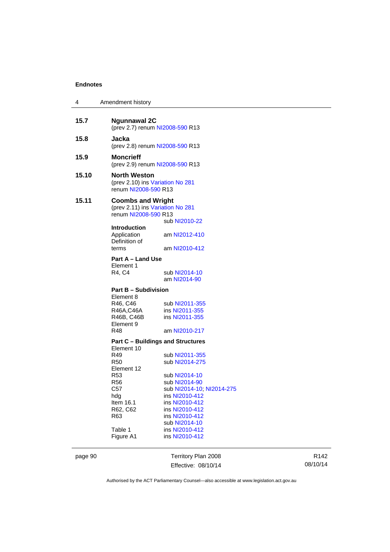| 4     | Amendment history                                                                    |                                                                      |
|-------|--------------------------------------------------------------------------------------|----------------------------------------------------------------------|
| 15.7  | <b>Ngunnawal 2C</b>                                                                  | (prev 2.7) renum NI2008-590 R13                                      |
| 15.8  | Jacka                                                                                | (prev 2.8) renum NI2008-590 R13                                      |
| 15.9  | <b>Moncrieff</b>                                                                     | (prev 2.9) renum NI2008-590 R13                                      |
| 15.10 | <b>North Weston</b><br>(prev 2.10) ins Variation No 281<br>renum NI2008-590 R13      |                                                                      |
| 15.11 | <b>Coombs and Wright</b><br>(prev 2.11) ins Variation No 281<br>renum NI2008-590 R13 | sub NI2010-22                                                        |
|       | <b>Introduction</b><br>Application<br>Definition of<br>terms                         | am NI2012-410<br>am NI2010-412                                       |
|       | Part A – Land Use<br>Element 1<br>R4, C4                                             | sub NI2014-10<br>am NI2014-90                                        |
|       | <b>Part B - Subdivision</b>                                                          |                                                                      |
|       | Element 8<br>R46, C46<br>R46A,C46A<br>R46B, C46B<br>Element 9<br>R48                 | sub NI2011-355<br>ins NI2011-355<br>ins NI2011-355<br>am NI2010-217  |
|       |                                                                                      | <b>Part C - Buildings and Structures</b>                             |
|       | Element 10<br>R49<br>R <sub>50</sub><br>Element 12                                   | sub NI2011-355<br>sub NI2014-275                                     |
|       | <b>R53</b><br>R <sub>56</sub><br>C57                                                 | sub NI2014-10<br>sub NI2014-90<br>sub NI2014-10, NI2014-275          |
|       | hdg<br>Item 16.1<br>R62, C62<br>R63                                                  | ins NI2010-412<br>ins NI2010-412<br>ins NI2010-412<br>ins NI2010-412 |
|       | Table 1<br>Figure A1                                                                 | sub NI2014-10<br>ins NI2010-412<br>ins NI2010-412                    |

page 90 Territory Plan 2008 Effective: 08/10/14

R142 08/10/14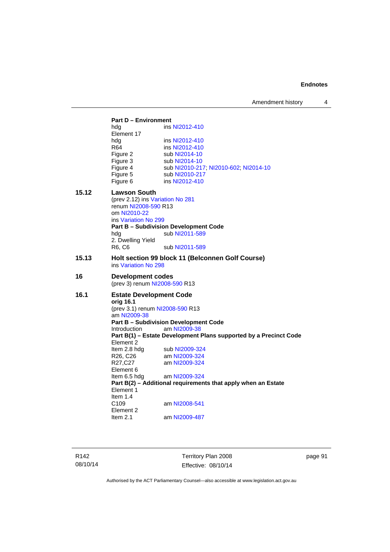### **Part D – Environment**  hdg ins [NI2012-410](http://www.legislation.act.gov.au/ni/2012-410/) Element 17<br>hdg hdg ins [NI2012-410](http://www.legislation.act.gov.au/ni/2012-410/)<br>R64 ins NI2012-410 R64 ins [NI2012-410](http://www.legislation.act.gov.au/ni/2012-410/)<br>Figure 2 sub NI2014-10 Figure 2 sub [NI2014-10](http://www.legislation.act.gov.au/ni/2014-10/default.asp)<br>Figure 3 sub NI2014-10 sub [NI2014-10](http://www.legislation.act.gov.au/ni/2014-10/default.asp) Figure 4 sub [NI2010-217](http://www.legislation.act.gov.au/ni/2010-217/); [NI2010-602](http://www.legislation.act.gov.au/ni/2010-602/); [NI2014-10](http://www.legislation.act.gov.au/ni/2014-10/default.asp) Figure 5 sub [NI2010-217](http://www.legislation.act.gov.au/ni/2010-217/) Figure 6 ins [NI2012-410](http://www.legislation.act.gov.au/ni/2012-410/) **15.12 Lawson South**  (prev 2.12) ins [Variation No 281](http://www.legislation.act.gov.au/ni/2008-352/) renum [NI2008-590](http://www.legislation.act.gov.au/ni/2008-590/default.asp) R13 om [NI2010-22](http://www.legislation.act.gov.au/ni/2010-22/) ins [Variation No 299](http://www.legislation.act.gov.au/ni/2010-575/) **Part B – Subdivision Development Code**  hdg sub [NI2011-589](http://www.legislation.act.gov.au/ni/2011-589/) 2. Dwelling Yield<br>R6, C6 sub [NI2011-589](http://www.legislation.act.gov.au/ni/2011-589/) **15.13 Holt section 99 block 11 (Belconnen Golf Course)**  ins [Variation No 298](http://www.legislation.act.gov.au/ni/2011-152/) **16 Development codes**  (prev 3) renum [NI2008-590](http://www.legislation.act.gov.au/ni/2008-590/default.asp) R13 **16.1 Estate Development Code orig 16.1**  (prev 3.1) renum [NI2008-590](http://www.legislation.act.gov.au/ni/2008-590/default.asp) R13 am [NI2009-38](http://www.legislation.act.gov.au/ni/2009-38/) **Part B – Subdivision Development Code**  Introduction am [NI2009-38](http://www.legislation.act.gov.au/ni/2009-38/) **Part B(1) – Estate Development Plans supported by a Precinct Code**  Element 2 Item 2.8 hdg sub [NI2009-324](http://www.legislation.act.gov.au/ni/2009-324/)<br>R26, C26 am NI2009-324 R26, C26 am [NI2009-324](http://www.legislation.act.gov.au/ni/2009-324/)<br>R27.C27 am NI2009-324 am [NI2009-324](http://www.legislation.act.gov.au/ni/2009-324/) Element 6<br>Item 6.5 hdg am [NI2009-324](http://www.legislation.act.gov.au/ni/2009-324/) **Part B(2) – Additional requirements that apply when an Estate**  Element 1 Item  $1.4$ <br>C<sub>109</sub> am [NI2008-541](http://www.legislation.act.gov.au/ni/2008-541/) Element 2 Item 2.1 am [NI2009-487](http://www.legislation.act.gov.au/ni/2009-487/)

R142 08/10/14 Territory Plan 2008 Effective: 08/10/14 page 91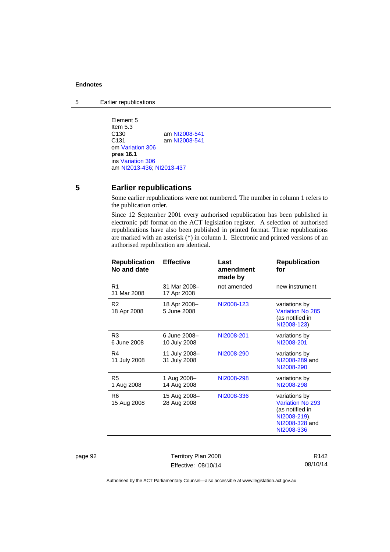5 Earlier republications

Element 5 Item 5.3<br>C130 C130 am [NI2008-541](http://www.legislation.act.gov.au/ni/2008-541/)<br>C131 am NI2008-541 am [NI2008-541](http://www.legislation.act.gov.au/ni/2008-541/) om [Variation 306](http://www.legislation.act.gov.au/ni/2013-93/default.asp) **pres 16.1** ins [Variation 306](http://www.legislation.act.gov.au/ni/2013-93/default.asp) am [NI2013-436](http://www.legislation.act.gov.au/ni/2013-436/default.asp); [NI2013-437](http://www.legislation.act.gov.au/ni/2013-437/default.asp)

# **5 Earlier republications**

Some earlier republications were not numbered. The number in column 1 refers to the publication order.

Since 12 September 2001 every authorised republication has been published in electronic pdf format on the ACT legislation register. A selection of authorised republications have also been published in printed format. These republications are marked with an asterisk (\*) in column 1. Electronic and printed versions of an authorised republication are identical.

| <b>Republication</b><br>No and date | <b>Effective</b>              | Last<br>amendment<br>made by | <b>Republication</b><br>for                                                                          |
|-------------------------------------|-------------------------------|------------------------------|------------------------------------------------------------------------------------------------------|
| R1<br>31 Mar 2008                   | 31 Mar 2008-<br>17 Apr 2008   | not amended                  | new instrument                                                                                       |
| R <sub>2</sub><br>18 Apr 2008       | 18 Apr 2008-<br>5 June 2008   | NI2008-123                   | variations by<br><b>Variation No 285</b><br>(as notified in<br>NI2008-123)                           |
| R <sub>3</sub><br>6 June 2008       | 6 June 2008-<br>10 July 2008  | NI2008-201                   | variations by<br>NI2008-201                                                                          |
| R4<br>11 July 2008                  | 11 July 2008-<br>31 July 2008 | NI2008-290                   | variations by<br>NI2008-289 and<br>NI2008-290                                                        |
| R <sub>5</sub><br>1 Aug 2008        | 1 Aug 2008-<br>14 Aug 2008    | NI2008-298                   | variations by<br>NI2008-298                                                                          |
| R6<br>15 Aug 2008                   | 15 Aug 2008-<br>28 Aug 2008   | NI2008-336                   | variations by<br>Variation No 293<br>(as notified in<br>NI2008-219),<br>NI2008-328 and<br>NI2008-336 |

page 92 Territory Plan 2008 Effective: 08/10/14

R142 08/10/14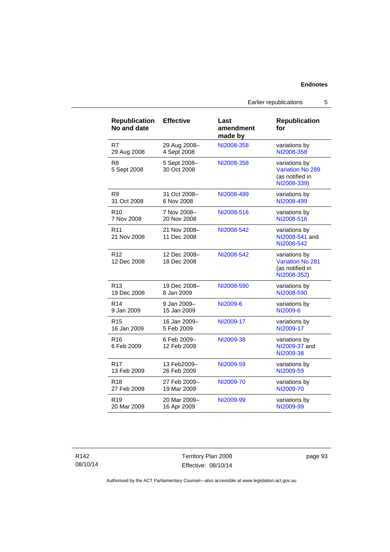| <b>Republication</b><br>No and date | <b>Effective</b>            | Last<br>amendment<br>made by | <b>Republication</b><br>for                                                |
|-------------------------------------|-----------------------------|------------------------------|----------------------------------------------------------------------------|
| R7                                  | 29 Aug 2008-                | NI2008-358                   | variations by                                                              |
| 29 Aug 2008                         | 4 Sept 2008                 |                              | NI2008-358                                                                 |
| R <sub>8</sub><br>5 Sept 2008       | 5 Sept 2008-<br>30 Oct 2008 | NI2008-358                   | variations by<br><b>Variation No 289</b><br>(as notified in<br>NI2008-339) |
| R <sub>9</sub>                      | 31 Oct 2008-                | NI2008-499                   | variations by                                                              |
| 31 Oct 2008                         | 6 Nov 2008                  |                              | NI2008-499                                                                 |
| R <sub>10</sub>                     | 7 Nov 2008-                 | NI2008-516                   | variations by                                                              |
| 7 Nov 2008                          | 20 Nov 2008                 |                              | NI2008-516                                                                 |
| R <sub>11</sub><br>21 Nov 2008      | 21 Nov 2008-<br>11 Dec 2008 | NI2008-542                   | variations by<br>NI2008-541 and<br>NI2008-542                              |
| R <sub>12</sub><br>12 Dec 2008      | 12 Dec 2008-<br>18 Dec 2008 | NI2008-542                   | variations by<br><b>Variation No 281</b><br>(as notified in<br>NI2008-352) |
| R <sub>13</sub>                     | 19 Dec 2008-                | NI2008-590                   | variations by                                                              |
| 19 Dec 2008                         | 8 Jan 2009                  |                              | NI2008-590                                                                 |
| R <sub>14</sub>                     | 9 Jan 2009-                 | NI2009-6                     | variations by                                                              |
| 9 Jan 2009                          | 15 Jan 2009                 |                              | NI2009-6                                                                   |
| R <sub>15</sub>                     | 16 Jan 2009-                | NI2009-17                    | variations by                                                              |
| 16 Jan 2009                         | 5 Feb 2009                  |                              | NI2009-17                                                                  |
| R <sub>16</sub><br>6 Feb 2009       | 6 Feb 2009-<br>12 Feb 2009  | NI2009-38                    | variations by<br>NI2009-37 and<br>NI2009-38                                |
| R <sub>17</sub>                     | 13 Feb2009-                 | NI2009-59                    | variations by                                                              |
| 13 Feb 2009                         | 26 Feb 2009                 |                              | NI2009-59                                                                  |
| R <sub>18</sub>                     | 27 Feb 2009-                | NI2009-70                    | variations by                                                              |
| 27 Feb 2009                         | 19 Mar 2009                 |                              | NI2009-70                                                                  |
| R <sub>19</sub>                     | 20 Mar 2009-                | NI2009-99                    | variations by                                                              |
| 20 Mar 2009                         | 16 Apr 2009                 |                              | NI2009-99                                                                  |

Territory Plan 2008 Effective: 08/10/14 page 93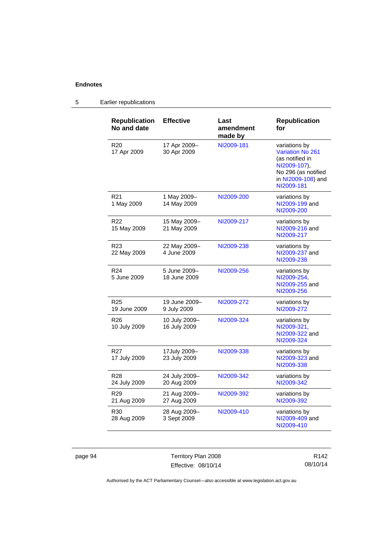# 5 Earlier republications

| <b>Republication</b><br>No and date | <b>Effective</b>              | Last<br>amendment<br>made by | <b>Republication</b><br>for                                                                                                     |
|-------------------------------------|-------------------------------|------------------------------|---------------------------------------------------------------------------------------------------------------------------------|
| R20<br>17 Apr 2009                  | 17 Apr 2009-<br>30 Apr 2009   | NI2009-181                   | variations by<br>Variation No 261<br>(as notified in<br>NI2009-107),<br>No 296 (as notified<br>in NI2009-108) and<br>NI2009-181 |
| R <sub>21</sub><br>1 May 2009       | 1 May 2009-<br>14 May 2009    | NI2009-200                   | variations by<br>NI2009-199 and<br>NI2009-200                                                                                   |
| R22<br>15 May 2009                  | 15 May 2009-<br>21 May 2009   | NI2009-217                   | variations by<br>NI2009-216 and<br>NI2009-217                                                                                   |
| R <sub>23</sub><br>22 May 2009      | 22 May 2009-<br>4 June 2009   | NI2009-238                   | variations by<br>NI2009-237 and<br>NI2009-238                                                                                   |
| R <sub>24</sub><br>5 June 2009      | 5 June 2009-<br>18 June 2009  | NI2009-256                   | variations by<br>NI2009-254,<br>NI2009-255 and<br>NI2009-256                                                                    |
| R <sub>25</sub><br>19 June 2009     | 19 June 2009-<br>9 July 2009  | NI2009-272                   | variations by<br>NI2009-272                                                                                                     |
| R <sub>26</sub><br>10 July 2009     | 10 July 2009-<br>16 July 2009 | NI2009-324                   | variations by<br>NI2009-321.<br>NI2009-322 and<br>NI2009-324                                                                    |
| R <sub>27</sub><br>17 July 2009     | 17July 2009-<br>23 July 2009  | NI2009-338                   | variations by<br>NI2009-323 and<br>NI2009-338                                                                                   |
| R28<br>24 July 2009                 | 24 July 2009-<br>20 Aug 2009  | NI2009-342                   | variations by<br>NI2009-342                                                                                                     |
| R <sub>29</sub><br>21 Aug 2009      | 21 Aug 2009-<br>27 Aug 2009   | NI2009-392                   | variations by<br>NI2009-392                                                                                                     |
| R <sub>30</sub><br>28 Aug 2009      | 28 Aug 2009-<br>3 Sept 2009   | NI2009-410                   | variations by<br>NI2009-409 and<br>NI2009-410                                                                                   |

page 94 Territory Plan 2008 Effective: 08/10/14

R142 08/10/14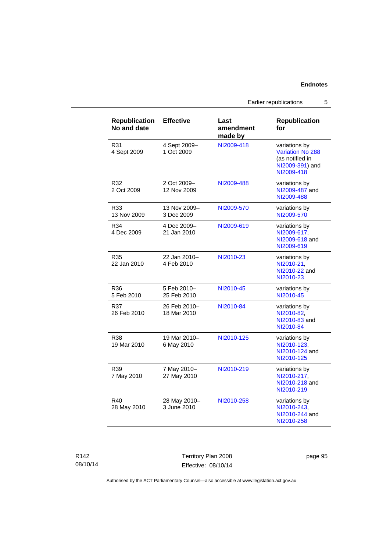Earlier republications 5

| <b>Republication</b><br>No and date | <b>Effective</b>            | Last<br>amendment<br>made by | <b>Republication</b><br>for                                                                  |
|-------------------------------------|-----------------------------|------------------------------|----------------------------------------------------------------------------------------------|
| R31<br>4 Sept 2009                  | 4 Sept 2009-<br>1 Oct 2009  | NI2009-418                   | variations by<br><b>Variation No 288</b><br>(as notified in<br>NI2009-391) and<br>NI2009-418 |
| R32<br>2 Oct 2009                   | 2 Oct 2009-<br>12 Nov 2009  | NI2009-488                   | variations by<br>NI2009-487 and<br>NI2009-488                                                |
| R33<br>13 Nov 2009                  | 13 Nov 2009-<br>3 Dec 2009  | NI2009-570                   | variations by<br>NI2009-570                                                                  |
| R34<br>4 Dec 2009                   | 4 Dec 2009-<br>21 Jan 2010  | NI2009-619                   | variations by<br>NI2009-617.<br>NI2009-618 and<br>NI2009-619                                 |
| R35<br>22 Jan 2010                  | 22 Jan 2010-<br>4 Feb 2010  | NI2010-23                    | variations by<br>NI2010-21.<br>NI2010-22 and<br>NI2010-23                                    |
| R36<br>5 Feb 2010                   | 5 Feb 2010-<br>25 Feb 2010  | NI2010-45                    | variations by<br>NI2010-45                                                                   |
| R37<br>26 Feb 2010                  | 26 Feb 2010-<br>18 Mar 2010 | NI2010-84                    | variations by<br>NI2010-82,<br>NI2010-83 and<br>NI2010-84                                    |
| R38<br>19 Mar 2010                  | 19 Mar 2010-<br>6 May 2010  | NI2010-125                   | variations by<br>NI2010-123.<br>NI2010-124 and<br>NI2010-125                                 |
| R39<br>7 May 2010                   | 7 May 2010–<br>27 May 2010  | NI2010-219                   | variations by<br>NI2010-217.<br>NI2010-218 and<br>NI2010-219                                 |
| R40<br>28 May 2010                  | 28 May 2010-<br>3 June 2010 | NI2010-258                   | variations by<br>NI2010-243,<br>NI2010-244 and<br>NI2010-258                                 |

Territory Plan 2008 Effective: 08/10/14 page 95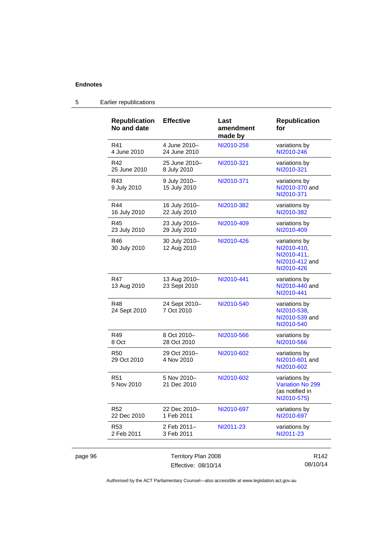page 96

| <b>Republication</b><br>No and date | <b>Effective</b>              | Last<br>amendment<br>made by | <b>Republication</b><br>for                                                 |
|-------------------------------------|-------------------------------|------------------------------|-----------------------------------------------------------------------------|
| R41<br>4 June 2010                  | 4 June 2010-<br>24 June 2010  | NI2010-258                   | variations by<br>NI2010-246                                                 |
| R42<br>25 June 2010                 | 25 June 2010-<br>8 July 2010  | NI2010-321                   | variations by<br>NI2010-321                                                 |
| R43<br>9 July 2010                  | 9 July 2010-<br>15 July 2010  | NI2010-371                   | variations by<br>NI2010-370 and<br>NI2010-371                               |
| R44<br>16 July 2010                 | 16 July 2010-<br>22 July 2010 | NI2010-382                   | variations by<br>NI2010-382                                                 |
| R45<br>23 July 2010                 | 23 July 2010-<br>29 July 2010 | NI2010-409                   | variations by<br>NI2010-409                                                 |
| R46<br>30 July 2010                 | 30 July 2010-<br>12 Aug 2010  | NI2010-426                   | variations by<br>NI2010-410,<br>NI2010-411,<br>NI2010-412 and<br>NI2010-426 |
| R47<br>13 Aug 2010                  | 13 Aug 2010-<br>23 Sept 2010  | NI2010-441                   | variations by<br>NI2010-440 and<br>NI2010-441                               |
| R48<br>24 Sept 2010                 | 24 Sept 2010-<br>7 Oct 2010   | NI2010-540                   | variations by<br>NI2010-538,<br>NI2010-539 and<br>NI2010-540                |
| R49<br>8 Oct                        | 8 Oct 2010-<br>28 Oct 2010    | NI2010-566                   | variations by<br>NI2010-566                                                 |
| R50<br>29 Oct 2010                  | 29 Oct 2010-<br>4 Nov 2010    | NI2010-602                   | variations by<br>NI2010-601 and<br>NI2010-602                               |
| <b>R51</b><br>5 Nov 2010            | 5 Nov 2010-<br>21 Dec 2010    | NI2010-602                   | variations by<br>Variation No 299<br>(as notified in<br>NI2010-575)         |
| R <sub>52</sub><br>22 Dec 2010      | 22 Dec 2010-<br>1 Feb 2011    | NI2010-697                   | variations by<br>NI2010-697                                                 |
| R <sub>53</sub><br>2 Feb 2011       | 2 Feb 2011-<br>3 Feb 2011     | NI2011-23                    | variations by<br>NI2011-23                                                  |
|                                     | Territory Plan 2008           |                              | R <sub>142</sub>                                                            |
|                                     | Effective: 08/10/14           |                              | 08/10/14                                                                    |

# 5 Earlier republications

Authorised by the ACT Parliamentary Counsel—also accessible at www.legislation.act.gov.au

Effective: 08/10/14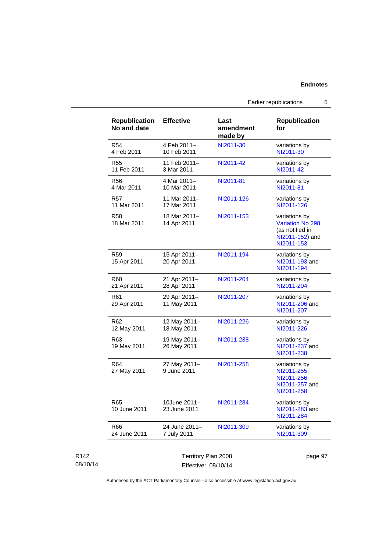Earlier republications 5

| <b>Republication</b><br>No and date | <b>Effective</b>             | Last<br>amendment<br>made by | <b>Republication</b><br>for                                                                  |
|-------------------------------------|------------------------------|------------------------------|----------------------------------------------------------------------------------------------|
| R <sub>54</sub><br>4 Feb 2011       | 4 Feb 2011-<br>10 Feb 2011   | NI2011-30                    | variations by<br>NI2011-30                                                                   |
| R <sub>55</sub><br>11 Feb 2011      | 11 Feb 2011-<br>3 Mar 2011   | NI2011-42                    | variations by<br>NI2011-42                                                                   |
| R56<br>4 Mar 2011                   | 4 Mar 2011-<br>10 Mar 2011   | NI2011-81                    | variations by<br>NI2011-81                                                                   |
| R <sub>57</sub><br>11 Mar 2011      | 11 Mar 2011-<br>17 Mar 2011  | NI2011-126                   | variations by<br>NI2011-126                                                                  |
| <b>R58</b><br>18 Mar 2011           | 18 Mar 2011-<br>14 Apr 2011  | NI2011-153                   | variations by<br><b>Variation No 298</b><br>(as notified in<br>NI2011-152) and<br>NI2011-153 |
| R <sub>59</sub><br>15 Apr 2011      | 15 Apr 2011-<br>20 Apr 2011  | NI2011-194                   | variations by<br>NI2011-193 and<br>NI2011-194                                                |
| R60<br>21 Apr 2011                  | 21 Apr 2011-<br>28 Apr 2011  | NI2011-204                   | variations by<br>NI2011-204                                                                  |
| R61<br>29 Apr 2011                  | 29 Apr 2011-<br>11 May 2011  | NI2011-207                   | variations by<br>NI2011-206 and<br>NI2011-207                                                |
| R <sub>62</sub><br>12 May 2011      | 12 May 2011-<br>18 May 2011  | NI2011-226                   | variations by<br>NI2011-226                                                                  |
| R63<br>19 May 2011                  | 19 May 2011-<br>26 May 2011  | NI2011-238                   | variations by<br>NI2011-237 and<br>NI2011-238                                                |
| R64<br>27 May 2011                  | 27 May 2011-<br>9 June 2011  | NI2011-258                   | variations by<br>NI2011-255.<br>NI2011-256,<br>NI2011-257 and<br>NI2011-258                  |
| R65<br>10 June 2011                 | 10June 2011-<br>23 June 2011 | NI2011-284                   | variations by<br>NI2011-283 and<br>NI2011-284                                                |
| R66                                 | 24 June 2011-                | NI2011-309                   | variations by<br>NI2011-309                                                                  |

08/10/14

R142

Effective: 08/10/14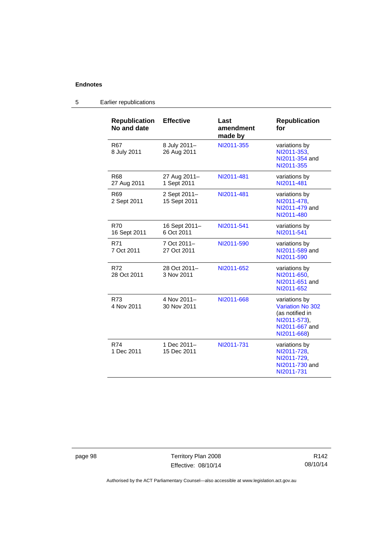| <b>Republication</b><br>No and date | <b>Effective</b>             | Last<br>amendment<br>made by | <b>Republication</b><br>for                                                                                  |
|-------------------------------------|------------------------------|------------------------------|--------------------------------------------------------------------------------------------------------------|
| R67<br>8 July 2011                  | 8 July 2011-<br>26 Aug 2011  | NI2011-355                   | variations by<br>NI2011-353,<br>NI2011-354 and<br>NI2011-355                                                 |
| R68<br>27 Aug 2011                  | 27 Aug 2011-<br>1 Sept 2011  | NI2011-481                   | variations by<br>NI2011-481                                                                                  |
| R <sub>69</sub><br>2 Sept 2011      | 2 Sept 2011-<br>15 Sept 2011 | NI2011-481                   | variations by<br>NI2011-478.<br>NI2011-479 and<br>NI2011-480                                                 |
| <b>R70</b><br>16 Sept 2011          | 16 Sept 2011-<br>6 Oct 2011  | NI2011-541                   | variations by<br>NI2011-541                                                                                  |
| R71<br>7 Oct 2011                   | 7 Oct 2011-<br>27 Oct 2011   | NI2011-590                   | variations by<br>NI2011-589 and<br>NI2011-590                                                                |
| R72<br>28 Oct 2011                  | 28 Oct 2011-<br>3 Nov 2011   | NI2011-652                   | variations by<br>NI2011-650,<br>NI2011-651 and<br>NI2011-652                                                 |
| R73<br>4 Nov 2011                   | 4 Nov 2011-<br>30 Nov 2011   | NI2011-668                   | variations by<br><b>Variation No 302</b><br>(as notified in<br>NI2011-573),<br>NI2011-667 and<br>NI2011-668) |
| R74<br>1 Dec 2011                   | 1 Dec 2011-<br>15 Dec 2011   | NI2011-731                   | variations by<br>NI2011-728,<br>NI2011-729,<br>NI2011-730 and<br>NI2011-731                                  |

# 5 Earlier republications

page 98 Territory Plan 2008 Effective: 08/10/14

R142 08/10/14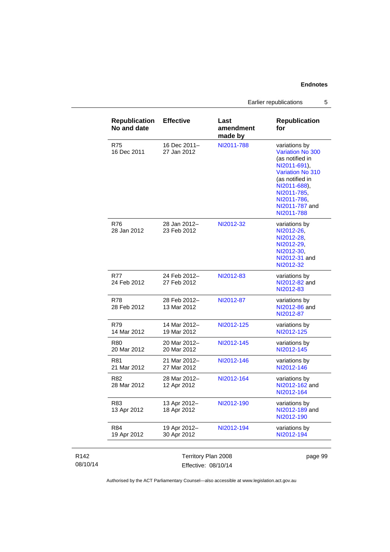Earlier republications 5

| <b>Republication</b><br>No and date | <b>Effective</b>            | Last<br>amendment<br>made by | <b>Republication</b><br>for                                                                                                                                                                             |
|-------------------------------------|-----------------------------|------------------------------|---------------------------------------------------------------------------------------------------------------------------------------------------------------------------------------------------------|
| R75<br>16 Dec 2011                  | 16 Dec 2011-<br>27 Jan 2012 | NI2011-788                   | variations by<br><b>Variation No 300</b><br>(as notified in<br>NI2011-691),<br><b>Variation No 310</b><br>(as notified in<br>NI2011-688),<br>NI2011-785,<br>NI2011-786,<br>NI2011-787 and<br>NI2011-788 |
| R76<br>28 Jan 2012                  | 28 Jan 2012-<br>23 Feb 2012 | NI2012-32                    | variations by<br>NI2012-26,<br>NI2012-28,<br>NI2012-29,<br>NI2012-30,<br>NI2012-31 and<br>NI2012-32                                                                                                     |
| R77<br>24 Feb 2012                  | 24 Feb 2012-<br>27 Feb 2012 | NI2012-83                    | variations by<br>NI2012-82 and<br>NI2012-83                                                                                                                                                             |
| R78<br>28 Feb 2012                  | 28 Feb 2012-<br>13 Mar 2012 | NI2012-87                    | variations by<br>NI2012-86 and<br>NI2012-87                                                                                                                                                             |
| R79<br>14 Mar 2012                  | 14 Mar 2012-<br>19 Mar 2012 | NI2012-125                   | variations by<br>NI2012-125                                                                                                                                                                             |
| R80<br>20 Mar 2012                  | 20 Mar 2012-<br>20 Mar 2012 | NI2012-145                   | variations by<br>NI2012-145                                                                                                                                                                             |
| R81<br>21 Mar 2012                  | 21 Mar 2012-<br>27 Mar 2012 | NI2012-146                   | variations by<br>NI2012-146                                                                                                                                                                             |
| R82<br>28 Mar 2012                  | 28 Mar 2012-<br>12 Apr 2012 | NI2012-164                   | variations by<br>NI2012-162 and<br>NI2012-164                                                                                                                                                           |
| R83<br>13 Apr 2012                  | 13 Apr 2012-<br>18 Apr 2012 | NI2012-190                   | variations by<br>NI2012-189 and<br>NI2012-190                                                                                                                                                           |
| R84<br>19 Apr 2012                  | 19 Apr 2012-<br>30 Apr 2012 | NI2012-194                   | variations by<br>NI2012-194                                                                                                                                                                             |

| R142     | Territory Plan 2008 | page 99 |
|----------|---------------------|---------|
| 08/10/14 | Effective: 08/10/14 |         |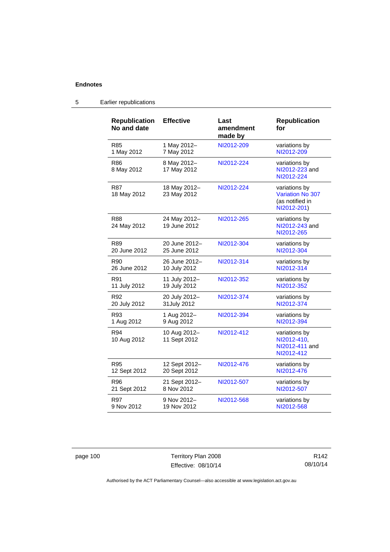| <b>Republication</b><br>No and date | <b>Effective</b>             | Last<br>amendment<br>made by | <b>Republication</b><br>for                                         |
|-------------------------------------|------------------------------|------------------------------|---------------------------------------------------------------------|
| R85                                 | 1 May 2012-                  | NI2012-209                   | variations by                                                       |
| 1 May 2012                          | 7 May 2012                   |                              | NI2012-209                                                          |
| R86<br>8 May 2012                   | 8 May 2012-<br>17 May 2012   | NI2012-224                   | variations by<br>NI2012-223 and<br>NI2012-224                       |
| R87<br>18 May 2012                  | 18 May 2012-<br>23 May 2012  | NI2012-224                   | variations by<br>Variation No 307<br>(as notified in<br>NI2012-201) |
| <b>R88</b><br>24 May 2012           | 24 May 2012-<br>19 June 2012 | NI2012-265                   | variations by<br>NI2012-243 and<br>NI2012-265                       |
| R89                                 | 20 June 2012-                | NI2012-304                   | variations by                                                       |
| 20 June 2012                        | 25 June 2012                 |                              | NI2012-304                                                          |
| R90                                 | 26 June 2012-                | NI2012-314                   | variations by                                                       |
| 26 June 2012                        | 10 July 2012                 |                              | NI2012-314                                                          |
| R91                                 | 11 July 2012-                | NI2012-352                   | variations by                                                       |
| 11 July 2012                        | 19 July 2012                 |                              | NI2012-352                                                          |
| R92                                 | 20 July 2012-                | NI2012-374                   | variations by                                                       |
| 20 July 2012                        | 31 July 2012                 |                              | NI2012-374                                                          |
| R93                                 | 1 Aug 2012-                  | NI2012-394                   | variations by                                                       |
| 1 Aug 2012                          | 9 Aug 2012                   |                              | NI2012-394                                                          |
| R94<br>10 Aug 2012                  | 10 Aug 2012-<br>11 Sept 2012 | NI2012-412                   | variations by<br>NI2012-410,<br>NI2012-411 and<br>NI2012-412        |
| R95                                 | 12 Sept 2012-                | NI2012-476                   | variations by                                                       |
| 12 Sept 2012                        | 20 Sept 2012                 |                              | NI2012-476                                                          |
| R96                                 | 21 Sept 2012-                | NI2012-507                   | variations by                                                       |
| 21 Sept 2012                        | 8 Nov 2012                   |                              | NI2012-507                                                          |
| R97                                 | 9 Nov 2012-                  | NI2012-568                   | variations by                                                       |
| 9 Nov 2012                          | 19 Nov 2012                  |                              | NI2012-568                                                          |

# 5 Earlier republications

page 100 Territory Plan 2008 Effective: 08/10/14

R142 08/10/14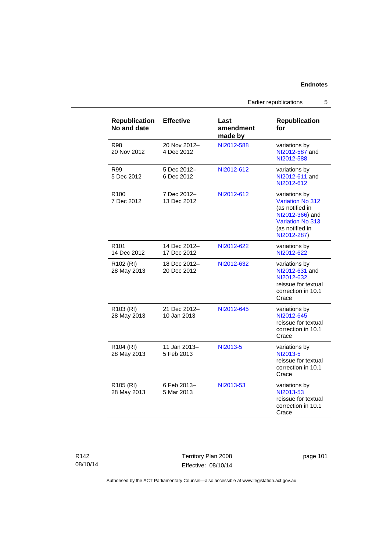Earlier republications 5

| <b>Republication</b><br>No and date  | <b>Effective</b>            | Last<br>amendment<br>made by | <b>Republication</b><br>for                                                                                                   |
|--------------------------------------|-----------------------------|------------------------------|-------------------------------------------------------------------------------------------------------------------------------|
| R98<br>20 Nov 2012                   | 20 Nov 2012-<br>4 Dec 2012  | NI2012-588                   | variations by<br>NI2012-587 and<br>NI2012-588                                                                                 |
| R99<br>5 Dec 2012                    | 5 Dec 2012-<br>6 Dec 2012   | NI2012-612                   | variations by<br>NI2012-611 and<br>NI2012-612                                                                                 |
| R <sub>100</sub><br>7 Dec 2012       | 7 Dec 2012-<br>13 Dec 2012  | NI2012-612                   | variations by<br>Variation No 312<br>(as notified in<br>NI2012-366) and<br>Variation No 313<br>(as notified in<br>NI2012-287) |
| R <sub>101</sub><br>14 Dec 2012      | 14 Dec 2012-<br>17 Dec 2012 | NI2012-622                   | variations by<br>NI2012-622                                                                                                   |
| R <sub>102</sub> (RI)<br>28 May 2013 | 18 Dec 2012-<br>20 Dec 2012 | NI2012-632                   | variations by<br>NI2012-631 and<br>NI2012-632<br>reissue for textual<br>correction in 10.1<br>Crace                           |
| R103 (RI)<br>28 May 2013             | 21 Dec 2012-<br>10 Jan 2013 | NI2012-645                   | variations by<br>NI2012-645<br>reissue for textual<br>correction in 10.1<br>Crace                                             |
| R104 (RI)<br>28 May 2013             | 11 Jan 2013-<br>5 Feb 2013  | NI2013-5                     | variations by<br>NI2013-5<br>reissue for textual<br>correction in 10.1<br>Crace                                               |
| R <sub>105</sub> (RI)<br>28 May 2013 | 6 Feb 2013-<br>5 Mar 2013   | NI2013-53                    | variations by<br>NI2013-53<br>reissue for textual<br>correction in 10.1<br>Crace                                              |

| R142     |  |
|----------|--|
| 08/10/14 |  |

Territory Plan 2008 Effective: 08/10/14 page 101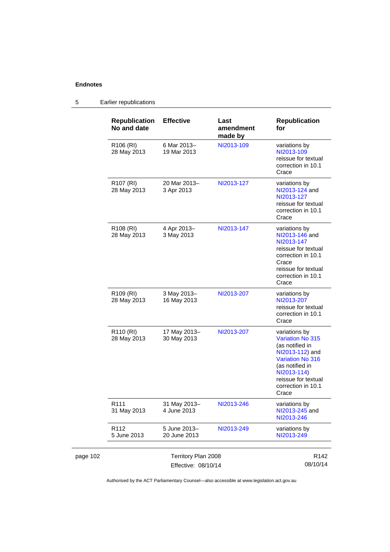|          | <b>Republication</b><br>No and date        | <b>Effective</b>             | Last<br>amendment<br>made by | <b>Republication</b><br>for                                                                                                                                                                       |
|----------|--------------------------------------------|------------------------------|------------------------------|---------------------------------------------------------------------------------------------------------------------------------------------------------------------------------------------------|
|          | R106 (RI)<br>28 May 2013                   | 6 Mar 2013-<br>19 Mar 2013   | NI2013-109                   | variations by<br>NI2013-109<br>reissue for textual<br>correction in 10.1<br>Crace                                                                                                                 |
|          | R <sub>107</sub> (RI)<br>28 May 2013       | 20 Mar 2013-<br>3 Apr 2013   | NI2013-127                   | variations by<br>NI2013-124 and<br>NI2013-127<br>reissue for textual<br>correction in 10.1<br>Crace                                                                                               |
|          | R <sub>108</sub> (RI)<br>28 May 2013       | 4 Apr 2013-<br>3 May 2013    | NI2013-147                   | variations by<br>NI2013-146 and<br>NI2013-147<br>reissue for textual<br>correction in 10.1<br>Crace<br>reissue for textual<br>correction in 10.1<br>Crace                                         |
|          | R <sub>109</sub> (RI)<br>28 May 2013       | 3 May 2013-<br>16 May 2013   | NI2013-207                   | variations by<br>NI2013-207<br>reissue for textual<br>correction in 10.1<br>Crace                                                                                                                 |
|          | R <sub>110</sub> (RI)<br>28 May 2013       | 17 May 2013-<br>30 May 2013  | NI2013-207                   | variations by<br><b>Variation No 315</b><br>(as notified in<br>NI2013-112) and<br><b>Variation No 316</b><br>(as notified in<br>NI2013-114)<br>reissue for textual<br>correction in 10.1<br>Crace |
|          | R <sub>111</sub><br>31 May 2013            | 31 May 2013-<br>4 June 2013  | NI2013-246                   | variations by<br>NI2013-245 and<br>NI2013-246                                                                                                                                                     |
|          | R112<br>5 June 2013                        | 5 June 2013-<br>20 June 2013 | NI2013-249                   | variations by<br>NI2013-249                                                                                                                                                                       |
| page 102 | Territory Plan 2008<br>Effective: 08/10/14 |                              |                              | R <sub>142</sub><br>08/10/14                                                                                                                                                                      |

# 5 Earlier republications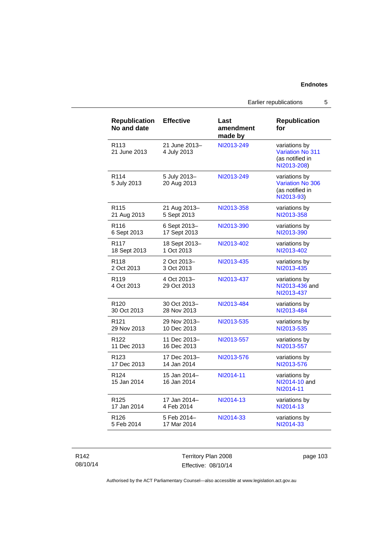Earlier republications 5

| <b>Republication</b><br>No and date | <b>Effective</b>             | Last<br>amendment<br>made by | <b>Republication</b><br>for                                                |
|-------------------------------------|------------------------------|------------------------------|----------------------------------------------------------------------------|
| R <sub>113</sub><br>21 June 2013    | 21 June 2013-<br>4 July 2013 | NI2013-249                   | variations by<br><b>Variation No 311</b><br>(as notified in<br>NI2013-208) |
| R <sub>114</sub><br>5 July 2013     | 5 July 2013-<br>20 Aug 2013  | NI2013-249                   | variations by<br>Variation No 306<br>(as notified in<br>NI2013-93)         |
| R <sub>115</sub>                    | 21 Aug 2013-                 | NI2013-358                   | variations by                                                              |
| 21 Aug 2013                         | 5 Sept 2013                  |                              | NI2013-358                                                                 |
| R116                                | 6 Sept 2013-                 | NI2013-390                   | variations by                                                              |
| 6 Sept 2013                         | 17 Sept 2013                 |                              | NI2013-390                                                                 |
| R <sub>117</sub>                    | 18 Sept 2013-                | NI2013-402                   | variations by                                                              |
| 18 Sept 2013                        | 1 Oct 2013                   |                              | NI2013-402                                                                 |
| R118                                | 2 Oct 2013-                  | NI2013-435                   | variations by                                                              |
| 2 Oct 2013                          | 3 Oct 2013                   |                              | NI2013-435                                                                 |
| R <sub>119</sub><br>4 Oct 2013      | 4 Oct 2013-<br>29 Oct 2013   | NI2013-437                   | variations by<br>NI2013-436 and<br>NI2013-437                              |
| R <sub>120</sub>                    | 30 Oct 2013-                 | NI2013-484                   | variations by                                                              |
| 30 Oct 2013                         | 28 Nov 2013                  |                              | NI2013-484                                                                 |
| R <sub>121</sub>                    | 29 Nov 2013-                 | NI2013-535                   | variations by                                                              |
| 29 Nov 2013                         | 10 Dec 2013                  |                              | NI2013-535                                                                 |
| R <sub>122</sub>                    | 11 Dec 2013-                 | NI2013-557                   | variations by                                                              |
| 11 Dec 2013                         | 16 Dec 2013                  |                              | NI2013-557                                                                 |
| R <sub>123</sub>                    | 17 Dec 2013-                 | NI2013-576                   | variations by                                                              |
| 17 Dec 2013                         | 14 Jan 2014                  |                              | NI2013-576                                                                 |
| R <sub>124</sub><br>15 Jan 2014     | 15 Jan 2014-<br>16 Jan 2014  | NI2014-11                    | variations by<br>NI2014-10 and<br>NI2014-11                                |
| R <sub>125</sub>                    | 17 Jan 2014-                 | NI2014-13                    | variations by                                                              |
| 17 Jan 2014                         | 4 Feb 2014                   |                              | NI2014-13                                                                  |
| R126                                | 5 Feb 2014-                  | NI2014-33                    | variations by                                                              |
| 5 Feb 2014                          | 17 Mar 2014                  |                              | NI2014-33                                                                  |

R142 08/10/14

Territory Plan 2008 Effective: 08/10/14 page 103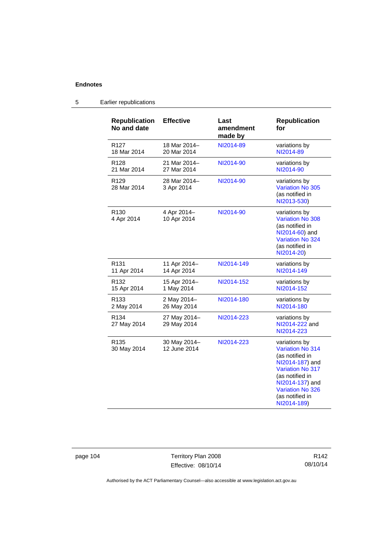| <b>Republication</b><br>No and date | <b>Effective</b>             | Last<br>amendment<br>made by | <b>Republication</b><br>for                                                                                                                                                                                  |
|-------------------------------------|------------------------------|------------------------------|--------------------------------------------------------------------------------------------------------------------------------------------------------------------------------------------------------------|
| R <sub>127</sub>                    | 18 Mar 2014-                 | NI2014-89                    | variations by                                                                                                                                                                                                |
| 18 Mar 2014                         | 20 Mar 2014                  |                              | NI2014-89                                                                                                                                                                                                    |
| R <sub>128</sub>                    | 21 Mar 2014-                 | NI2014-90                    | variations by                                                                                                                                                                                                |
| 21 Mar 2014                         | 27 Mar 2014                  |                              | NI2014-90                                                                                                                                                                                                    |
| R <sub>129</sub><br>28 Mar 2014     | 28 Mar 2014-<br>3 Apr 2014   | NI2014-90                    | variations by<br><b>Variation No 305</b><br>(as notified in<br>NI2013-530)                                                                                                                                   |
| R <sub>130</sub><br>4 Apr 2014      | 4 Apr 2014-<br>10 Apr 2014   | NI2014-90                    | variations by<br><b>Variation No 308</b><br>(as notified in<br>NI2014-60) and<br>Variation No 324<br>(as notified in<br>NI2014-20)                                                                           |
| R <sub>131</sub>                    | 11 Apr 2014-                 | NI2014-149                   | variations by                                                                                                                                                                                                |
| 11 Apr 2014                         | 14 Apr 2014                  |                              | NI2014-149                                                                                                                                                                                                   |
| R <sub>132</sub>                    | 15 Apr 2014-                 | NI2014-152                   | variations by                                                                                                                                                                                                |
| 15 Apr 2014                         | 1 May 2014                   |                              | NI2014-152                                                                                                                                                                                                   |
| R <sub>133</sub>                    | 2 May 2014-                  | NI2014-180                   | variations by                                                                                                                                                                                                |
| 2 May 2014                          | 26 May 2014                  |                              | NI2014-180                                                                                                                                                                                                   |
| R <sub>134</sub><br>27 May 2014     | 27 May 2014-<br>29 May 2014  | NI2014-223                   | variations by<br>NI2014-222 and<br>NI2014-223                                                                                                                                                                |
| R <sub>135</sub><br>30 May 2014     | 30 May 2014-<br>12 June 2014 | NI2014-223                   | variations by<br><b>Variation No 314</b><br>(as notified in<br>NI2014-187) and<br><b>Variation No 317</b><br>(as notified in<br>NI2014-137) and<br><b>Variation No 326</b><br>(as notified in<br>NI2014-189) |

# 5 Earlier republications

page 104 Territory Plan 2008 Effective: 08/10/14

R142 08/10/14